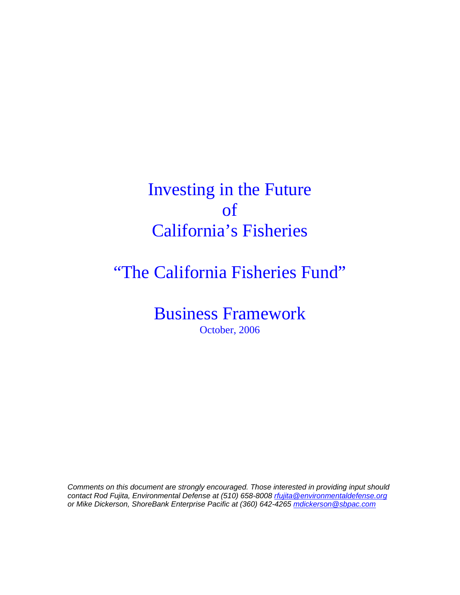Investing in the Future of California's Fisheries

"The California Fisheries Fund"

Business Framework October, 2006

*Comments on this document are strongly encouraged. Those interested in providing input should contact Rod Fujita, Environmental Defense at (510) 658-8008 rfujita@environmentaldefense.org or Mike Dickerson, ShoreBank Enterprise Pacific at (360) 642-4265 mdickerson@sbpac.com*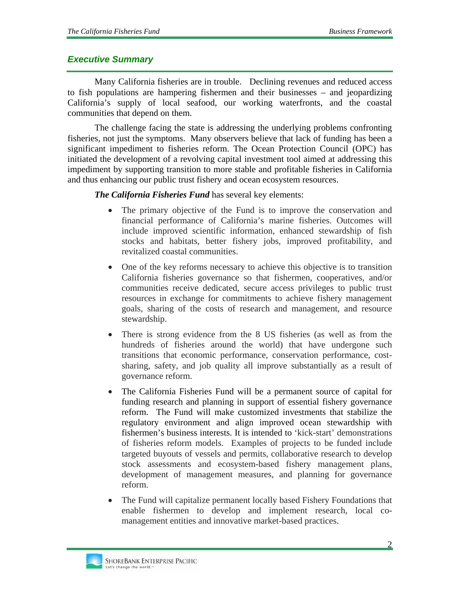### *Executive Summary*

Many California fisheries are in trouble. Declining revenues and reduced access to fish populations are hampering fishermen and their businesses – and jeopardizing California's supply of local seafood, our working waterfronts, and the coastal communities that depend on them.

The challenge facing the state is addressing the underlying problems confronting fisheries, not just the symptoms. Many observers believe that lack of funding has been a significant impediment to fisheries reform. The Ocean Protection Council (OPC) has initiated the development of a revolving capital investment tool aimed at addressing this impediment by supporting transition to more stable and profitable fisheries in California and thus enhancing our public trust fishery and ocean ecosystem resources.

#### *The California Fisheries Fund* has several key elements:

- The primary objective of the Fund is to improve the conservation and financial performance of California's marine fisheries. Outcomes will include improved scientific information, enhanced stewardship of fish stocks and habitats, better fishery jobs, improved profitability, and revitalized coastal communities.
- One of the key reforms necessary to achieve this objective is to transition California fisheries governance so that fishermen, cooperatives, and/or communities receive dedicated, secure access privileges to public trust resources in exchange for commitments to achieve fishery management goals, sharing of the costs of research and management, and resource stewardship.
- There is strong evidence from the 8 US fisheries (as well as from the hundreds of fisheries around the world) that have undergone such transitions that economic performance, conservation performance, costsharing, safety, and job quality all improve substantially as a result of governance reform.
- The California Fisheries Fund will be a permanent source of capital for funding research and planning in support of essential fishery governance reform. The Fund will make customized investments that stabilize the regulatory environment and align improved ocean stewardship with fishermen's business interests. It is intended to 'kick-start' demonstrations of fisheries reform models. Examples of projects to be funded include targeted buyouts of vessels and permits, collaborative research to develop stock assessments and ecosystem-based fishery management plans, development of management measures, and planning for governance reform.
- The Fund will capitalize permanent locally based Fishery Foundations that enable fishermen to develop and implement research, local comanagement entities and innovative market-based practices.

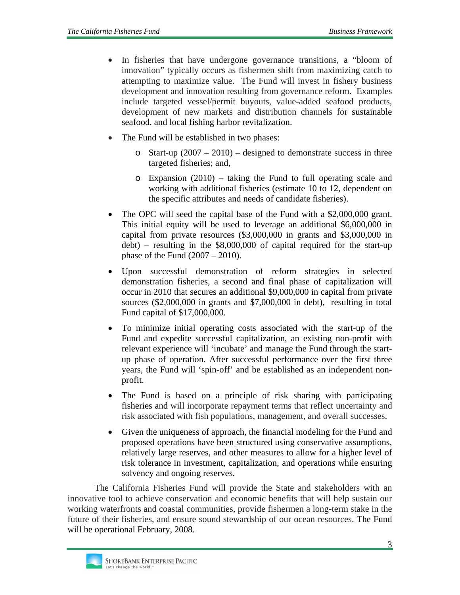- In fisheries that have undergone governance transitions, a "bloom of innovation" typically occurs as fishermen shift from maximizing catch to attempting to maximize value. The Fund will invest in fishery business development and innovation resulting from governance reform. Examples include targeted vessel/permit buyouts, value-added seafood products, development of new markets and distribution channels for sustainable seafood, and local fishing harbor revitalization.
- The Fund will be established in two phases:
	- o Start-up  $(2007 2010)$  designed to demonstrate success in three targeted fisheries; and,
	- o Expansion (2010) taking the Fund to full operating scale and working with additional fisheries (estimate 10 to 12, dependent on the specific attributes and needs of candidate fisheries).
- The OPC will seed the capital base of the Fund with a \$2,000,000 grant. This initial equity will be used to leverage an additional \$6,000,000 in capital from private resources (\$3,000,000 in grants and \$3,000,000 in debt) – resulting in the \$8,000,000 of capital required for the start-up phase of the Fund (2007 – 2010).
- Upon successful demonstration of reform strategies in selected demonstration fisheries, a second and final phase of capitalization will occur in 2010 that secures an additional \$9,000,000 in capital from private sources (\$2,000,000 in grants and \$7,000,000 in debt), resulting in total Fund capital of \$17,000,000.
- To minimize initial operating costs associated with the start-up of the Fund and expedite successful capitalization, an existing non-profit with relevant experience will 'incubate' and manage the Fund through the startup phase of operation. After successful performance over the first three years, the Fund will 'spin-off' and be established as an independent nonprofit.
- The Fund is based on a principle of risk sharing with participating fisheries and will incorporate repayment terms that reflect uncertainty and risk associated with fish populations, management, and overall successes.
- Given the uniqueness of approach, the financial modeling for the Fund and proposed operations have been structured using conservative assumptions, relatively large reserves, and other measures to allow for a higher level of risk tolerance in investment, capitalization, and operations while ensuring solvency and ongoing reserves.

The California Fisheries Fund will provide the State and stakeholders with an innovative tool to achieve conservation and economic benefits that will help sustain our working waterfronts and coastal communities, provide fishermen a long-term stake in the future of their fisheries, and ensure sound stewardship of our ocean resources. The Fund will be operational February, 2008.

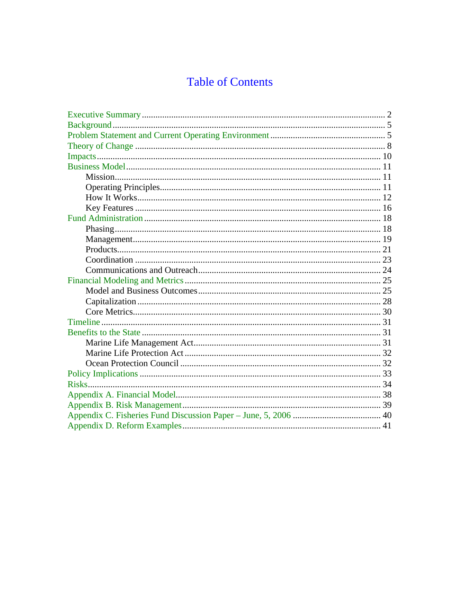# **Table of Contents**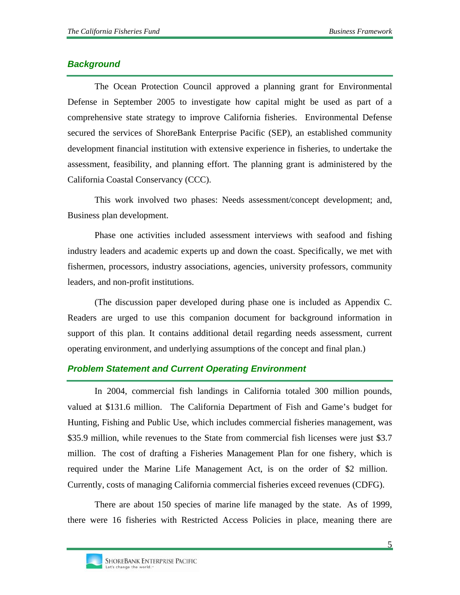# *Background*

The Ocean Protection Council approved a planning grant for Environmental Defense in September 2005 to investigate how capital might be used as part of a comprehensive state strategy to improve California fisheries. Environmental Defense secured the services of ShoreBank Enterprise Pacific (SEP), an established community development financial institution with extensive experience in fisheries, to undertake the assessment, feasibility, and planning effort. The planning grant is administered by the California Coastal Conservancy (CCC).

This work involved two phases: Needs assessment/concept development; and, Business plan development.

Phase one activities included assessment interviews with seafood and fishing industry leaders and academic experts up and down the coast. Specifically, we met with fishermen, processors, industry associations, agencies, university professors, community leaders, and non-profit institutions.

(The discussion paper developed during phase one is included as Appendix C. Readers are urged to use this companion document for background information in support of this plan. It contains additional detail regarding needs assessment, current operating environment, and underlying assumptions of the concept and final plan.)

# *Problem Statement and Current Operating Environment*

In 2004, commercial fish landings in California totaled 300 million pounds, valued at \$131.6 million. The California Department of Fish and Game's budget for Hunting, Fishing and Public Use, which includes commercial fisheries management, was \$35.9 million, while revenues to the State from commercial fish licenses were just \$3.7 million. The cost of drafting a Fisheries Management Plan for one fishery, which is required under the Marine Life Management Act, is on the order of \$2 million. Currently, costs of managing California commercial fisheries exceed revenues (CDFG).

There are about 150 species of marine life managed by the state. As of 1999, there were 16 fisheries with Restricted Access Policies in place, meaning there are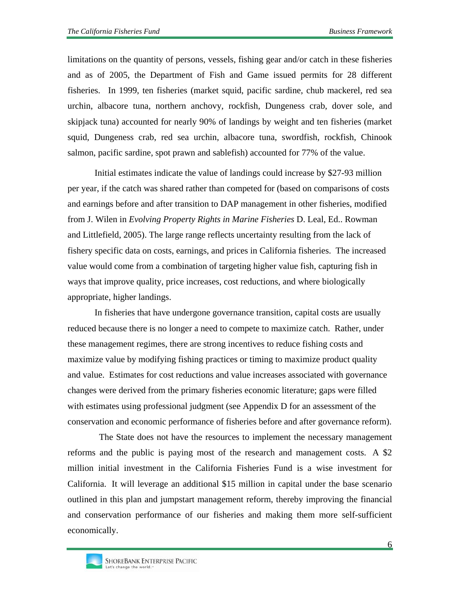limitations on the quantity of persons, vessels, fishing gear and/or catch in these fisheries and as of 2005, the Department of Fish and Game issued permits for 28 different fisheries. In 1999, ten fisheries (market squid, pacific sardine, chub mackerel, red sea urchin, albacore tuna, northern anchovy, rockfish, Dungeness crab, dover sole, and skipjack tuna) accounted for nearly 90% of landings by weight and ten fisheries (market squid, Dungeness crab, red sea urchin, albacore tuna, swordfish, rockfish, Chinook salmon, pacific sardine, spot prawn and sablefish) accounted for 77% of the value.

Initial estimates indicate the value of landings could increase by \$27-93 million per year, if the catch was shared rather than competed for (based on comparisons of costs and earnings before and after transition to DAP management in other fisheries, modified from J. Wilen in *Evolving Property Rights in Marine Fisheries* D. Leal, Ed.. Rowman and Littlefield, 2005). The large range reflects uncertainty resulting from the lack of fishery specific data on costs, earnings, and prices in California fisheries. The increased value would come from a combination of targeting higher value fish, capturing fish in ways that improve quality, price increases, cost reductions, and where biologically appropriate, higher landings.

In fisheries that have undergone governance transition, capital costs are usually reduced because there is no longer a need to compete to maximize catch. Rather, under these management regimes, there are strong incentives to reduce fishing costs and maximize value by modifying fishing practices or timing to maximize product quality and value. Estimates for cost reductions and value increases associated with governance changes were derived from the primary fisheries economic literature; gaps were filled with estimates using professional judgment (see Appendix D for an assessment of the conservation and economic performance of fisheries before and after governance reform).

 The State does not have the resources to implement the necessary management reforms and the public is paying most of the research and management costs. A \$2 million initial investment in the California Fisheries Fund is a wise investment for California. It will leverage an additional \$15 million in capital under the base scenario outlined in this plan and jumpstart management reform, thereby improving the financial and conservation performance of our fisheries and making them more self-sufficient economically.

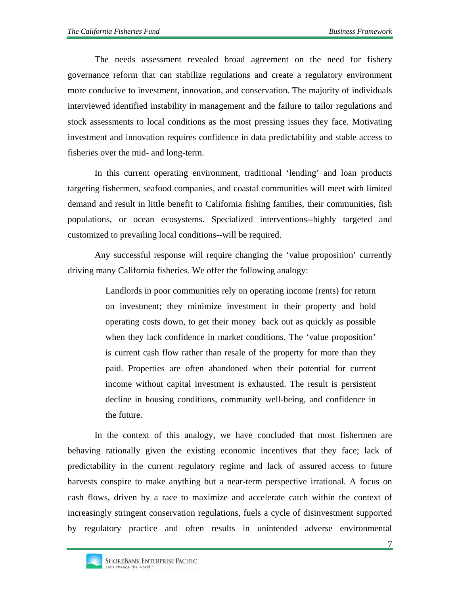The needs assessment revealed broad agreement on the need for fishery governance reform that can stabilize regulations and create a regulatory environment more conducive to investment, innovation, and conservation. The majority of individuals interviewed identified instability in management and the failure to tailor regulations and stock assessments to local conditions as the most pressing issues they face. Motivating investment and innovation requires confidence in data predictability and stable access to fisheries over the mid- and long-term.

In this current operating environment, traditional 'lending' and loan products targeting fishermen, seafood companies, and coastal communities will meet with limited demand and result in little benefit to California fishing families, their communities, fish populations, or ocean ecosystems. Specialized interventions--highly targeted and customized to prevailing local conditions--will be required.

Any successful response will require changing the 'value proposition' currently driving many California fisheries. We offer the following analogy:

> Landlords in poor communities rely on operating income (rents) for return on investment; they minimize investment in their property and hold operating costs down, to get their money back out as quickly as possible when they lack confidence in market conditions. The 'value proposition' is current cash flow rather than resale of the property for more than they paid. Properties are often abandoned when their potential for current income without capital investment is exhausted. The result is persistent decline in housing conditions, community well-being, and confidence in the future.

In the context of this analogy, we have concluded that most fishermen are behaving rationally given the existing economic incentives that they face; lack of predictability in the current regulatory regime and lack of assured access to future harvests conspire to make anything but a near-term perspective irrational. A focus on cash flows, driven by a race to maximize and accelerate catch within the context of increasingly stringent conservation regulations, fuels a cycle of disinvestment supported by regulatory practice and often results in unintended adverse environmental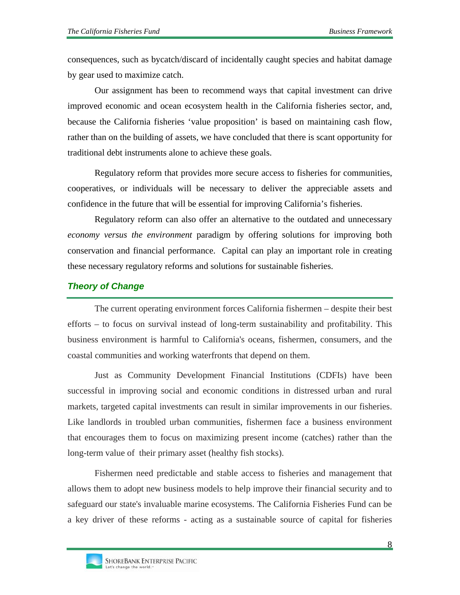consequences, such as bycatch/discard of incidentally caught species and habitat damage by gear used to maximize catch.

Our assignment has been to recommend ways that capital investment can drive improved economic and ocean ecosystem health in the California fisheries sector, and, because the California fisheries 'value proposition' is based on maintaining cash flow, rather than on the building of assets, we have concluded that there is scant opportunity for traditional debt instruments alone to achieve these goals.

Regulatory reform that provides more secure access to fisheries for communities, cooperatives, or individuals will be necessary to deliver the appreciable assets and confidence in the future that will be essential for improving California's fisheries.

Regulatory reform can also offer an alternative to the outdated and unnecessary *economy versus the environment* paradigm by offering solutions for improving both conservation and financial performance. Capital can play an important role in creating these necessary regulatory reforms and solutions for sustainable fisheries.

### *Theory of Change*

The current operating environment forces California fishermen – despite their best efforts – to focus on survival instead of long-term sustainability and profitability. This business environment is harmful to California's oceans, fishermen, consumers, and the coastal communities and working waterfronts that depend on them.

Just as Community Development Financial Institutions (CDFIs) have been successful in improving social and economic conditions in distressed urban and rural markets, targeted capital investments can result in similar improvements in our fisheries. Like landlords in troubled urban communities, fishermen face a business environment that encourages them to focus on maximizing present income (catches) rather than the long-term value of their primary asset (healthy fish stocks).

Fishermen need predictable and stable access to fisheries and management that allows them to adopt new business models to help improve their financial security and to safeguard our state's invaluable marine ecosystems. The California Fisheries Fund can be a key driver of these reforms - acting as a sustainable source of capital for fisheries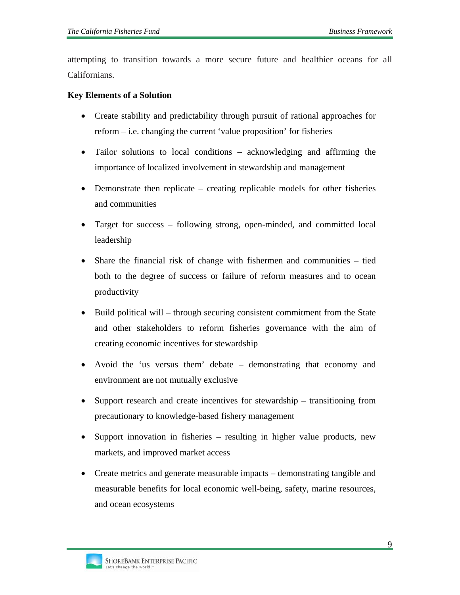attempting to transition towards a more secure future and healthier oceans for all Californians.

#### **Key Elements of a Solution**

- Create stability and predictability through pursuit of rational approaches for reform – i.e. changing the current 'value proposition' for fisheries
- Tailor solutions to local conditions acknowledging and affirming the importance of localized involvement in stewardship and management
- Demonstrate then replicate creating replicable models for other fisheries and communities
- Target for success following strong, open-minded, and committed local leadership
- Share the financial risk of change with fishermen and communities tied both to the degree of success or failure of reform measures and to ocean productivity
- Build political will through securing consistent commitment from the State and other stakeholders to reform fisheries governance with the aim of creating economic incentives for stewardship
- Avoid the 'us versus them' debate demonstrating that economy and environment are not mutually exclusive
- Support research and create incentives for stewardship transitioning from precautionary to knowledge-based fishery management
- Support innovation in fisheries resulting in higher value products, new markets, and improved market access
- Create metrics and generate measurable impacts demonstrating tangible and measurable benefits for local economic well-being, safety, marine resources, and ocean ecosystems

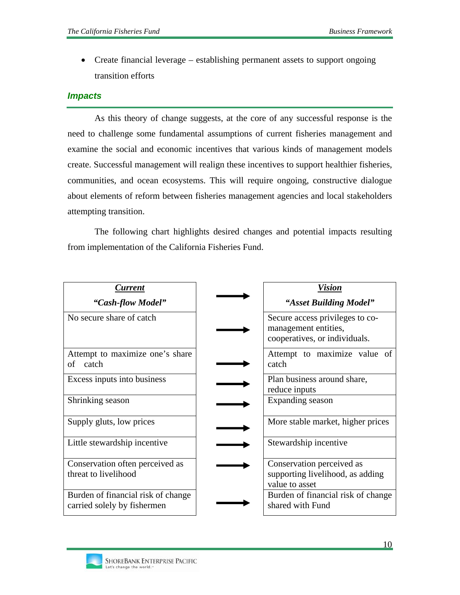• Create financial leverage – establishing permanent assets to support ongoing transition efforts

#### *Impacts*

As this theory of change suggests, at the core of any successful response is the need to challenge some fundamental assumptions of current fisheries management and examine the social and economic incentives that various kinds of management models create. Successful management will realign these incentives to support healthier fisheries, communities, and ocean ecosystems. This will require ongoing, constructive dialogue about elements of reform between fisheries management agencies and local stakeholders attempting transition.

The following chart highlights desired changes and potential impacts resulting from implementation of the California Fisheries Fund.

| <b>Vision</b>                                                                            |
|------------------------------------------------------------------------------------------|
| "Asset Building Model"                                                                   |
| Secure access privileges to co-<br>management entities,<br>cooperatives, or individuals. |
| Attempt to maximize value of<br>catch                                                    |
| Plan business around share,<br>reduce inputs                                             |
| Expanding season                                                                         |
| More stable market, higher prices                                                        |
| Stewardship incentive                                                                    |
| Conservation perceived as                                                                |
| supporting livelihood, as adding<br>value to asset                                       |
| Burden of financial risk of change<br>shared with Fund                                   |
|                                                                                          |

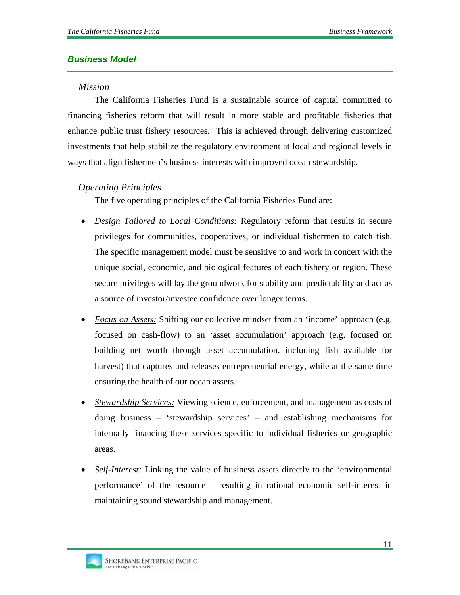# *Business Model*

#### *Mission*

The California Fisheries Fund is a sustainable source of capital committed to financing fisheries reform that will result in more stable and profitable fisheries that enhance public trust fishery resources. This is achieved through delivering customized investments that help stabilize the regulatory environment at local and regional levels in ways that align fishermen's business interests with improved ocean stewardship.

# *Operating Principles*

The five operating principles of the California Fisheries Fund are:

- *Design Tailored to Local Conditions:* Regulatory reform that results in secure privileges for communities, cooperatives, or individual fishermen to catch fish. The specific management model must be sensitive to and work in concert with the unique social, economic, and biological features of each fishery or region. These secure privileges will lay the groundwork for stability and predictability and act as a source of investor/investee confidence over longer terms.
- *Focus on Assets:* Shifting our collective mindset from an 'income' approach (e.g. focused on cash-flow) to an 'asset accumulation' approach (e.g. focused on building net worth through asset accumulation, including fish available for harvest) that captures and releases entrepreneurial energy, while at the same time ensuring the health of our ocean assets.
- *Stewardship Services:* Viewing science, enforcement, and management as costs of doing business – 'stewardship services' – and establishing mechanisms for internally financing these services specific to individual fisheries or geographic areas.
- *Self-Interest:* Linking the value of business assets directly to the 'environmental performance' of the resource – resulting in rational economic self-interest in maintaining sound stewardship and management.

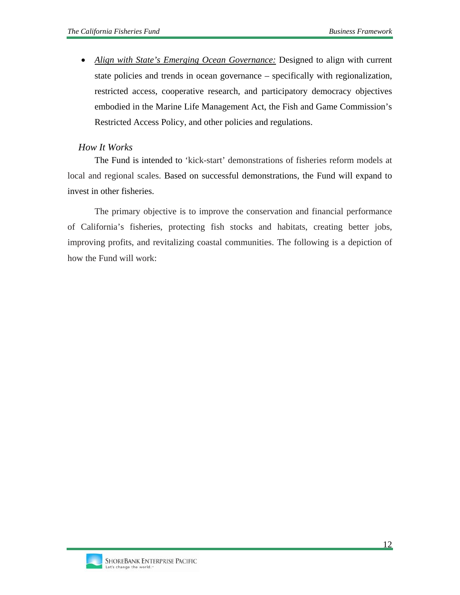• *Align with State's Emerging Ocean Governance:* Designed to align with current state policies and trends in ocean governance – specifically with regionalization, restricted access, cooperative research, and participatory democracy objectives embodied in the Marine Life Management Act, the Fish and Game Commission's Restricted Access Policy, and other policies and regulations.

### *How It Works*

The Fund is intended to 'kick-start' demonstrations of fisheries reform models at local and regional scales. Based on successful demonstrations, the Fund will expand to invest in other fisheries.

The primary objective is to improve the conservation and financial performance of California's fisheries, protecting fish stocks and habitats, creating better jobs, improving profits, and revitalizing coastal communities. The following is a depiction of how the Fund will work:

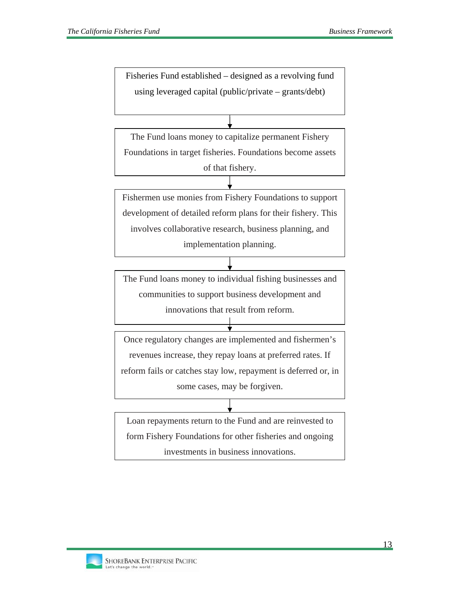Fisheries Fund established – designed as a revolving fund using leveraged capital (public/private – grants/debt)

The Fund loans money to capitalize permanent Fishery Foundations in target fisheries. Foundations become assets of that fishery.

Fishermen use monies from Fishery Foundations to support development of detailed reform plans for their fishery. This involves collaborative research, business planning, and implementation planning.

The Fund loans money to individual fishing businesses and communities to support business development and

innovations that result from reform.

Once regulatory changes are implemented and fishermen's revenues increase, they repay loans at preferred rates. If reform fails or catches stay low, repayment is deferred or, in some cases, may be forgiven.

Loan repayments return to the Fund and are reinvested to form Fishery Foundations for other fisheries and ongoing investments in business innovations.

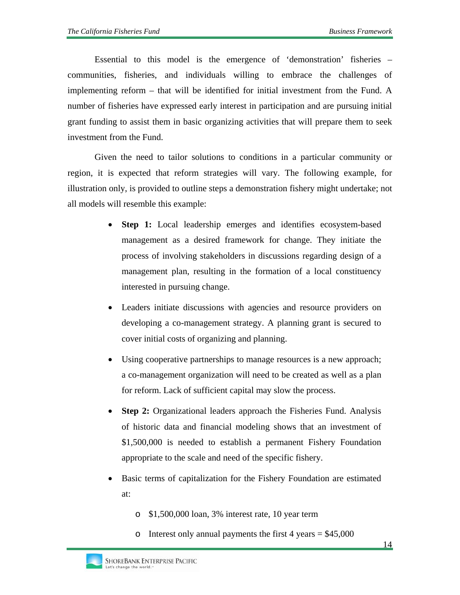Essential to this model is the emergence of 'demonstration' fisheries – communities, fisheries, and individuals willing to embrace the challenges of implementing reform – that will be identified for initial investment from the Fund. A number of fisheries have expressed early interest in participation and are pursuing initial grant funding to assist them in basic organizing activities that will prepare them to seek investment from the Fund.

Given the need to tailor solutions to conditions in a particular community or region, it is expected that reform strategies will vary. The following example, for illustration only, is provided to outline steps a demonstration fishery might undertake; not all models will resemble this example:

- **Step 1:** Local leadership emerges and identifies ecosystem-based management as a desired framework for change. They initiate the process of involving stakeholders in discussions regarding design of a management plan, resulting in the formation of a local constituency interested in pursuing change.
- Leaders initiate discussions with agencies and resource providers on developing a co-management strategy. A planning grant is secured to cover initial costs of organizing and planning.
- Using cooperative partnerships to manage resources is a new approach; a co-management organization will need to be created as well as a plan for reform. Lack of sufficient capital may slow the process.
- **Step 2:** Organizational leaders approach the Fisheries Fund. Analysis of historic data and financial modeling shows that an investment of \$1,500,000 is needed to establish a permanent Fishery Foundation appropriate to the scale and need of the specific fishery.
- Basic terms of capitalization for the Fishery Foundation are estimated at:
	- o \$1,500,000 loan, 3% interest rate, 10 year term
	- o Interest only annual payments the first  $4$  years = \$45,000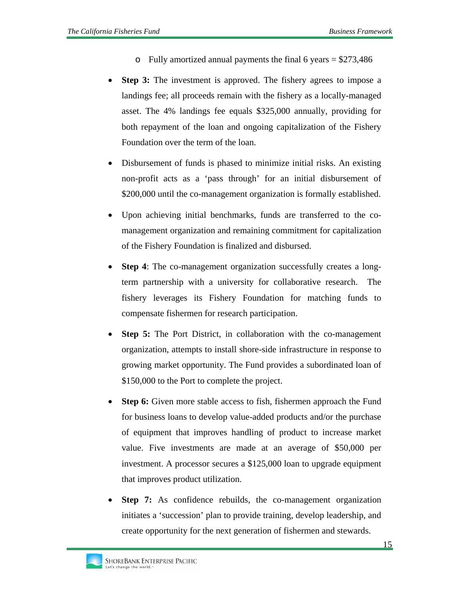- $\circ$  Fully amortized annual payments the final 6 years = \$273,486
- **Step 3:** The investment is approved. The fishery agrees to impose a landings fee; all proceeds remain with the fishery as a locally-managed asset. The 4% landings fee equals \$325,000 annually, providing for both repayment of the loan and ongoing capitalization of the Fishery Foundation over the term of the loan.
- Disbursement of funds is phased to minimize initial risks. An existing non-profit acts as a 'pass through' for an initial disbursement of \$200,000 until the co-management organization is formally established.
- Upon achieving initial benchmarks, funds are transferred to the comanagement organization and remaining commitment for capitalization of the Fishery Foundation is finalized and disbursed.
- **Step 4**: The co-management organization successfully creates a longterm partnership with a university for collaborative research. The fishery leverages its Fishery Foundation for matching funds to compensate fishermen for research participation.
- **Step 5:** The Port District, in collaboration with the co-management organization, attempts to install shore-side infrastructure in response to growing market opportunity. The Fund provides a subordinated loan of \$150,000 to the Port to complete the project.
- **Step 6:** Given more stable access to fish, fishermen approach the Fund for business loans to develop value-added products and/or the purchase of equipment that improves handling of product to increase market value. Five investments are made at an average of \$50,000 per investment. A processor secures a \$125,000 loan to upgrade equipment that improves product utilization.
- **Step 7:** As confidence rebuilds, the co-management organization initiates a 'succession' plan to provide training, develop leadership, and create opportunity for the next generation of fishermen and stewards.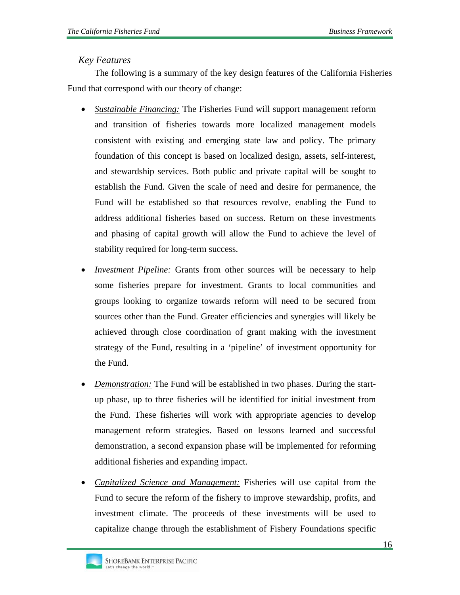### *Key Features*

The following is a summary of the key design features of the California Fisheries Fund that correspond with our theory of change:

- *Sustainable Financing:* The Fisheries Fund will support management reform and transition of fisheries towards more localized management models consistent with existing and emerging state law and policy. The primary foundation of this concept is based on localized design, assets, self-interest, and stewardship services. Both public and private capital will be sought to establish the Fund. Given the scale of need and desire for permanence, the Fund will be established so that resources revolve, enabling the Fund to address additional fisheries based on success. Return on these investments and phasing of capital growth will allow the Fund to achieve the level of stability required for long-term success.
- *Investment Pipeline:* Grants from other sources will be necessary to help some fisheries prepare for investment. Grants to local communities and groups looking to organize towards reform will need to be secured from sources other than the Fund. Greater efficiencies and synergies will likely be achieved through close coordination of grant making with the investment strategy of the Fund, resulting in a 'pipeline' of investment opportunity for the Fund.
- *Demonstration:* The Fund will be established in two phases. During the startup phase, up to three fisheries will be identified for initial investment from the Fund. These fisheries will work with appropriate agencies to develop management reform strategies. Based on lessons learned and successful demonstration, a second expansion phase will be implemented for reforming additional fisheries and expanding impact.
- *Capitalized Science and Management:* Fisheries will use capital from the Fund to secure the reform of the fishery to improve stewardship, profits, and investment climate. The proceeds of these investments will be used to capitalize change through the establishment of Fishery Foundations specific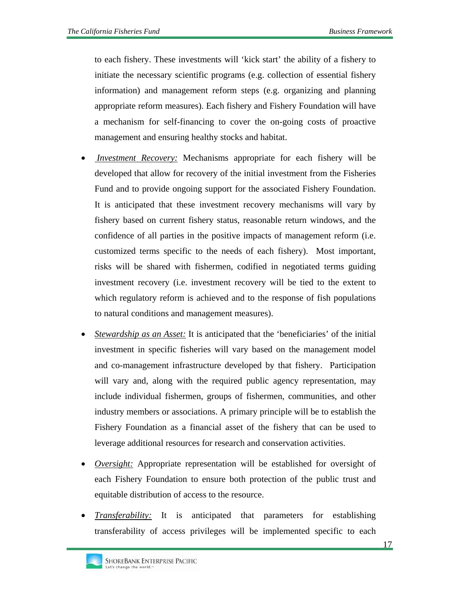to each fishery. These investments will 'kick start' the ability of a fishery to initiate the necessary scientific programs (e.g. collection of essential fishery information) and management reform steps (e.g. organizing and planning appropriate reform measures). Each fishery and Fishery Foundation will have a mechanism for self-financing to cover the on-going costs of proactive management and ensuring healthy stocks and habitat.

- • *Investment Recovery:* Mechanisms appropriate for each fishery will be developed that allow for recovery of the initial investment from the Fisheries Fund and to provide ongoing support for the associated Fishery Foundation. It is anticipated that these investment recovery mechanisms will vary by fishery based on current fishery status, reasonable return windows, and the confidence of all parties in the positive impacts of management reform (i.e. customized terms specific to the needs of each fishery). Most important, risks will be shared with fishermen, codified in negotiated terms guiding investment recovery (i.e. investment recovery will be tied to the extent to which regulatory reform is achieved and to the response of fish populations to natural conditions and management measures).
- *Stewardship as an Asset:* It is anticipated that the 'beneficiaries' of the initial investment in specific fisheries will vary based on the management model and co-management infrastructure developed by that fishery. Participation will vary and, along with the required public agency representation, may include individual fishermen, groups of fishermen, communities, and other industry members or associations. A primary principle will be to establish the Fishery Foundation as a financial asset of the fishery that can be used to leverage additional resources for research and conservation activities.
- *Oversight:* Appropriate representation will be established for oversight of each Fishery Foundation to ensure both protection of the public trust and equitable distribution of access to the resource.
- *Transferability:* It is anticipated that parameters for establishing transferability of access privileges will be implemented specific to each

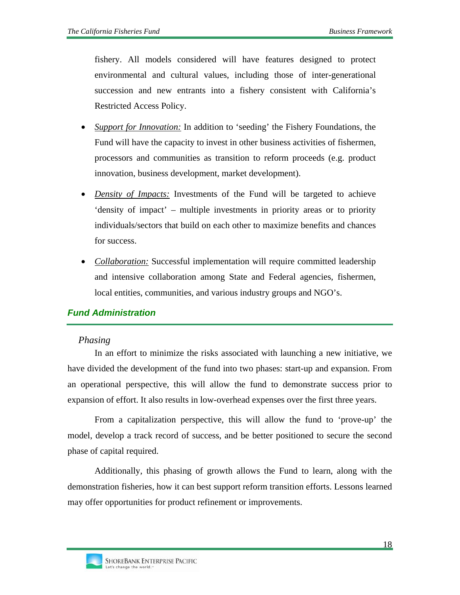fishery. All models considered will have features designed to protect environmental and cultural values, including those of inter-generational succession and new entrants into a fishery consistent with California's Restricted Access Policy.

- *Support for Innovation:* In addition to 'seeding' the Fishery Foundations, the Fund will have the capacity to invest in other business activities of fishermen, processors and communities as transition to reform proceeds (e.g. product innovation, business development, market development).
- *Density of Impacts:* Investments of the Fund will be targeted to achieve 'density of impact' – multiple investments in priority areas or to priority individuals/sectors that build on each other to maximize benefits and chances for success.
- *Collaboration:* Successful implementation will require committed leadership and intensive collaboration among State and Federal agencies, fishermen, local entities, communities, and various industry groups and NGO's.

# *Fund Administration*

#### *Phasing*

In an effort to minimize the risks associated with launching a new initiative, we have divided the development of the fund into two phases: start-up and expansion. From an operational perspective, this will allow the fund to demonstrate success prior to expansion of effort. It also results in low-overhead expenses over the first three years.

From a capitalization perspective, this will allow the fund to 'prove-up' the model, develop a track record of success, and be better positioned to secure the second phase of capital required.

Additionally, this phasing of growth allows the Fund to learn, along with the demonstration fisheries, how it can best support reform transition efforts. Lessons learned may offer opportunities for product refinement or improvements.

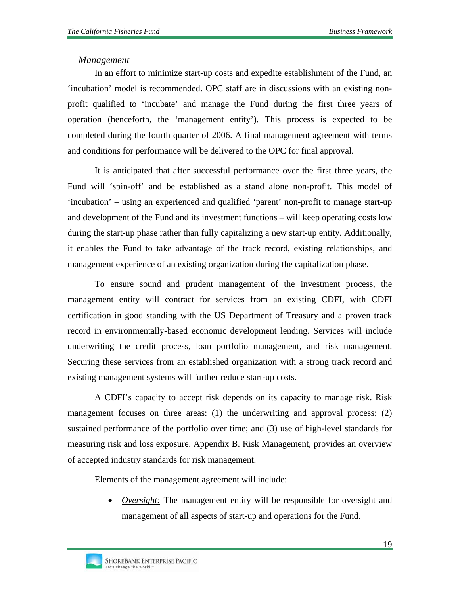### *Management*

In an effort to minimize start-up costs and expedite establishment of the Fund, an 'incubation' model is recommended. OPC staff are in discussions with an existing nonprofit qualified to 'incubate' and manage the Fund during the first three years of operation (henceforth, the 'management entity'). This process is expected to be completed during the fourth quarter of 2006. A final management agreement with terms and conditions for performance will be delivered to the OPC for final approval.

It is anticipated that after successful performance over the first three years, the Fund will 'spin-off' and be established as a stand alone non-profit. This model of 'incubation' – using an experienced and qualified 'parent' non-profit to manage start-up and development of the Fund and its investment functions – will keep operating costs low during the start-up phase rather than fully capitalizing a new start-up entity. Additionally, it enables the Fund to take advantage of the track record, existing relationships, and management experience of an existing organization during the capitalization phase.

To ensure sound and prudent management of the investment process, the management entity will contract for services from an existing CDFI, with CDFI certification in good standing with the US Department of Treasury and a proven track record in environmentally-based economic development lending. Services will include underwriting the credit process, loan portfolio management, and risk management. Securing these services from an established organization with a strong track record and existing management systems will further reduce start-up costs.

A CDFI's capacity to accept risk depends on its capacity to manage risk. Risk management focuses on three areas: (1) the underwriting and approval process; (2) sustained performance of the portfolio over time; and (3) use of high-level standards for measuring risk and loss exposure. Appendix B. Risk Management, provides an overview of accepted industry standards for risk management.

Elements of the management agreement will include:

• *Oversight:* The management entity will be responsible for oversight and management of all aspects of start-up and operations for the Fund.

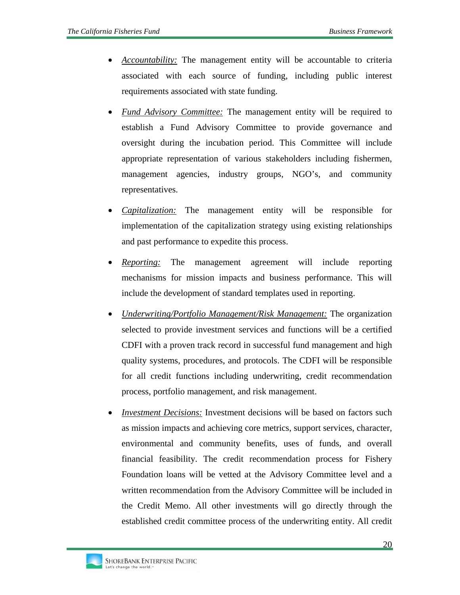- *Accountability:* The management entity will be accountable to criteria associated with each source of funding, including public interest requirements associated with state funding.
- *Fund Advisory Committee:* The management entity will be required to establish a Fund Advisory Committee to provide governance and oversight during the incubation period. This Committee will include appropriate representation of various stakeholders including fishermen, management agencies, industry groups, NGO's, and community representatives.
- *Capitalization:* The management entity will be responsible for implementation of the capitalization strategy using existing relationships and past performance to expedite this process.
- *Reporting:* The management agreement will include reporting mechanisms for mission impacts and business performance. This will include the development of standard templates used in reporting.
- *Underwriting/Portfolio Management/Risk Management:* The organization selected to provide investment services and functions will be a certified CDFI with a proven track record in successful fund management and high quality systems, procedures, and protocols. The CDFI will be responsible for all credit functions including underwriting, credit recommendation process, portfolio management, and risk management.
- *Investment Decisions:* Investment decisions will be based on factors such as mission impacts and achieving core metrics, support services, character, environmental and community benefits, uses of funds, and overall financial feasibility. The credit recommendation process for Fishery Foundation loans will be vetted at the Advisory Committee level and a written recommendation from the Advisory Committee will be included in the Credit Memo. All other investments will go directly through the established credit committee process of the underwriting entity. All credit

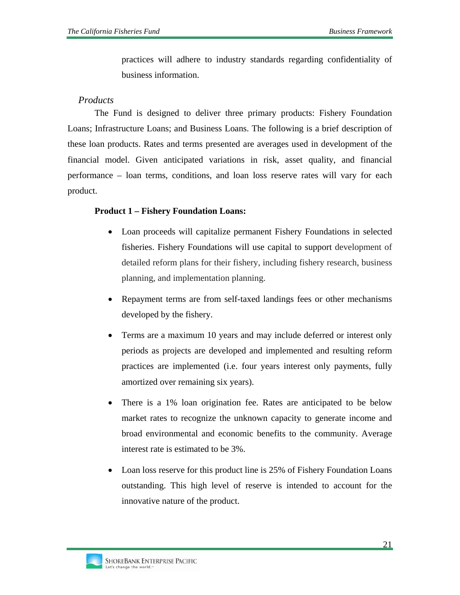practices will adhere to industry standards regarding confidentiality of business information.

#### *Products*

The Fund is designed to deliver three primary products: Fishery Foundation Loans; Infrastructure Loans; and Business Loans. The following is a brief description of these loan products. Rates and terms presented are averages used in development of the financial model. Given anticipated variations in risk, asset quality, and financial performance – loan terms, conditions, and loan loss reserve rates will vary for each product.

#### **Product 1 – Fishery Foundation Loans:**

- Loan proceeds will capitalize permanent Fishery Foundations in selected fisheries. Fishery Foundations will use capital to support development of detailed reform plans for their fishery, including fishery research, business planning, and implementation planning.
- Repayment terms are from self-taxed landings fees or other mechanisms developed by the fishery.
- Terms are a maximum 10 years and may include deferred or interest only periods as projects are developed and implemented and resulting reform practices are implemented (i.e. four years interest only payments, fully amortized over remaining six years).
- There is a 1% loan origination fee. Rates are anticipated to be below market rates to recognize the unknown capacity to generate income and broad environmental and economic benefits to the community. Average interest rate is estimated to be 3%.
- Loan loss reserve for this product line is 25% of Fishery Foundation Loans outstanding. This high level of reserve is intended to account for the innovative nature of the product.

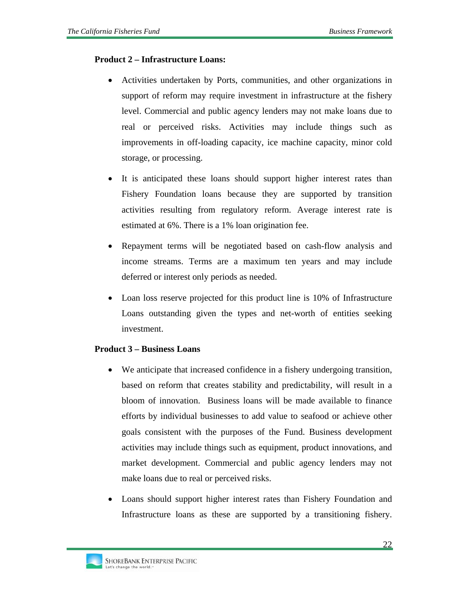#### **Product 2 – Infrastructure Loans:**

- Activities undertaken by Ports, communities, and other organizations in support of reform may require investment in infrastructure at the fishery level. Commercial and public agency lenders may not make loans due to real or perceived risks. Activities may include things such as improvements in off-loading capacity, ice machine capacity, minor cold storage, or processing.
- It is anticipated these loans should support higher interest rates than Fishery Foundation loans because they are supported by transition activities resulting from regulatory reform. Average interest rate is estimated at 6%. There is a 1% loan origination fee.
- Repayment terms will be negotiated based on cash-flow analysis and income streams. Terms are a maximum ten years and may include deferred or interest only periods as needed.
- Loan loss reserve projected for this product line is 10% of Infrastructure Loans outstanding given the types and net-worth of entities seeking investment.

#### **Product 3 – Business Loans**

- We anticipate that increased confidence in a fishery undergoing transition, based on reform that creates stability and predictability, will result in a bloom of innovation. Business loans will be made available to finance efforts by individual businesses to add value to seafood or achieve other goals consistent with the purposes of the Fund. Business development activities may include things such as equipment, product innovations, and market development. Commercial and public agency lenders may not make loans due to real or perceived risks.
- Loans should support higher interest rates than Fishery Foundation and Infrastructure loans as these are supported by a transitioning fishery.

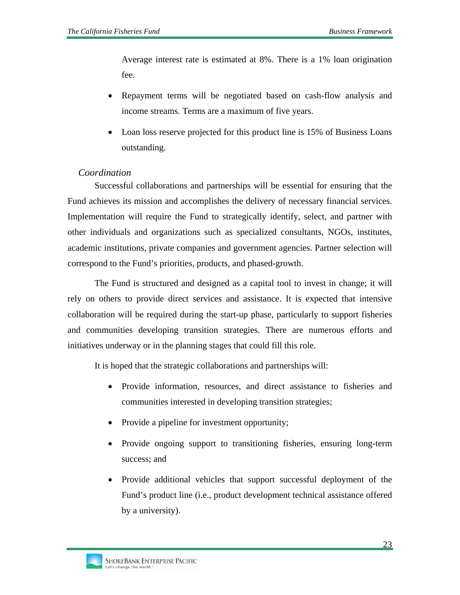Average interest rate is estimated at 8%. There is a 1% loan origination fee.

- Repayment terms will be negotiated based on cash-flow analysis and income streams. Terms are a maximum of five years.
- Loan loss reserve projected for this product line is 15% of Business Loans outstanding.

# *Coordination*

Successful collaborations and partnerships will be essential for ensuring that the Fund achieves its mission and accomplishes the delivery of necessary financial services. Implementation will require the Fund to strategically identify, select, and partner with other individuals and organizations such as specialized consultants, NGOs, institutes, academic institutions, private companies and government agencies. Partner selection will correspond to the Fund's priorities, products, and phased-growth.

The Fund is structured and designed as a capital tool to invest in change; it will rely on others to provide direct services and assistance. It is expected that intensive collaboration will be required during the start-up phase, particularly to support fisheries and communities developing transition strategies. There are numerous efforts and initiatives underway or in the planning stages that could fill this role.

It is hoped that the strategic collaborations and partnerships will:

- Provide information, resources, and direct assistance to fisheries and communities interested in developing transition strategies;
- Provide a pipeline for investment opportunity;
- Provide ongoing support to transitioning fisheries, ensuring long-term success; and
- Provide additional vehicles that support successful deployment of the Fund's product line (i.e., product development technical assistance offered by a university).

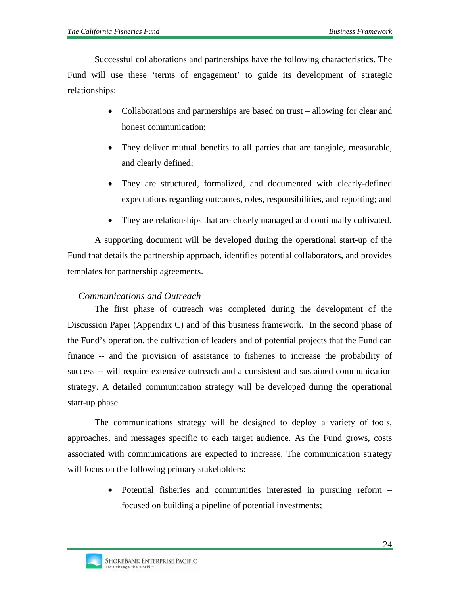Successful collaborations and partnerships have the following characteristics. The Fund will use these 'terms of engagement' to guide its development of strategic relationships:

- Collaborations and partnerships are based on trust allowing for clear and honest communication;
- They deliver mutual benefits to all parties that are tangible, measurable, and clearly defined;
- They are structured, formalized, and documented with clearly-defined expectations regarding outcomes, roles, responsibilities, and reporting; and
- They are relationships that are closely managed and continually cultivated.

A supporting document will be developed during the operational start-up of the Fund that details the partnership approach, identifies potential collaborators, and provides templates for partnership agreements.

### *Communications and Outreach*

The first phase of outreach was completed during the development of the Discussion Paper (Appendix C) and of this business framework. In the second phase of the Fund's operation, the cultivation of leaders and of potential projects that the Fund can finance -- and the provision of assistance to fisheries to increase the probability of success -- will require extensive outreach and a consistent and sustained communication strategy. A detailed communication strategy will be developed during the operational start-up phase.

The communications strategy will be designed to deploy a variety of tools, approaches, and messages specific to each target audience. As the Fund grows, costs associated with communications are expected to increase. The communication strategy will focus on the following primary stakeholders:

> • Potential fisheries and communities interested in pursuing reform – focused on building a pipeline of potential investments;

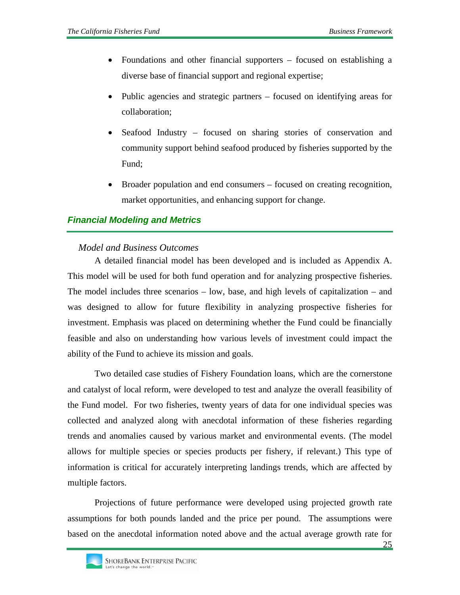- Foundations and other financial supporters focused on establishing a diverse base of financial support and regional expertise;
- Public agencies and strategic partners focused on identifying areas for collaboration;
- Seafood Industry focused on sharing stories of conservation and community support behind seafood produced by fisheries supported by the Fund;
- Broader population and end consumers focused on creating recognition, market opportunities, and enhancing support for change.

# *Financial Modeling and Metrics*

### *Model and Business Outcomes*

A detailed financial model has been developed and is included as Appendix A. This model will be used for both fund operation and for analyzing prospective fisheries. The model includes three scenarios – low, base, and high levels of capitalization – and was designed to allow for future flexibility in analyzing prospective fisheries for investment. Emphasis was placed on determining whether the Fund could be financially feasible and also on understanding how various levels of investment could impact the ability of the Fund to achieve its mission and goals.

Two detailed case studies of Fishery Foundation loans, which are the cornerstone and catalyst of local reform, were developed to test and analyze the overall feasibility of the Fund model. For two fisheries, twenty years of data for one individual species was collected and analyzed along with anecdotal information of these fisheries regarding trends and anomalies caused by various market and environmental events. (The model allows for multiple species or species products per fishery, if relevant.) This type of information is critical for accurately interpreting landings trends, which are affected by multiple factors.

Projections of future performance were developed using projected growth rate assumptions for both pounds landed and the price per pound. The assumptions were based on the anecdotal information noted above and the actual average growth rate for

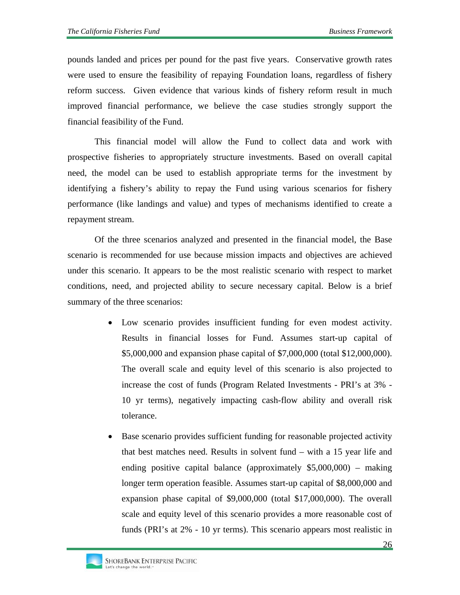pounds landed and prices per pound for the past five years. Conservative growth rates were used to ensure the feasibility of repaying Foundation loans, regardless of fishery reform success. Given evidence that various kinds of fishery reform result in much improved financial performance, we believe the case studies strongly support the financial feasibility of the Fund.

This financial model will allow the Fund to collect data and work with prospective fisheries to appropriately structure investments. Based on overall capital need, the model can be used to establish appropriate terms for the investment by identifying a fishery's ability to repay the Fund using various scenarios for fishery performance (like landings and value) and types of mechanisms identified to create a repayment stream.

Of the three scenarios analyzed and presented in the financial model, the Base scenario is recommended for use because mission impacts and objectives are achieved under this scenario. It appears to be the most realistic scenario with respect to market conditions, need, and projected ability to secure necessary capital. Below is a brief summary of the three scenarios:

- Low scenario provides insufficient funding for even modest activity. Results in financial losses for Fund. Assumes start-up capital of \$5,000,000 and expansion phase capital of \$7,000,000 (total \$12,000,000). The overall scale and equity level of this scenario is also projected to increase the cost of funds (Program Related Investments - PRI's at 3% - 10 yr terms), negatively impacting cash-flow ability and overall risk tolerance.
- Base scenario provides sufficient funding for reasonable projected activity that best matches need. Results in solvent fund – with a 15 year life and ending positive capital balance (approximately \$5,000,000) – making longer term operation feasible. Assumes start-up capital of \$8,000,000 and expansion phase capital of \$9,000,000 (total \$17,000,000). The overall scale and equity level of this scenario provides a more reasonable cost of funds (PRI's at 2% - 10 yr terms). This scenario appears most realistic in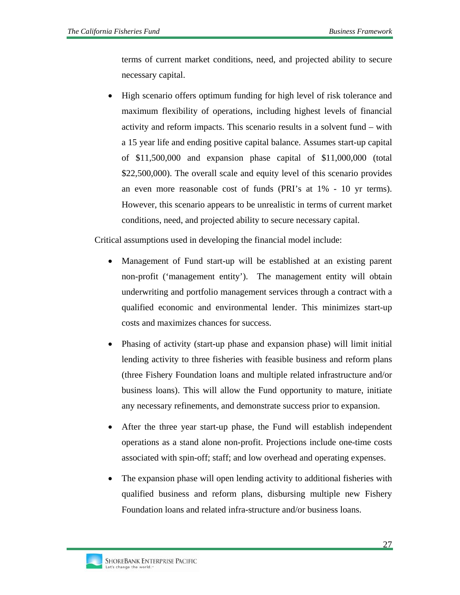terms of current market conditions, need, and projected ability to secure necessary capital.

• High scenario offers optimum funding for high level of risk tolerance and maximum flexibility of operations, including highest levels of financial activity and reform impacts. This scenario results in a solvent fund – with a 15 year life and ending positive capital balance. Assumes start-up capital of \$11,500,000 and expansion phase capital of \$11,000,000 (total \$22,500,000). The overall scale and equity level of this scenario provides an even more reasonable cost of funds (PRI's at 1% - 10 yr terms). However, this scenario appears to be unrealistic in terms of current market conditions, need, and projected ability to secure necessary capital.

Critical assumptions used in developing the financial model include:

- Management of Fund start-up will be established at an existing parent non-profit ('management entity'). The management entity will obtain underwriting and portfolio management services through a contract with a qualified economic and environmental lender. This minimizes start-up costs and maximizes chances for success.
- Phasing of activity (start-up phase and expansion phase) will limit initial lending activity to three fisheries with feasible business and reform plans (three Fishery Foundation loans and multiple related infrastructure and/or business loans). This will allow the Fund opportunity to mature, initiate any necessary refinements, and demonstrate success prior to expansion.
- After the three year start-up phase, the Fund will establish independent operations as a stand alone non-profit. Projections include one-time costs associated with spin-off; staff; and low overhead and operating expenses.
- The expansion phase will open lending activity to additional fisheries with qualified business and reform plans, disbursing multiple new Fishery Foundation loans and related infra-structure and/or business loans.

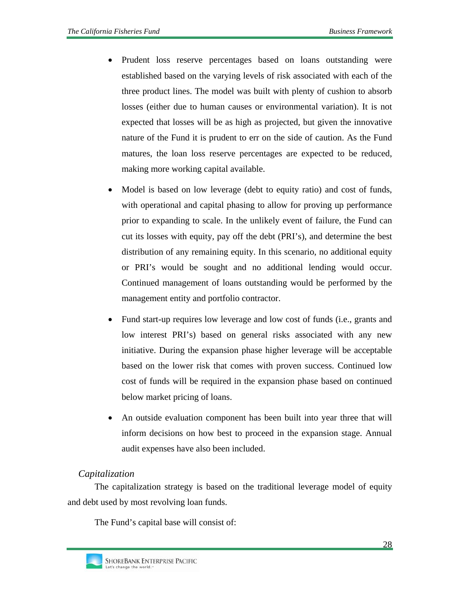- Prudent loss reserve percentages based on loans outstanding were established based on the varying levels of risk associated with each of the three product lines. The model was built with plenty of cushion to absorb losses (either due to human causes or environmental variation). It is not expected that losses will be as high as projected, but given the innovative nature of the Fund it is prudent to err on the side of caution. As the Fund matures, the loan loss reserve percentages are expected to be reduced, making more working capital available.
- Model is based on low leverage (debt to equity ratio) and cost of funds, with operational and capital phasing to allow for proving up performance prior to expanding to scale. In the unlikely event of failure, the Fund can cut its losses with equity, pay off the debt (PRI's), and determine the best distribution of any remaining equity. In this scenario, no additional equity or PRI's would be sought and no additional lending would occur. Continued management of loans outstanding would be performed by the management entity and portfolio contractor.
- Fund start-up requires low leverage and low cost of funds (i.e., grants and low interest PRI's) based on general risks associated with any new initiative. During the expansion phase higher leverage will be acceptable based on the lower risk that comes with proven success. Continued low cost of funds will be required in the expansion phase based on continued below market pricing of loans.
- An outside evaluation component has been built into year three that will inform decisions on how best to proceed in the expansion stage. Annual audit expenses have also been included.

# *Capitalization*

The capitalization strategy is based on the traditional leverage model of equity and debt used by most revolving loan funds.

The Fund's capital base will consist of: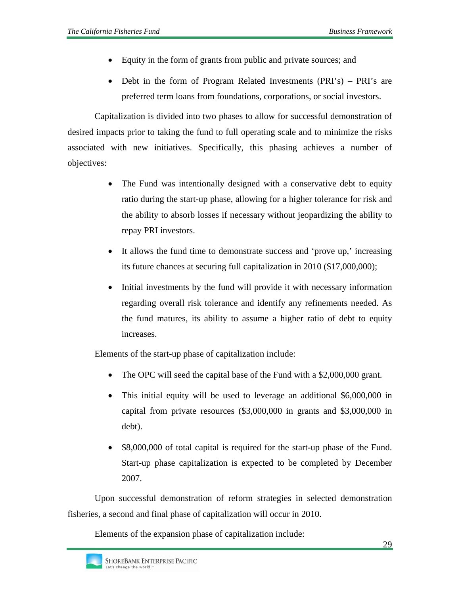- Equity in the form of grants from public and private sources; and
- Debt in the form of Program Related Investments (PRI's) PRI's are preferred term loans from foundations, corporations, or social investors.

Capitalization is divided into two phases to allow for successful demonstration of desired impacts prior to taking the fund to full operating scale and to minimize the risks associated with new initiatives. Specifically, this phasing achieves a number of objectives:

- The Fund was intentionally designed with a conservative debt to equity ratio during the start-up phase, allowing for a higher tolerance for risk and the ability to absorb losses if necessary without jeopardizing the ability to repay PRI investors.
- It allows the fund time to demonstrate success and 'prove up,' increasing its future chances at securing full capitalization in 2010 (\$17,000,000);
- Initial investments by the fund will provide it with necessary information regarding overall risk tolerance and identify any refinements needed. As the fund matures, its ability to assume a higher ratio of debt to equity increases.

Elements of the start-up phase of capitalization include:

- The OPC will seed the capital base of the Fund with a \$2,000,000 grant.
- This initial equity will be used to leverage an additional \$6,000,000 in capital from private resources (\$3,000,000 in grants and \$3,000,000 in debt).
- \$8,000,000 of total capital is required for the start-up phase of the Fund. Start-up phase capitalization is expected to be completed by December 2007.

Upon successful demonstration of reform strategies in selected demonstration fisheries, a second and final phase of capitalization will occur in 2010.

Elements of the expansion phase of capitalization include: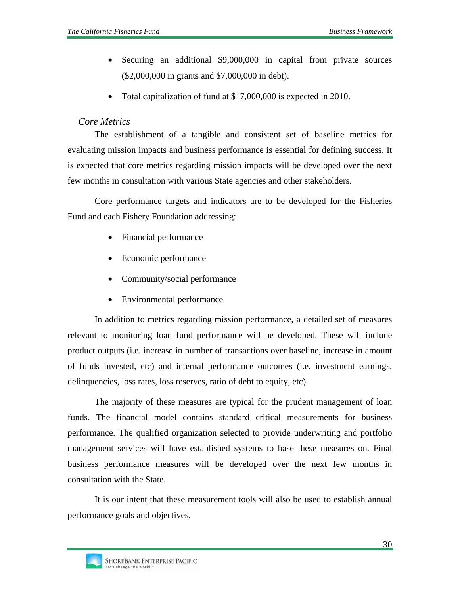- Securing an additional \$9,000,000 in capital from private sources (\$2,000,000 in grants and \$7,000,000 in debt).
- Total capitalization of fund at \$17,000,000 is expected in 2010.

#### *Core Metrics*

The establishment of a tangible and consistent set of baseline metrics for evaluating mission impacts and business performance is essential for defining success. It is expected that core metrics regarding mission impacts will be developed over the next few months in consultation with various State agencies and other stakeholders.

Core performance targets and indicators are to be developed for the Fisheries Fund and each Fishery Foundation addressing:

- Financial performance
- Economic performance
- Community/social performance
- Environmental performance

In addition to metrics regarding mission performance, a detailed set of measures relevant to monitoring loan fund performance will be developed. These will include product outputs (i.e. increase in number of transactions over baseline, increase in amount of funds invested, etc) and internal performance outcomes (i.e. investment earnings, delinquencies, loss rates, loss reserves, ratio of debt to equity, etc).

The majority of these measures are typical for the prudent management of loan funds. The financial model contains standard critical measurements for business performance. The qualified organization selected to provide underwriting and portfolio management services will have established systems to base these measures on. Final business performance measures will be developed over the next few months in consultation with the State.

It is our intent that these measurement tools will also be used to establish annual performance goals and objectives.

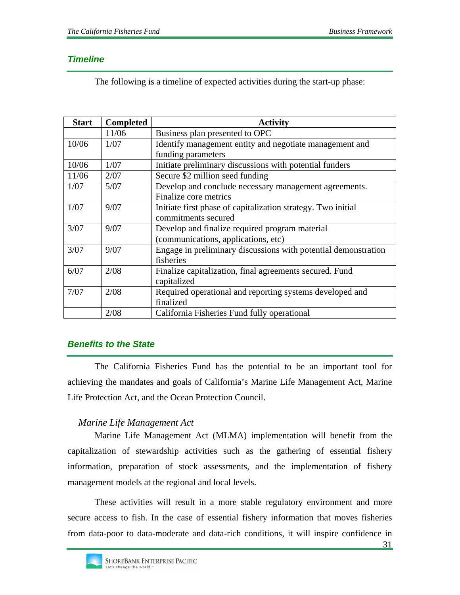# *Timeline*

The following is a timeline of expected activities during the start-up phase:

| <b>Start</b> | <b>Completed</b> | <b>Activity</b>                                                |  |  |
|--------------|------------------|----------------------------------------------------------------|--|--|
|              | 11/06            | Business plan presented to OPC                                 |  |  |
| 10/06        | 1/07             | Identify management entity and negotiate management and        |  |  |
|              |                  | funding parameters                                             |  |  |
| 10/06        | 1/07             | Initiate preliminary discussions with potential funders        |  |  |
| 11/06        | 2/07             | Secure \$2 million seed funding                                |  |  |
| 1/07         | 5/07             | Develop and conclude necessary management agreements.          |  |  |
|              |                  | Finalize core metrics                                          |  |  |
| 1/07         | 9/07             | Initiate first phase of capitalization strategy. Two initial   |  |  |
|              |                  | commitments secured                                            |  |  |
| 3/07         | 9/07             | Develop and finalize required program material                 |  |  |
|              |                  | (communications, applications, etc)                            |  |  |
| 3/07         | 9/07             | Engage in preliminary discussions with potential demonstration |  |  |
|              |                  | fisheries                                                      |  |  |
| 6/07         | 2/08             | Finalize capitalization, final agreements secured. Fund        |  |  |
|              |                  | capitalized                                                    |  |  |
| 7/07         | 2/08             | Required operational and reporting systems developed and       |  |  |
|              |                  | finalized                                                      |  |  |
|              | 2/08             | California Fisheries Fund fully operational                    |  |  |

# *Benefits to the State*

The California Fisheries Fund has the potential to be an important tool for achieving the mandates and goals of California's Marine Life Management Act, Marine Life Protection Act, and the Ocean Protection Council.

# *Marine Life Management Act*

Marine Life Management Act (MLMA) implementation will benefit from the capitalization of stewardship activities such as the gathering of essential fishery information, preparation of stock assessments, and the implementation of fishery management models at the regional and local levels.

These activities will result in a more stable regulatory environment and more secure access to fish. In the case of essential fishery information that moves fisheries from data-poor to data-moderate and data-rich conditions, it will inspire confidence in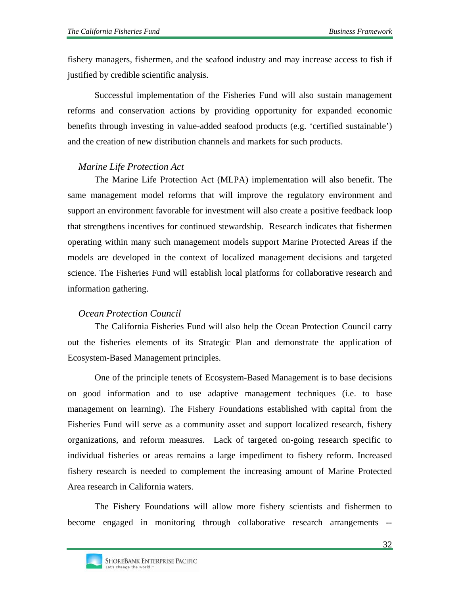fishery managers, fishermen, and the seafood industry and may increase access to fish if justified by credible scientific analysis.

Successful implementation of the Fisheries Fund will also sustain management reforms and conservation actions by providing opportunity for expanded economic benefits through investing in value-added seafood products (e.g. 'certified sustainable') and the creation of new distribution channels and markets for such products.

#### *Marine Life Protection Act*

The Marine Life Protection Act (MLPA) implementation will also benefit. The same management model reforms that will improve the regulatory environment and support an environment favorable for investment will also create a positive feedback loop that strengthens incentives for continued stewardship. Research indicates that fishermen operating within many such management models support Marine Protected Areas if the models are developed in the context of localized management decisions and targeted science. The Fisheries Fund will establish local platforms for collaborative research and information gathering.

#### *Ocean Protection Council*

The California Fisheries Fund will also help the Ocean Protection Council carry out the fisheries elements of its Strategic Plan and demonstrate the application of Ecosystem-Based Management principles.

One of the principle tenets of Ecosystem-Based Management is to base decisions on good information and to use adaptive management techniques (i.e. to base management on learning). The Fishery Foundations established with capital from the Fisheries Fund will serve as a community asset and support localized research, fishery organizations, and reform measures. Lack of targeted on-going research specific to individual fisheries or areas remains a large impediment to fishery reform. Increased fishery research is needed to complement the increasing amount of Marine Protected Area research in California waters.

The Fishery Foundations will allow more fishery scientists and fishermen to become engaged in monitoring through collaborative research arrangements --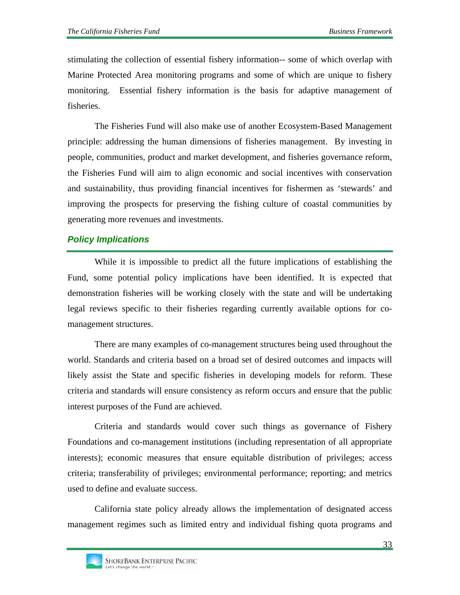stimulating the collection of essential fishery information-- some of which overlap with Marine Protected Area monitoring programs and some of which are unique to fishery monitoring. Essential fishery information is the basis for adaptive management of fisheries.

The Fisheries Fund will also make use of another Ecosystem-Based Management principle: addressing the human dimensions of fisheries management. By investing in people, communities, product and market development, and fisheries governance reform, the Fisheries Fund will aim to align economic and social incentives with conservation and sustainability, thus providing financial incentives for fishermen as 'stewards' and improving the prospects for preserving the fishing culture of coastal communities by generating more revenues and investments.

# *Policy Implications*

While it is impossible to predict all the future implications of establishing the Fund, some potential policy implications have been identified. It is expected that demonstration fisheries will be working closely with the state and will be undertaking legal reviews specific to their fisheries regarding currently available options for comanagement structures.

There are many examples of co-management structures being used throughout the world. Standards and criteria based on a broad set of desired outcomes and impacts will likely assist the State and specific fisheries in developing models for reform. These criteria and standards will ensure consistency as reform occurs and ensure that the public interest purposes of the Fund are achieved.

Criteria and standards would cover such things as governance of Fishery Foundations and co-management institutions (including representation of all appropriate interests); economic measures that ensure equitable distribution of privileges; access criteria; transferability of privileges; environmental performance; reporting; and metrics used to define and evaluate success.

California state policy already allows the implementation of designated access management regimes such as limited entry and individual fishing quota programs and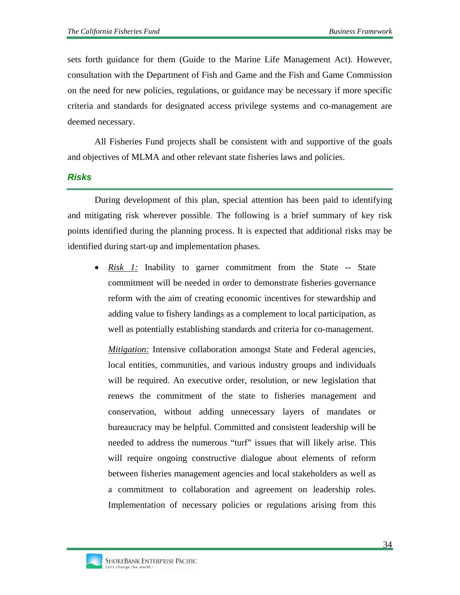sets forth guidance for them (Guide to the Marine Life Management Act). However, consultation with the Department of Fish and Game and the Fish and Game Commission on the need for new policies, regulations, or guidance may be necessary if more specific criteria and standards for designated access privilege systems and co-management are deemed necessary.

All Fisheries Fund projects shall be consistent with and supportive of the goals and objectives of MLMA and other relevant state fisheries laws and policies.

#### *Risks*

During development of this plan, special attention has been paid to identifying and mitigating risk wherever possible. The following is a brief summary of key risk points identified during the planning process. It is expected that additional risks may be identified during start-up and implementation phases.

• *Risk 1:* Inability to garner commitment from the State **--** State commitment will be needed in order to demonstrate fisheries governance reform with the aim of creating economic incentives for stewardship and adding value to fishery landings as a complement to local participation, as well as potentially establishing standards and criteria for co-management.

*Mitigation:* Intensive collaboration amongst State and Federal agencies, local entities, communities, and various industry groups and individuals will be required. An executive order, resolution, or new legislation that renews the commitment of the state to fisheries management and conservation, without adding unnecessary layers of mandates or bureaucracy may be helpful. Committed and consistent leadership will be needed to address the numerous "turf" issues that will likely arise. This will require ongoing constructive dialogue about elements of reform between fisheries management agencies and local stakeholders as well as a commitment to collaboration and agreement on leadership roles. Implementation of necessary policies or regulations arising from this

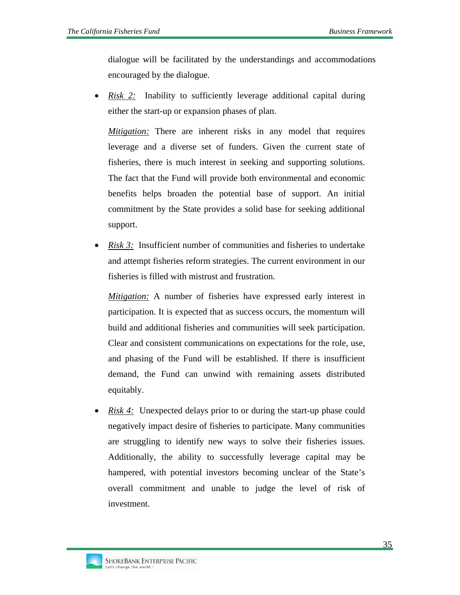dialogue will be facilitated by the understandings and accommodations encouraged by the dialogue.

• *Risk 2:* Inability to sufficiently leverage additional capital during either the start-up or expansion phases of plan.

*Mitigation:* There are inherent risks in any model that requires leverage and a diverse set of funders. Given the current state of fisheries, there is much interest in seeking and supporting solutions. The fact that the Fund will provide both environmental and economic benefits helps broaden the potential base of support. An initial commitment by the State provides a solid base for seeking additional support.

• *Risk 3:* Insufficient number of communities and fisheries to undertake and attempt fisheries reform strategies. The current environment in our fisheries is filled with mistrust and frustration.

*Mitigation:* A number of fisheries have expressed early interest in participation. It is expected that as success occurs, the momentum will build and additional fisheries and communities will seek participation. Clear and consistent communications on expectations for the role, use, and phasing of the Fund will be established. If there is insufficient demand, the Fund can unwind with remaining assets distributed equitably.

• *Risk 4:* Unexpected delays prior to or during the start-up phase could negatively impact desire of fisheries to participate. Many communities are struggling to identify new ways to solve their fisheries issues. Additionally, the ability to successfully leverage capital may be hampered, with potential investors becoming unclear of the State's overall commitment and unable to judge the level of risk of investment.

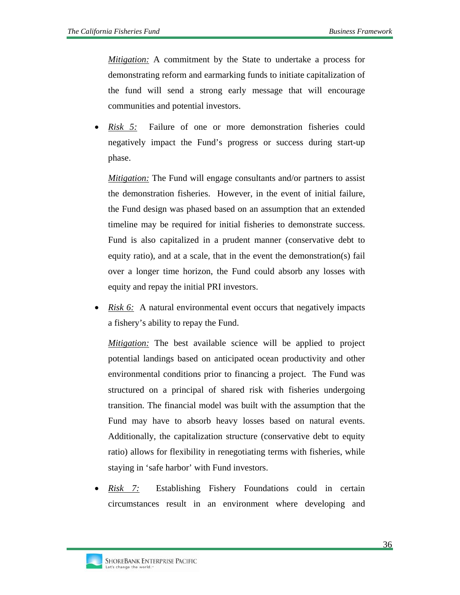*Mitigation:* A commitment by the State to undertake a process for demonstrating reform and earmarking funds to initiate capitalization of the fund will send a strong early message that will encourage communities and potential investors.

• *Risk 5:* Failure of one or more demonstration fisheries could negatively impact the Fund's progress or success during start-up phase.

*Mitigation:* The Fund will engage consultants and/or partners to assist the demonstration fisheries. However, in the event of initial failure, the Fund design was phased based on an assumption that an extended timeline may be required for initial fisheries to demonstrate success. Fund is also capitalized in a prudent manner (conservative debt to equity ratio), and at a scale, that in the event the demonstration(s) fail over a longer time horizon, the Fund could absorb any losses with equity and repay the initial PRI investors.

• *Risk 6:* A natural environmental event occurs that negatively impacts a fishery's ability to repay the Fund.

*Mitigation:* The best available science will be applied to project potential landings based on anticipated ocean productivity and other environmental conditions prior to financing a project. The Fund was structured on a principal of shared risk with fisheries undergoing transition. The financial model was built with the assumption that the Fund may have to absorb heavy losses based on natural events. Additionally, the capitalization structure (conservative debt to equity ratio) allows for flexibility in renegotiating terms with fisheries, while staying in 'safe harbor' with Fund investors.

• *Risk 7:* Establishing Fishery Foundations could in certain circumstances result in an environment where developing and

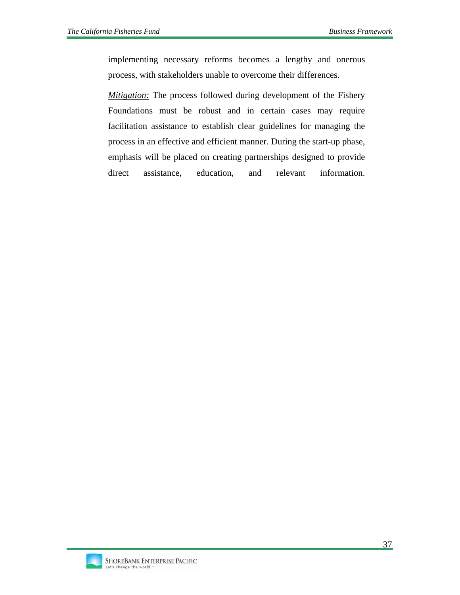implementing necessary reforms becomes a lengthy and onerous process, with stakeholders unable to overcome their differences.

*Mitigation:* The process followed during development of the Fishery Foundations must be robust and in certain cases may require facilitation assistance to establish clear guidelines for managing the process in an effective and efficient manner. During the start-up phase, emphasis will be placed on creating partnerships designed to provide direct assistance, education, and relevant information.

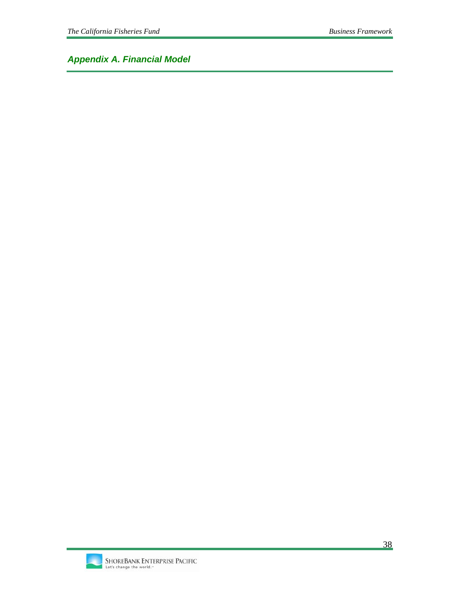*Appendix A. Financial Model*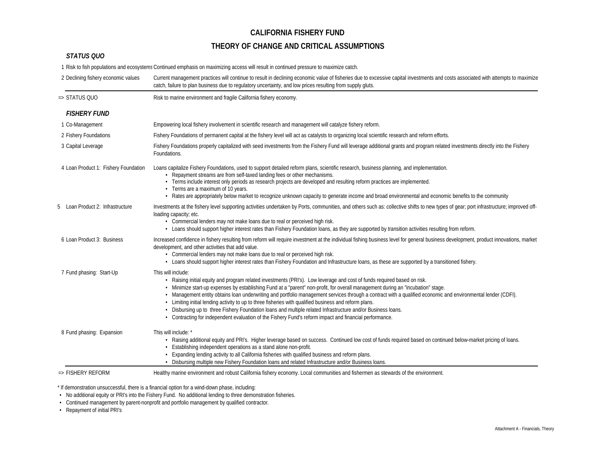## **THEORY OF CHANGE AND CRITICAL ASSUMPTIONS**

#### *STATUS QUO*

1 Risk to fish populations and ecosystemsContinued emphasis on maximizing access will result in continued pressure to maximize catch.

| 2 Declining fishery economic values  | Current management practices will continue to result in declining economic value of fisheries due to excessive capital investments and costs associated with attempts to maximize<br>catch, failure to plan business due to regulatory uncertainty, and low prices resulting from supply gluts.                                                                                                                                                                                                                                                                                                                                                                                                                                                                                          |
|--------------------------------------|------------------------------------------------------------------------------------------------------------------------------------------------------------------------------------------------------------------------------------------------------------------------------------------------------------------------------------------------------------------------------------------------------------------------------------------------------------------------------------------------------------------------------------------------------------------------------------------------------------------------------------------------------------------------------------------------------------------------------------------------------------------------------------------|
| $\Rightarrow$ STATUS QUO             | Risk to marine environment and fragile California fishery economy.                                                                                                                                                                                                                                                                                                                                                                                                                                                                                                                                                                                                                                                                                                                       |
| <b>FISHERY FUND</b>                  |                                                                                                                                                                                                                                                                                                                                                                                                                                                                                                                                                                                                                                                                                                                                                                                          |
| 1 Co-Management                      | Empowering local fishery involvement in scientific research and management will catalyze fishery reform.                                                                                                                                                                                                                                                                                                                                                                                                                                                                                                                                                                                                                                                                                 |
| 2 Fishery Foundations                | Fishery Foundations of permanent capital at the fishery level will act as catalysts to organizing local scientific research and reform efforts.                                                                                                                                                                                                                                                                                                                                                                                                                                                                                                                                                                                                                                          |
| 3 Capital Leverage                   | Fishery Foundations properly capitalized with seed investments from the Fishery Fund will leverage additional grants and program related investments directly into the Fishery<br>Foundations.                                                                                                                                                                                                                                                                                                                                                                                                                                                                                                                                                                                           |
| 4 Loan Product 1: Fishery Foundation | Loans capitalize Fishery Foundations, used to support detailed reform plans, scientific research, business planning, and implementation.<br>• Repayment streams are from self-taxed landing fees or other mechanisms.<br>· Terms include interest only periods as research projects are developed and resulting reform practices are implemented.<br>• Terms are a maximum of 10 years.<br>• Rates are appropriately below market to recognize unknown capacity to generate income and broad environmental and economic benefits to the community                                                                                                                                                                                                                                        |
| Loan Product 2: Infrastructure<br>5  | Investments at the fishery level supporting activities undertaken by Ports, communities, and others such as: collective shifts to new types of gear; port infrastructure; improved off-<br>loading capacity; etc.<br>• Commercial lenders may not make loans due to real or perceived high risk.<br>- Loans should support higher interest rates than Fishery Foundation loans, as they are supported by transition activities resulting from reform.                                                                                                                                                                                                                                                                                                                                    |
| 6 Loan Product 3: Business           | Increased confidence in fishery resulting from reform will require investment at the individual fishing business level for general business development, product innovations, market<br>development, and other activities that add value.<br>• Commercial lenders may not make loans due to real or perceived high risk.<br>· Loans should support higher interest rates than Fishery Foundation and Infrastructure loans, as these are supported by a transitioned fishery.                                                                                                                                                                                                                                                                                                             |
| 7 Fund phasing: Start-Up             | This will include:<br>· Raising initial equity and program related investments (PRI's). Low leverage and cost of funds required based on risk.<br>· Minimize start-up expenses by establishing Fund at a "parent" non-profit, for overall management during an "incubation" stage.<br>· Management entity obtains loan underwriting and portfolio management services through a contract with a qualified economic and environmental lender (CDFI).<br>· Limiting initial lending activity to up to three fisheries with qualified business and reform plans.<br>. Disbursing up to three Fishery Foundation loans and multiple related Infrastructure and/or Business loans.<br>• Contracting for independent evaluation of the Fishery Fund's reform impact and financial performance. |
| 8 Fund phasing: Expansion            | This will include: *<br>· Raising additional equity and PRI's. Higher leverage based on success. Continued low cost of funds required based on continued below-market pricing of loans.<br>• Establishing independent operations as a stand alone non-profit.<br>· Expanding lending activity to all California fisheries with qualified business and reform plans.<br>· Disbursing multiple new Fishery Foundation loans and related Infrastructure and/or Business loans.                                                                                                                                                                                                                                                                                                              |
| $\Rightarrow$ FISHERY REFORM         | Healthy marine environment and robust California fishery economy. Local communities and fishermen as stewards of the environment.                                                                                                                                                                                                                                                                                                                                                                                                                                                                                                                                                                                                                                                        |

\* If demonstration unsuccessful, there is a financial option for a wind-down phase, including:

• No additional equity or PRI's into the Fishery Fund. No additional lending to three demonstration fisheries.

• Continued management by parent-nonprofit and portfolio management by qualified contractor.

• Repayment of initial PRI's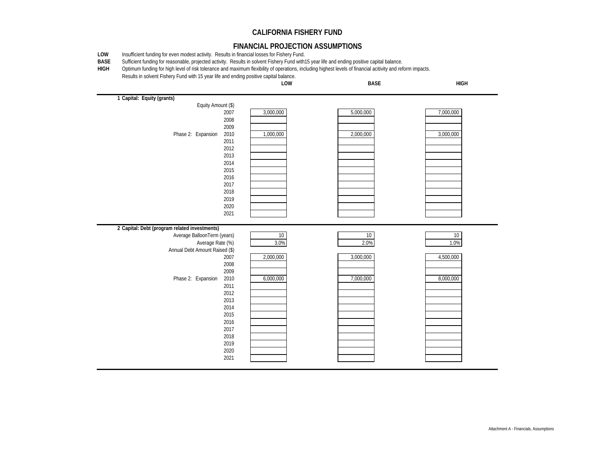#### **FINANCIAL PROJECTION ASSUMPTIONS**

**LOW**Insufficient funding for even modest activity. Results in financial losses for Fishery Fund.

**BASE**Sufficient funding for reasonable, projected activity. Results in solvent Fishery Fund with15 year life and ending positive capital balance.

**HIGH**Optimum funding for high level of risk tolerance and maximum flexibility of operations, including highest levels of financial acitivity and reform impacts.

Results in solvent Fishery Fund with 15 year life and ending positive capital balance.  **Capital: Equity (grants)** Equity Amount (\$) 3,000,000 5,000,000 7,000,000 Phase 2: Expansion 2010 1,000,000 2,000,000 2,000,000 3,000,000  **Capital: Debt (program related investments)** Average BalloonTerm (years) 10 10 10 Average Rate (%) 3.0% 3.0% 2.0% 2.0% 2.0% 1.0% Annual Debt Amount Raised (\$) 2,000,000 3,000,000 3,000,000 4,500,000 Phase 2: Expansion 2010 6,000,000 6,000,000 7,000,000 6,000,000 8,000,000 **LOW HIGHBASE**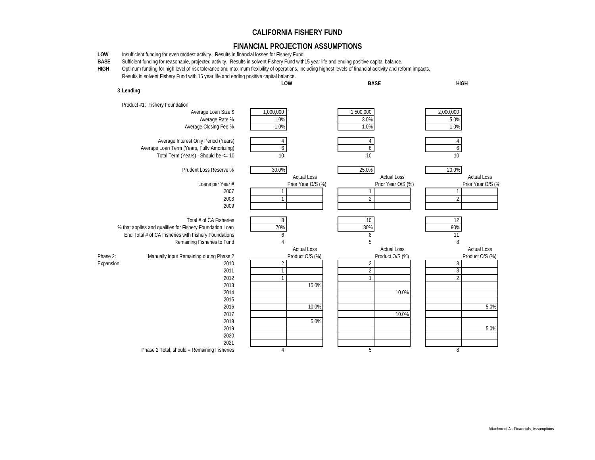#### **FINANCIAL PROJECTION ASSUMPTIONS**

- **LOW**Insufficient funding for even modest activity. Results in financial losses for Fishery Fund.
- **BASE**Sufficient funding for reasonable, projected activity. Results in solvent Fishery Fund with15 year life and ending positive capital balance.

**HIGH**Optimum funding for high level of risk tolerance and maximum flexibility of operations, including highest levels of financial acitivity and reform impacts.

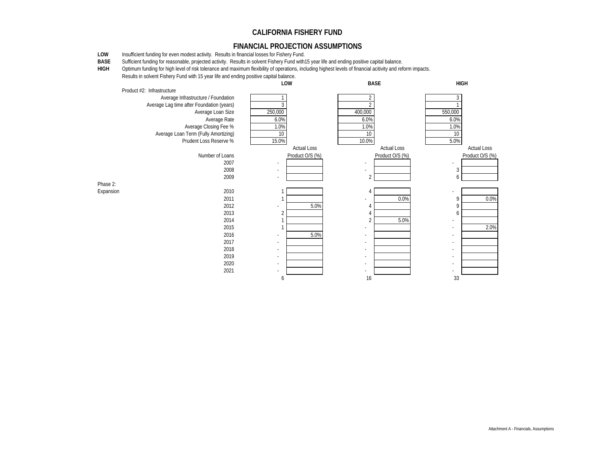#### **FINANCIAL PROJECTION ASSUMPTIONS**

**LOW**Insufficient funding for even modest activity. Results in financial losses for Fishery Fund.

**BASE**Sufficient funding for reasonable, projected activity. Results in solvent Fishery Fund with15 year life and ending positive capital balance.

**HIGH**Optimum funding for high level of risk tolerance and maximum flexibility of operations, including highest levels of financial acitivity and reform impacts.

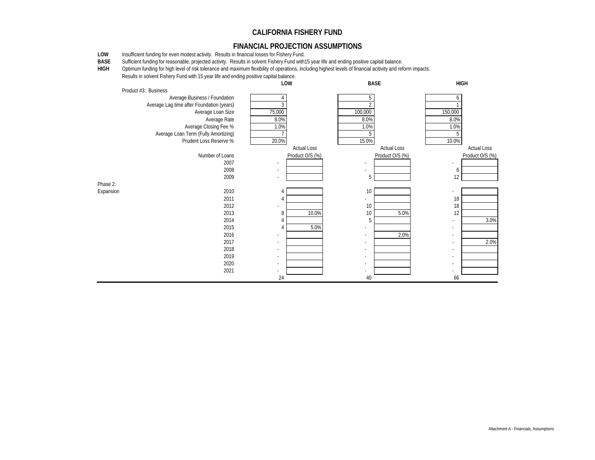#### **FINANCIAL PROJECTION ASSUMPTIONS**

**LOW**Insufficient funding for even modest activity. Results in financial losses for Fishery Fund.

**BASE**Sufficient funding for reasonable, projected activity. Results in solvent Fishery Fund with15 year life and ending positive capital balance.

**HIGH**Optimum funding for high level of risk tolerance and maximum flexibility of operations, including highest levels of financial acitivity and reform impacts.

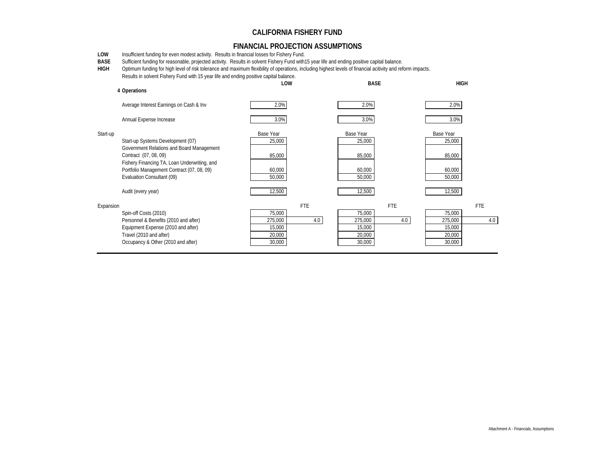#### **FINANCIAL PROJECTION ASSUMPTIONS**

**LOW**Insufficient funding for even modest activity. Results in financial losses for Fishery Fund.

**BASE**Sufficient funding for reasonable, projected activity. Results in solvent Fishery Fund with15 year life and ending positive capital balance.

**HIGH** Optimum funding for high level of risk tolerance and maximum flexibility of operations, including highest levels of financial acitivity and reform impacts. Results in solvent Fishery Fund with 15 year life and ending positive capital balance.

|           |                                                                                                                                                                                                                                                           | LOW                                                                  | <b>BASE</b>                                                          | <b>HIGH</b>                                                          |  |
|-----------|-----------------------------------------------------------------------------------------------------------------------------------------------------------------------------------------------------------------------------------------------------------|----------------------------------------------------------------------|----------------------------------------------------------------------|----------------------------------------------------------------------|--|
|           | 4 Operations                                                                                                                                                                                                                                              |                                                                      |                                                                      |                                                                      |  |
|           | Average Interest Earnings on Cash & Inv                                                                                                                                                                                                                   | 2.0%                                                                 | 2.0%                                                                 | 2.0%                                                                 |  |
|           | Annual Expense Increase                                                                                                                                                                                                                                   | 3.0%                                                                 | 3.0%                                                                 | 3.0%                                                                 |  |
| Start-up  | Start-up Systems Development (07)<br>Government Relations and Board Management<br>Contract (07, 08, 09)<br>Fishery Financing TA, Loan Underwriting, and<br>Portfolio Management Contract (07, 08, 09)<br>Evaluation Consultant (09)<br>Audit (every year) | Base Year<br>25,000<br>85,000<br>60,000<br>50,000<br>12,500          | Base Year<br>25,000<br>85,000<br>60,000<br>50,000<br>12,500          | Base Year<br>25,000<br>85,000<br>60,000<br>50,000<br>12,500          |  |
| Expansion | Spin-off Costs (2010)<br>Personnel & Benefits (2010 and after)<br>Equipment Expense (2010 and after)<br>Travel (2010 and after)<br>Occupancy & Other (2010 and after)                                                                                     | <b>FTE</b><br>75,000<br>275,000<br>4.0<br>15,000<br>20,000<br>30,000 | <b>FTE</b><br>75,000<br>275,000<br>4.0<br>15,000<br>20,000<br>30,000 | <b>FTE</b><br>75,000<br>4.0<br>275,000<br>15,000<br>20,000<br>30,000 |  |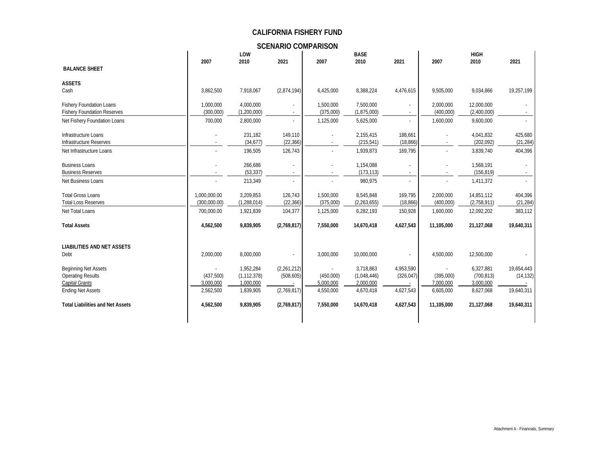**SCENARIO COMPARISON**

|                                           |              | LOW           |             |                          | <b>BASE</b>   |            |            | <b>HIGH</b> |            |
|-------------------------------------------|--------------|---------------|-------------|--------------------------|---------------|------------|------------|-------------|------------|
|                                           | 2007         | 2010          | 2021        | 2007                     | 2010          | 2021       | 2007       | 2010        | 2021       |
| <b>BALANCE SHEET</b>                      |              |               |             |                          |               |            |            |             |            |
| <b>ASSETS</b>                             |              |               |             |                          |               |            |            |             |            |
| Cash                                      | 3,862,500    | 7,918,067     | (2,874,194) | 6,425,000                | 8,388,224     | 4,476,615  | 9,505,000  | 9,034,866   | 19,257,199 |
| <b>Fishery Foundation Loans</b>           | 1,000,000    | 4,000,000     |             | 1,500,000                | 7,500,000     |            | 2,000,000  | 12,000,000  |            |
| <b>Fishery Foundation Reserves</b>        | (300,000)    | (1,200,000)   |             | (375,000)                | (1,875,000)   |            | (400,000)  | (2,400,000) |            |
| Net Fishery Foundation Loans              | 700,000      | 2,800,000     |             | 1,125,000                | 5,625,000     |            | 1,600,000  | 9,600,000   |            |
| Infrastructure Loans                      |              | 231,182       | 149,110     |                          | 2,155,415     | 188,661    |            | 4,041,832   | 425,680    |
| Infrastructure Reserves                   |              | (34, 677)     | (22, 366)   |                          | (215, 541)    | (18, 866)  |            | (202, 092)  | (21, 284)  |
| Net Infrastructure Loans                  |              | 196,505       | 126,743     |                          | 1,939,873     | 169,795    |            | 3,839,740   | 404,396    |
| <b>Business Loans</b>                     |              | 266,686       |             |                          | 1,154,088     |            |            | 1,568,191   |            |
| <b>Business Reserves</b>                  |              | (53, 337)     |             |                          | (173, 113)    |            |            | (156, 819)  |            |
| Net Business Loans                        |              | 213,349       |             |                          | 980,975       |            |            | 1,411,372   |            |
| <b>Total Gross Loans</b>                  | 1,000,000.00 | 3,209,853     | 126,743     | 1,500,000                | 8,545,848     | 169,795    | 2,000,000  | 14,851,112  | 404,396    |
| <b>Total Loss Reserves</b>                | (300,000.00) | (1, 288, 014) | (22, 366)   | (375,000)                | (2, 263, 655) | (18, 866)  | (400,000)  | (2,758,911) | (21, 284)  |
| Net Total Loans                           | 700,000.00   | 1,921,839     | 104,377     | 1,125,000                | 6,282,193     | 150,928    | 1,600,000  | 12,092,202  | 383,112    |
| <b>Total Assets</b>                       | 4,562,500    | 9,839,905     | (2,769,817) | 7,550,000                | 14,670,418    | 4,627,543  | 11,105,000 | 21,127,068  | 19,640,311 |
|                                           |              |               |             |                          |               |            |            |             |            |
| <b>LIABILITIES AND NET ASSETS</b><br>Debt | 2,000,000    | 8,000,000     |             | 3,000,000                | 10,000,000    |            | 4,500,000  | 12,500,000  |            |
|                                           |              |               |             |                          |               |            |            |             |            |
| <b>Beginning Net Assets</b>               |              | 1,952,284     | (2,261,212) | $\overline{\phantom{a}}$ | 3,718,863     | 4,953,590  |            | 6,327,881   | 19,654,443 |
| <b>Operating Results</b>                  | (437,500)    | (1, 112, 378) | (508, 605)  | (450,000)                | (1,048,446)   | (326, 047) | (395,000)  | (700, 813)  | (14, 132)  |
| Capital Grants                            | 3,000,000    | 1,000,000     |             | 5,000,000                | 2,000,000     |            | 7,000,000  | 3,000,000   |            |
| <b>Ending Net Assets</b>                  | 2,562,500    | 1,839,905     | (2,769,817) | 4,550,000                | 4,670,418     | 4,627,543  | 6,605,000  | 8,627,068   | 19,640,311 |
| <b>Total Liabilities and Net Assets</b>   | 4,562,500    | 9,839,905     | (2,769,817) | 7,550,000                | 14,670,418    | 4,627,543  | 11,105,000 | 21,127,068  | 19,640,311 |
|                                           |              |               |             |                          |               |            |            |             |            |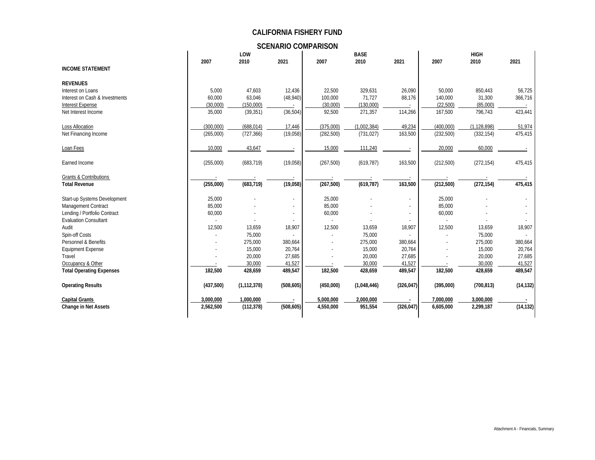**SCENARIO COMPARISON**

|                                   |           | LOW           |                          | <b>BASE</b> |             |            |            |               |           |
|-----------------------------------|-----------|---------------|--------------------------|-------------|-------------|------------|------------|---------------|-----------|
|                                   | 2007      | 2010          | 2021                     | 2007        | 2010        | 2021       | 2007       | 2010          | 2021      |
| <b>INCOME STATEMENT</b>           |           |               |                          |             |             |            |            |               |           |
|                                   |           |               |                          |             |             |            |            |               |           |
| <b>REVENUES</b>                   |           |               |                          |             |             |            |            |               |           |
| Interest on Loans                 | 5,000     | 47,603        | 12,436                   | 22,500      | 329,631     | 26,090     | 50,000     | 850,443       | 56,725    |
| Interest on Cash & Investments    | 60,000    | 63,046        | (48, 940)                | 100,000     | 71,727      | 88,176     | 140,000    | 31,300        | 366,716   |
| Interest Expense                  | (30,000)  | (150,000)     |                          | (30,000)    | (130,000)   |            | (22, 500)  | (85,000)      |           |
| Net Interest Income               | 35,000    | (39, 351)     | (36, 504)                | 92,500      | 271,357     | 114,266    | 167,500    | 796,743       | 423,441   |
| Loss Allocation                   | (300,000) | (688, 014)    | 17,446                   | (375,000)   | (1,002,384) | 49,234     | (400,000)  | (1, 128, 898) | 51,974    |
| Net Financing Income              | (265,000) | (727, 366)    | (19,058)                 | (282, 500)  | (731, 027)  | 163,500    | (232,500)  | (332, 154)    | 475,415   |
| Loan Fees                         | 10,000    | 43,647        |                          | 15,000      | 111,240     |            | 20,000     | 60,000        |           |
| Earned Income                     | (255,000) | (683, 719)    | (19,058)                 | (267, 500)  | (619, 787)  | 163,500    | (212,500)  | (272, 154)    | 475,415   |
|                                   |           |               |                          |             |             |            |            |               |           |
| <b>Grants &amp; Contributions</b> |           |               |                          |             |             |            |            |               |           |
| <b>Total Revenue</b>              | (255,000) | (683, 719)    | (19,058)                 | (267, 500)  | (619, 787)  | 163,500    | (212, 500) | (272, 154)    | 475,415   |
| Start-up Systems Development      | 25,000    |               | $\overline{\phantom{a}}$ | 25,000      |             |            | 25,000     |               |           |
| Management Contract               | 85,000    |               |                          | 85,000      |             |            | 85,000     |               |           |
| Lending / Portfolio Contract      | 60,000    |               |                          | 60,000      |             |            | 60,000     |               |           |
| <b>Evaluation Consultant</b>      |           |               |                          |             |             |            |            |               |           |
| Audit                             | 12,500    | 13,659        | 18,907                   | 12,500      | 13,659      | 18,907     | 12,500     | 13,659        | 18,907    |
| Spin-off Costs                    |           | 75,000        |                          |             | 75,000      |            |            | 75,000        |           |
| Personnel & Benefits              |           | 275,000       | 380,664                  |             | 275,000     | 380,664    |            | 275,000       | 380,664   |
| <b>Equipment Expense</b>          |           | 15,000        | 20,764                   |             | 15,000      | 20,764     |            | 15,000        | 20,764    |
| Travel                            |           | 20,000        | 27,685                   |             | 20,000      | 27,685     |            | 20,000        | 27,685    |
| Occupancy & Other                 |           | 30.000        | 41.527                   |             | 30.000      | 41.527     |            | 30.000        | 41.527    |
| <b>Total Operating Expenses</b>   | 182,500   | 428,659       | 489,547                  | 182,500     | 428,659     | 489,547    | 182,500    | 428,659       | 489,547   |
| <b>Operating Results</b>          | (437,500) | (1, 112, 378) | (508, 605)               | (450,000)   | (1,048,446) | (326, 047) | (395,000)  | (700, 813)    | (14, 132) |
| <b>Capital Grants</b>             | 3.000.000 | 1.000.000     |                          | 5.000.000   | 2.000.000   |            | 7.000.000  | 3.000.000     |           |
| <b>Change in Net Assets</b>       | 2,562,500 | (112, 378)    | (508, 605)               | 4,550,000   | 951,554     | (326, 047) | 6,605,000  | 2,299,187     | (14, 132) |
|                                   |           |               |                          |             |             |            |            |               |           |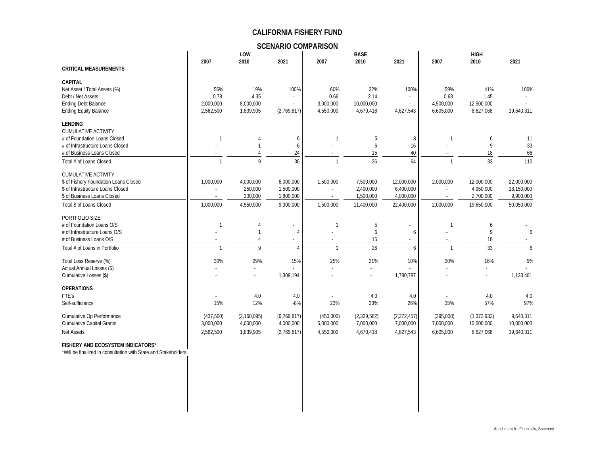**SCENARIO COMPARISON**

|                                                                                                                                                                     |                                       | LOW                                          |                                                  |                                       | <b>BASE</b>                                       |                                                    |                                       | <b>HIGH</b>                                        |                                                     |
|---------------------------------------------------------------------------------------------------------------------------------------------------------------------|---------------------------------------|----------------------------------------------|--------------------------------------------------|---------------------------------------|---------------------------------------------------|----------------------------------------------------|---------------------------------------|----------------------------------------------------|-----------------------------------------------------|
| <b>CRITICAL MEASUREMENTS</b>                                                                                                                                        | 2007                                  | 2010                                         | 2021                                             | 2007                                  | 2010                                              | 2021                                               | 2007                                  | 2010                                               | 2021                                                |
|                                                                                                                                                                     |                                       |                                              |                                                  |                                       |                                                   |                                                    |                                       |                                                    |                                                     |
| <b>CAPITAL</b><br>Net Asset / Total Assets (%)<br>Debt / Net Assets<br><b>Ending Debt Balance</b><br><b>Ending Equity Balance</b>                                   | 56%<br>0.78<br>2,000,000<br>2,562,500 | 19%<br>4.35<br>8,000,000<br>1,839,905        | 100%<br>(2,769,817)                              | 60%<br>0.66<br>3,000,000<br>4,550,000 | 32%<br>2.14<br>10,000,000<br>4,670,418            | 100%<br>×.<br>٠<br>4,627,543                       | 59%<br>0.68<br>4,500,000<br>6,605,000 | 41%<br>1.45<br>12,500,000<br>8,627,068             | 100%<br>19,640,311                                  |
| <b>LENDING</b><br><b>CUMULATIVE ACTIVITY</b><br># of Foundation Loans Closed<br># of Infrastructure Loans Closed<br># of Business Loans Closed                      |                                       |                                              | 6<br>6<br>24                                     | 1                                     | 5<br>6<br>15                                      | 8<br>16<br>40                                      | 1                                     | 6<br>9<br>18                                       | 11<br>33<br>66                                      |
| Total # of Loans Closed                                                                                                                                             |                                       | Q                                            | 36                                               | $\mathbf{1}$                          | 26                                                | 64                                                 | $\mathbf{1}$                          | 33                                                 | 110                                                 |
| <b>CUMULATIVE ACTIVITY</b><br>\$ of Fishery Foundation Loans Closed<br>\$ of Infrastructure Loans Closed<br>\$ of Business Loans Closed<br>Total \$ of Loans Closed | 1,000,000<br>1,000,000                | 4,000,000<br>250,000<br>300,000<br>4,550,000 | 6,000,000<br>1,500,000<br>1,800,000<br>9,300,000 | 1,500,000<br>1,500,000                | 7,500,000<br>2,400,000<br>1,500,000<br>11,400,000 | 12,000,000<br>6,400,000<br>4,000,000<br>22,400,000 | 2,000,000<br>$\sim$<br>2,000,000      | 12,000,000<br>4.950.000<br>2,700,000<br>19,650,000 | 22,000,000<br>18,150,000<br>9,900,000<br>50,050,000 |
| PORTFOLIO SIZE<br># of Foundation Loans O/S<br># of Infrastructure Loans O/S<br># of Business Loans O/S<br>Total # of Loans in Portfolio                            | -1<br>$\overline{1}$                  | $\mathsf{Q}$                                 | 4<br>$\overline{4}$                              | 1<br>$\mathbf{1}$                     | 5<br>6<br>15<br>26                                | 6<br>6                                             | $\mathbf{1}$                          | 6<br>9<br>18<br>33                                 | 6<br>6                                              |
| Total Loss Reserve (%)<br>Actual Annual Losses (\$)<br>Cumulative Losses (\$)                                                                                       | 30%                                   | 29%                                          | 15%<br>1,309,194                                 | 25%                                   | 21%                                               | 10%<br>1,780,787                                   | 20%                                   | 16%                                                | 5%<br>1,133,481                                     |
| <b>OPERATIONS</b><br>FTE's<br>Self-sufficiency                                                                                                                      | 15%                                   | 4.0<br>12%                                   | 4.0<br>$-8%$                                     | 23%                                   | 4.0<br>33%                                        | 4.0<br>26%                                         | 35%                                   | 4.0<br>57%                                         | 4.0<br>97%                                          |
| Cumulative Op Performance<br><b>Cumulative Capital Grants</b>                                                                                                       | (437,500)<br>3,000,000                | (2,160,095)<br>4,000,000                     | (6,769,817)<br>4,000,000                         | (450,000)<br>5,000,000                | (2,329,582)<br>7,000,000                          | (2,372,457)<br>7,000,000                           | (395,000)<br>7,000,000                | (1, 372, 932)<br>10,000,000                        | 9,640,311<br>10,000,000                             |
| <b>Net Assets</b>                                                                                                                                                   | 2,562,500                             | 1,839,905                                    | (2,769,817)                                      | 4,550,000                             | 4,670,418                                         | 4,627,543                                          | 6,605,000                             | 8,627,068                                          | 19,640,311                                          |
| FISHERY AND ECOSYSTEM INDICATORS*                                                                                                                                   |                                       |                                              |                                                  |                                       |                                                   |                                                    |                                       |                                                    |                                                     |

\*Will be finalized in consultation with State and Stakeholders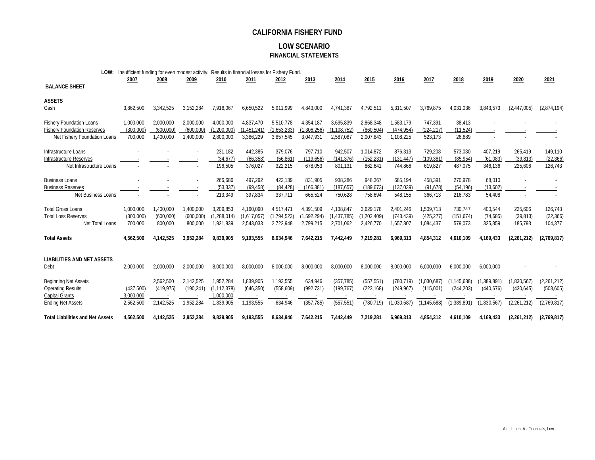#### **LOW SCENARIO FINANCIAL STATEMENTS**

| LOW:                                           | Insufficient funding for even modest activity. |            |            |                        |                      | Results in financial losses for Fishery Fund. |                       |                       |                       |                       |                      |                      |                    |             |             |
|------------------------------------------------|------------------------------------------------|------------|------------|------------------------|----------------------|-----------------------------------------------|-----------------------|-----------------------|-----------------------|-----------------------|----------------------|----------------------|--------------------|-------------|-------------|
|                                                | 2007                                           | 2008       | 2009       | 2010                   | 2011                 | 2012                                          | 2013                  | 2014                  | 2015                  | 2016                  | 2017                 | 2018                 | 2019               | 2020        | 2021        |
| <b>BALANCE SHEET</b>                           |                                                |            |            |                        |                      |                                               |                       |                       |                       |                       |                      |                      |                    |             |             |
| <b>ASSETS</b>                                  |                                                |            |            |                        |                      |                                               |                       |                       |                       |                       |                      |                      |                    |             |             |
| Cash                                           | 3,862,500                                      | 3,342,525  | 3,152,284  | 7,918,067              | 6,650,522            | 5,911,999                                     | 4,843,000             | 4,741,387             | 4,792,511             | 5,311,507             | 3,769,875            | 4,031,036            | 3,843,573          | (2,447,005) | (2,874,194) |
|                                                |                                                |            |            |                        |                      |                                               |                       |                       |                       |                       |                      |                      |                    |             |             |
| <b>Fishery Foundation Loans</b>                | 1,000,000                                      | 2,000,000  | 2,000,000  | 4,000,000              | 4,837,470            | 5,510,778                                     | 4,354,187             | 3,695,839             | 2,868,348             | 1,583,179             | 747,391              | 38,413               |                    |             |             |
| <b>Fishery Foundation Reserves</b>             | (300,000)                                      | (600,000   | (600,000)  | ,200,000               | (1,451,241)          | (1,653,233)                                   | (1,306,256)           | (1, 108, 752)         | (860, 504)            | (474, 954)            | (224, 217)           | (11, 524)            |                    |             |             |
| Net Fishery Foundation Loans                   | 700,000                                        | 1,400,000  | ,400,000   | 2,800,000              | 3,386,229            | 3,857,545                                     | 3,047,931             | 2,587,087             | 2,007,843             | 1,108,225             | 523,173              | 26,889               |                    |             |             |
| Infrastructure Loans                           |                                                |            |            | 231,182                | 442,385              | 379,076                                       | 797,710               | 942,507               | 1,014,872             | 876,313               | 729,208              | 573,030              | 407,219            | 265,419     | 149,110     |
| Infrastructure Reserves                        |                                                |            |            | (34, 677)              | (66, 358)            | (56, 861)                                     | (119, 656)            | (141, 376)            | (152, 231)            | (131, 447)            | (109, 381)           | (85, 954)            | (61,083)           | (39, 813)   | (22, 366)   |
| Net Infrastructure Loans                       |                                                |            |            | 196,505                | 376,027              | 322,215                                       | 678,053               | 801,131               | 862,641               | 744,866               | 619,827              | 487,075              | 346,136            | 225,606     | 126,743     |
|                                                |                                                |            |            |                        |                      |                                               |                       |                       |                       |                       |                      |                      |                    |             |             |
| <b>Business Loans</b>                          |                                                |            |            | 266,686                | 497,292              | 422,139                                       | 831,905               | 938,286               | 948,367               | 685,194               | 458,391              | 270,978              | 68,010             |             |             |
| <b>Business Reserves</b><br>Net Business Loans |                                                |            |            | (53, 337)<br>213,349   | (99, 458)<br>397,834 | (84, 428)<br>337,711                          | (166, 381)<br>665,524 | (187, 657)<br>750,628 | (189, 673)<br>758,694 | (137, 039)<br>548,155 | (91, 678)<br>366,713 | (54, 196)<br>216,783 | (13,602)<br>54,408 |             |             |
|                                                |                                                |            |            |                        |                      |                                               |                       |                       |                       |                       |                      |                      |                    |             |             |
| <b>Total Gross Loans</b>                       | 1,000,000                                      | 1.400.000  | .400.000   | 3.209.853              | 4.160.090            | 4.517.471                                     | 4.391.509             | 4.138.847             | 3.629.178             | 2.401.246             | 1,509,713            | 730,747              | 400,544            | 225,606     | 126,743     |
| <b>Total Loss Reserves</b>                     | (300,000)                                      | (600,000)  | (600,000   | (1, 288, 014)          | (1,617,057)          | (1, 794, 523)                                 | (1,592,294)           | (1, 437, 785)         | (1, 202, 409)         | (743, 439)            | (425, 277)           | (151, 674)           | (74, 685)          | (39, 813)   | (22, 366)   |
| Net Total Loans                                | 700,000                                        | 800,000    | 800,000    | 1,921,839              | 2,543,033            | 2,722,948                                     | 2,799,215             | 2,701,062             | 2,426,770             | 1,657,807             | 1,084,437            | 579,073              | 325,859            | 185,793     | 104,377     |
| <b>Total Assets</b>                            | 4,562,500                                      | 4.142.525  | 3,952,284  | 9,839,905              | 9,193,555            | 8,634,946                                     | 7,642,215             | 7.442.449             | 7,219,281             | 6,969,313             | 4,854,312            | 4,610,109            | 4,169,433          | (2,261,212) | (2,769,817) |
|                                                |                                                |            |            |                        |                      |                                               |                       |                       |                       |                       |                      |                      |                    |             |             |
| <b>LIABILITIES AND NET ASSETS</b>              |                                                |            |            |                        |                      |                                               |                       |                       |                       |                       |                      |                      |                    |             |             |
| Debt                                           | 2,000,000                                      | 2,000,000  | 2,000,000  | 8,000,000              | 8,000,000            | 8,000,000                                     | 8,000,000             | 8,000,000             | 8,000,000             | 8,000,000             | 6,000,000            | 6,000,000            | 6,000,000          |             |             |
|                                                |                                                |            |            |                        |                      |                                               |                       |                       |                       |                       |                      |                      |                    |             |             |
| <b>Beginning Net Assets</b>                    |                                                | 2,562,500  | 2,142,525  | 1,952,284              | 1,839,905            | 1,193,555                                     | 634,946               | (357, 785)            | (557, 551)            | (780, 719)            | (1,030,687)          | (1, 145, 688)        | (1,389,891)        | (1,830,567) | (2,261,212) |
| <b>Operating Results</b>                       | (437,500)                                      | (419, 975) | (190, 241) | (1, 112, 378)          | (646, 350)           | (558, 609)                                    | (992, 731)            | (199, 767)            | (223, 168)            | (249, 967)            | (115,001)            | (244, 203)           | (440, 676)         | (430, 645)  | (508, 605)  |
| Capital Grants<br><b>Ending Net Assets</b>     | 3,000,000<br>2,562,500                         | 2,142,525  | ,952,284   | 1,000,000<br>1,839,905 | 1,193,555            | 634,946                                       | (357, 785)            | (557, 551)            | (780, 719)            | (1,030,687)           | (1, 145, 688)        | (1,389,891)          | (1,830,567)        | (2,261,212) | (2,769,817) |
|                                                |                                                |            |            |                        |                      |                                               |                       |                       |                       |                       |                      |                      |                    |             |             |
| <b>Total Liabilities and Net Assets</b>        | 4,562,500                                      | 4.142.525  | 3,952,284  | 9,839,905              | 9,193,555            | 8,634,946                                     | 7,642,215             | 7.442.449             | 7.219.281             | 6,969,313             | 4,854,312            | 4.610.109            | 4,169,433          | (2,261,212) | (2,769,817) |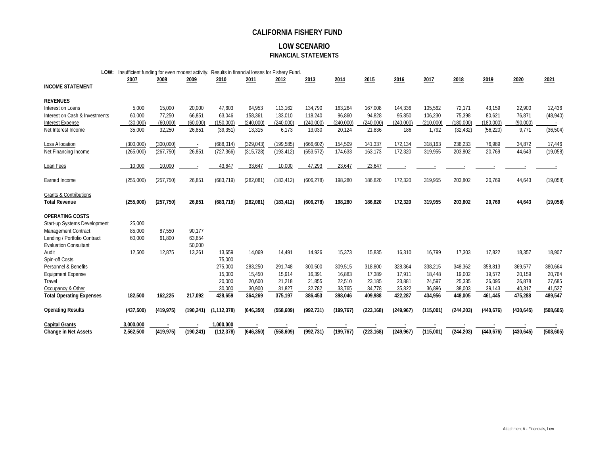#### **LOW SCENARIO FINANCIAL STATEMENTS**

| LOW:                              | Insufficient funding for even modest activity. Results in financial losses for Fishery Fund. |            |            |               |            |            |            |            |            |            |           |            |            |            |            |
|-----------------------------------|----------------------------------------------------------------------------------------------|------------|------------|---------------|------------|------------|------------|------------|------------|------------|-----------|------------|------------|------------|------------|
|                                   | 2007                                                                                         | 2008       | 2009       | 2010          | 2011       | 2012       | 2013       | 2014       | 2015       | 2016       | 2017      | 2018       | 2019       | 2020       | 2021       |
| <b>INCOME STATEMENT</b>           |                                                                                              |            |            |               |            |            |            |            |            |            |           |            |            |            |            |
| <b>REVENUES</b>                   |                                                                                              |            |            |               |            |            |            |            |            |            |           |            |            |            |            |
| Interest on Loans                 | 5,000                                                                                        | 15,000     | 20,000     | 47,603        | 94,953     | 113,162    | 134,790    | 163,264    | 167,008    | 144,336    | 105,562   | 72,171     | 43,159     | 22,900     | 12,436     |
| Interest on Cash & Investments    | 60,000                                                                                       | 77,250     | 66,851     | 63,046        | 158,361    | 133,010    | 118,240    | 96,860     | 94,828     | 95,850     | 106,230   | 75,398     | 80,621     | 76,871     | (48, 940)  |
| <b>Interest Expense</b>           | (30,000)                                                                                     | (60,000)   | (60,000)   | (150,000)     | (240,000)  | (240,000)  | (240,000)  | (240,000)  | (240,000)  | (240,000)  | (210,000) | (180,000)  | (180,000)  | (90,000)   |            |
| Net Interest Income               | 35,000                                                                                       | 32,250     | 26,851     | (39, 351)     | 13,315     | 6,173      | 13,030     | 20,124     | 21,836     | 186        | 1,792     | (32, 432)  | (56, 220)  | 9,771      | (36, 504)  |
| Loss Allocation                   | (300,000)                                                                                    | (300,000)  |            | (688, 014)    | (329, 043) | (199, 585) | (666, 602) | 154,509    | 141,337    | 172,134    | 318,163   | 236,233    | 76,989     | 34,872     | 17,446     |
| Net Financing Income              | (265,000)                                                                                    | (267, 750) | 26,851     | (727, 366)    | (315, 728) | (193, 412) | (653, 572) | 174,633    | 163,173    | 172,320    | 319,955   | 203,802    | 20,769     | 44,643     | (19,058)   |
| Loan Fees                         | 10,000                                                                                       | 10,000     |            | 43,647        | 33,647     | 10,000     | 47,293     | 23,647     | 23,647     |            |           |            |            |            |            |
| Earned Income                     | (255,000)                                                                                    | (257, 750) | 26,851     | (683, 719)    | (282,081)  | (183, 412) | (606, 278) | 198,280    | 186,820    | 172,320    | 319,955   | 203,802    | 20,769     | 44,643     | (19,058)   |
| <b>Grants &amp; Contributions</b> |                                                                                              |            |            |               |            |            |            |            |            |            |           |            |            |            |            |
| <b>Total Revenue</b>              | (255,000)                                                                                    | (257, 750) | 26,851     | (683, 719)    | (282, 081) | (183, 412) | (606, 278) | 198,280    | 186,820    | 172,320    | 319,955   | 203,802    | 20,769     | 44,643     | (19,058)   |
| <b>OPERATING COSTS</b>            |                                                                                              |            |            |               |            |            |            |            |            |            |           |            |            |            |            |
| Start-up Systems Development      | 25,000                                                                                       |            |            |               |            |            |            |            |            |            |           |            |            |            |            |
| Management Contract               | 85,000                                                                                       | 87,550     | 90,177     |               |            |            |            |            |            |            |           |            |            |            |            |
| Lending / Portfolio Contract      | 60,000                                                                                       | 61,800     | 63,654     |               |            |            |            |            |            |            |           |            |            |            |            |
| <b>Evaluation Consultant</b>      |                                                                                              |            | 50,000     |               |            |            |            |            |            |            |           |            |            |            |            |
| Audit                             | 12,500                                                                                       | 12,875     | 13.261     | 13,659        | 14,069     | 14,491     | 14,926     | 15,373     | 15,835     | 16,310     | 16,799    | 17,303     | 17,822     | 18,357     | 18,907     |
| Spin-off Costs                    |                                                                                              |            |            | 75,000        |            |            |            |            |            |            |           |            |            |            |            |
| Personnel & Benefits              |                                                                                              |            |            | 275,000       | 283,250    | 291.748    | 300,500    | 309,515    | 318,800    | 328,364    | 338,215   | 348,362    | 358,813    | 369.577    | 380,664    |
| <b>Equipment Expense</b>          |                                                                                              |            |            | 15,000        | 15,450     | 15,914     | 16,391     | 16,883     | 17,389     | 17,911     | 18,448    | 19,002     | 19,572     | 20,159     | 20,764     |
| Travel                            |                                                                                              |            |            | 20,000        | 20,600     | 21,218     | 21,855     | 22,510     | 23,185     | 23,881     | 24,597    | 25,335     | 26,095     | 26,878     | 27,685     |
| Occupancy & Other                 |                                                                                              |            |            | 30,000        | 30,900     | 31,827     | 32,782     | 33,765     | 34,778     | 35,822     | 36,896    | 38,003     | 39,143     | 40,317     | 41,527     |
| <b>Total Operating Expenses</b>   | 182,500                                                                                      | 162,225    | 217,092    | 428,659       | 364,269    | 375,197    | 386,453    | 398,046    | 409,988    | 422,287    | 434,956   | 448,005    | 461,445    | 475,288    | 489,547    |
| <b>Operating Results</b>          | (437,500)                                                                                    | (419, 975) | (190, 241) | (1, 112, 378) | (646, 350) | (558, 609) | (992, 731) | (199, 767) | (223, 168) | (249, 967) | (115,001) | (244, 203) | (440, 676) | (430, 645) | (508, 605) |
| <b>Capital Grants</b>             | 3,000,000                                                                                    |            |            | 1,000,000     |            |            |            |            |            |            |           |            |            |            |            |
| <b>Change in Net Assets</b>       | 2,562,500                                                                                    | (419, 975) | (190, 241) | (112, 378)    | (646, 350) | (558, 609) | (992, 731) | (199.767)  | (223.168)  | (249, 967) | (115,001) | (244, 203) | (440, 676) | (430, 645) | (508, 605) |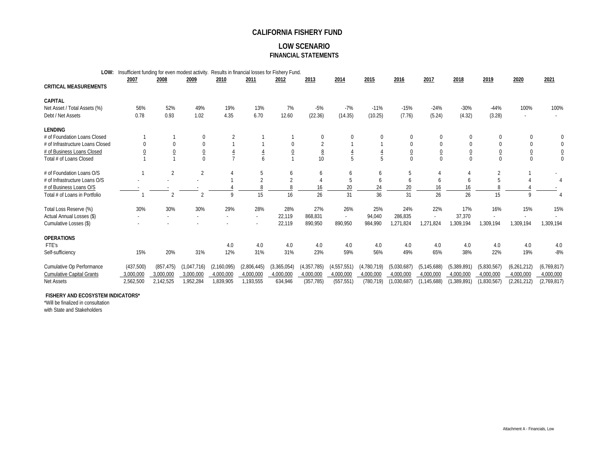#### **LOW SCENARIO FINANCIAL STATEMENTS**

|                                  | LOW: | Insufficient funding for even modest activity. |                |             |               | Results in financial losses for Fishery Fund. |                |                 |                |                |                |               |                |                |                 |                |
|----------------------------------|------|------------------------------------------------|----------------|-------------|---------------|-----------------------------------------------|----------------|-----------------|----------------|----------------|----------------|---------------|----------------|----------------|-----------------|----------------|
|                                  |      | 2007                                           | 2008           | 2009        | 2010          | 2011                                          | 2012           | 2013            | 2014           | 2015           | 2016           | 2017          | 2018           | 2019           | 2020            | 2021           |
| <b>CRITICAL MEASUREMENTS</b>     |      |                                                |                |             |               |                                               |                |                 |                |                |                |               |                |                |                 |                |
| <b>CAPITAL</b>                   |      |                                                |                |             |               |                                               |                |                 |                |                |                |               |                |                |                 |                |
| Net Asset / Total Assets (%)     |      | 56%                                            | 52%            | 49%         | 19%           | 13%                                           | 7%             | $-5%$           | $-7%$          | $-11%$         | $-15%$         | $-24%$        | $-30%$         | $-44%$         | 100%            | 100%           |
| Debt / Net Assets                |      | 0.78                                           | 0.93           | 1.02        | 4.35          | 6.70                                          | 12.60          | (22.36)         | (14.35)        | (10.25)        | (7.76)         | (5.24)        | (4.32)         | (3.28)         | ٠               |                |
| <b>LENDING</b>                   |      |                                                |                |             |               |                                               |                |                 |                |                |                |               |                |                |                 |                |
| # of Foundation Loans Closed     |      |                                                |                |             |               |                                               |                | $\Omega$        |                |                |                |               |                |                | 0               |                |
| # of Infrastructure Loans Closed |      |                                                |                |             |               |                                               |                | $\overline{2}$  |                |                |                |               |                |                | 0               | 0              |
| # of Business Loans Closed       |      |                                                |                |             |               |                                               | $\overline{0}$ | $\underline{8}$ | $\overline{4}$ | $\frac{4}{1}$  | $\overline{0}$ |               | $\overline{0}$ | $\overline{0}$ | $\underline{0}$ | $\overline{0}$ |
| Total # of Loans Closed          |      |                                                |                | $\Omega$    |               |                                               |                | 10              | 5              | $\overline{5}$ |                |               |                | $\Omega$       | $\Omega$        |                |
| # of Foundation Loans O/S        |      |                                                | $\overline{2}$ | 2           |               | 5                                             | 6              | 6               | 6              | 6              | 5              |               |                | $\overline{2}$ |                 |                |
| # of Infrastructure Loans O/S    |      |                                                |                |             |               |                                               |                |                 | 5              | 6              | 6              |               |                |                |                 |                |
| # of Business Loans O/S          |      |                                                |                |             |               |                                               |                | 16              | 20             | 24             | 20             | 16            | 16             |                |                 |                |
| Total # of Loans in Portfolio    |      |                                                |                |             |               | 15                                            | 16             | 26              | 31             | 36             | 31             | 26            | 26             | 15             |                 |                |
| Total Loss Reserve (%)           |      | 30%                                            | 30%            | 30%         | 29%           | 28%                                           | 28%            | 27%             | 26%            | 25%            | 24%            | 22%           | 17%            | 16%            | 15%             | 15%            |
| Actual Annual Losses (\$)        |      |                                                |                |             |               |                                               | 22,119         | 868,831         |                | 94,040         | 286,835        |               | 37,370         |                |                 |                |
| Cumulative Losses (\$)           |      |                                                |                |             |               |                                               | 22,119         | 890,950         | 890,950        | 984,990        | 1,271,824      | 1.271.824     | 1,309,194      | 1,309,194      | 1,309,194       | 1,309,194      |
| <b>OPERATIONS</b>                |      |                                                |                |             |               |                                               |                |                 |                |                |                |               |                |                |                 |                |
| FTE's                            |      |                                                |                |             | 4.0           | 4.0                                           | 4.0            | 4.0             | 4.0            | 4.0            | 4.0            | 4.0           | 4.0            | 4.0            | 4.0             | 4.0            |
| Self-sufficiency                 |      | 15%                                            | 20%            | 31%         | 12%           | 31%                                           | 31%            | 23%             | 59%            | 56%            | 49%            | 65%           | 38%            | 22%            | 19%             | $-8%$          |
| Cumulative Op Performance        |      | (437,500)                                      | (857, 475)     | (1,047,716) | (2, 160, 095) | (2,806,445)                                   | (3,365,054)    | (4, 357, 785)   | (4,557,551)    | (4,780,719)    | (5,030,687)    | (5, 145, 688) | (5,389,891)    | (5,830,567)    | (6,261,212)     | (6,769,817)    |
| <b>Cumulative Capital Grants</b> |      | 3,000,000                                      | 3,000,000      | 3,000,000   | 4,000,000     | 4,000,000                                     | 4,000,000      | 4,000,000       | 4,000,000      | 4,000,000      | 4,000,000      | 4,000,000     | 4,000,000      | 4,000,000      | 4,000,000       | 4,000,000      |
| Net Assets                       |      | 2,562,500                                      | 2.142.525      | 1,952,284   | 1,839,905     | 1,193,555                                     | 634,946        | (357, 785)      | (557, 551)     | (780, 719)     | (1,030,687)    | (1, 145, 688) | (1,389,891)    | (1,830,567)    | (2,261,212)     | (2,769,817)    |

#### **FISHERY AND ECOSYSTEM INDICATORS\***

\*Will be finalized in consultation

with State and Stakeholders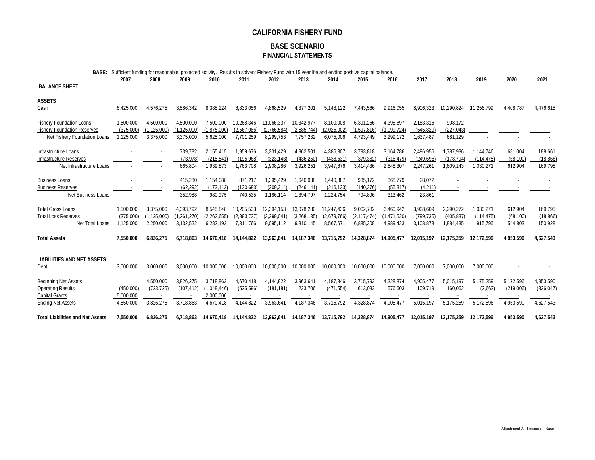#### **BASE SCENARIO FINANCIAL STATEMENTS**

| BASE:                                     |           | Sufficient funding for reasonable, projected activity. Results in solvent Fishery Fund with 15 year life and ending positive capital balance. |             |             |             |             |             |             |             |             |            |            |            |           |            |
|-------------------------------------------|-----------|-----------------------------------------------------------------------------------------------------------------------------------------------|-------------|-------------|-------------|-------------|-------------|-------------|-------------|-------------|------------|------------|------------|-----------|------------|
|                                           | 2007      | 2008                                                                                                                                          | 2009        | 2010        | 2011        | 2012        | 2013        | 2014        | 2015        | 2016        | 2017       | 2018       | 2019       | 2020      | 2021       |
| <b>BALANCE SHEET</b>                      |           |                                                                                                                                               |             |             |             |             |             |             |             |             |            |            |            |           |            |
| <b>ASSETS</b>                             |           |                                                                                                                                               |             |             |             |             |             |             |             |             |            |            |            |           |            |
| Cash                                      | 6,425,000 | 4,576,275                                                                                                                                     | 3,586,342   | 8.388.224   | 6,833,056   | 4.868.529   | 4,377,201   | 5,148,122   | 7,443,566   | 9,916,055   | 8.906.323  | 10,290,824 | 11.256.799 | 4,408,787 | 4,476,615  |
| <b>Fishery Foundation Loans</b>           | 1,500,000 | 4,500,000                                                                                                                                     | 4,500,000   | 7,500,000   | 10.268.346  | 11.066.337  | 10.342.977  | 8,100,008   | 6,391,266   | 4.398.897   | 2,183,316  | 908,172    |            |           |            |
| <b>Fishery Foundation Reserves</b>        | (375.000) | (1.125.000)                                                                                                                                   | (1.125.000) | (1.875.000  | (2.567.086) | (2.766.584) | (2.585.744) | (2.025.002) | (1.597.816) | (1.099.724) | (545.829)  | (227.043)  |            |           |            |
| Net Fishery Foundation Loans              | 1,125,000 | 3,375,000                                                                                                                                     | 3,375,000   | 5,625,000   | 7,701,259   | 8,299,753   | 7,757,232   | 6,075,006   | 4,793,449   | 3,299,172   | 1,637,487  | 681,129    |            |           |            |
| Infrastructure Loans                      |           |                                                                                                                                               | 739.782     | 2,155,415   | 1,959,676   | 3,231,429   | 4,362,501   | 4,386,307   | 3,793,818   | 3,164,786   | 2,496,956  | 1,787,936  | 1.144.746  | 681,004   | 188,661    |
| Infrastructure Reserves                   |           |                                                                                                                                               | (73.978)    | (215, 541)  | (195, 968)  | (323, 143)  | (436, 250)  | (438, 631)  | (379, 382)  | (316, 479)  | (249, 696) | (178, 794) | (114.475)  | (68, 100) | (18, 866)  |
| Net Infrastructure Loans                  |           |                                                                                                                                               | 665,804     | 1,939,873   | 1.763.708   | 2,908,286   | 3,926,251   | 3,947,676   | 3.414.436   | 2,848,307   | 2,247,261  | 1,609,143  | 1,030,271  | 612,904   | 169.795    |
| <b>Business Loans</b>                     |           |                                                                                                                                               | 415,280     | 1,154,088   | 871,217     | 1.395.429   | 1,640,938   | 1,440,887   | 935,172     | 368.779     | 28,072     |            |            |           |            |
| <b>Business Reserves</b>                  |           |                                                                                                                                               | (62, 292)   | (173, 113)  | (130, 683)  | (209, 314)  | (246, 141)  | (216, 133)  | (140, 276)  | (55, 317)   | (4, 211)   |            |            |           |            |
| Net Business Loans                        |           |                                                                                                                                               | 352,988     | 980,975     | 740,535     | 1,186,114   | 1,394,797   | 1,224,754   | 794,896     | 313,462     | 23,861     |            |            |           |            |
| <b>Total Gross Loans</b>                  | 1.500.000 | 3.375.000                                                                                                                                     | 4.393.792   | 8.545.848   | 10.205.503  | 12.394.153  | 13.078.280  | 11.247.436  | 9.002.782   | 6.460.942   | 3,908,609  | 2,290,272  | 1.030.271  | 612,904   | 169,795    |
| <b>Total Loss Reserves</b>                | (375.000) | (1, 125, 000)                                                                                                                                 | (1.261.270) | (2.263.655) | (2.893.737) | (3,299,041) | (3.268.135) | (2.679.766) | (2.117.474) | (1.471.520) | (799.735)  | (405.837)  | (114.475)  | (68, 100) | (18, 866)  |
| Net Total Loans                           | 1,125,000 | 2,250,000                                                                                                                                     | 3,132,522   | 6,282,193   | 7,311,766   | 9,095,112   | 9,810,145   | 8,567,671   | 6,885,308   | 4,989,423   | 3,108,873  | 1,884,435  | 915,796    | 544,803   | 150,928    |
| <b>Total Assets</b>                       | 7,550,000 | 6.826.275                                                                                                                                     | 6.718.863   | 14.670.418  | 14,144,822  | 13.963.641  | 14.187.346  | 13.715.792  | 14,328,874  | 14.905.477  | 12.015.197 | 12.175.259 | 12.172.596 | 4,953,590 | 4,627,543  |
|                                           |           |                                                                                                                                               |             |             |             |             |             |             |             |             |            |            |            |           |            |
| <b>LIABILITIES AND NET ASSETS</b><br>Debt | 3,000,000 | 3,000,000                                                                                                                                     | 3.000.000   | 10.000.000  | 10.000.000  | 10,000,000  | 10,000,000  | 10,000,000  | 10,000,000  | 10.000.000  | 7,000,000  | 7,000,000  | 7,000,000  |           |            |
|                                           |           |                                                                                                                                               |             |             |             |             |             |             |             |             |            |            |            |           |            |
| <b>Beginning Net Assets</b>               |           | 4.550.000                                                                                                                                     | 3.826.275   | 3.718.863   | 4.670.418   | 4.144.822   | 3.963.641   | 4,187,346   | 3,715,792   | 4.328.874   | 4,905,477  | 5,015,197  | 5,175,259  | 5,172,596 | 4,953,590  |
| <b>Operating Results</b>                  | (450,000) | (723, 725)                                                                                                                                    | (107, 412)  | (1,048,446) | (525, 596)  | (181, 181)  | 223,706     | (471, 554)  | 613,082     | 576,603     | 109,719    | 160,062    | (2,663)    | (219,006) | (326, 047) |
| Capital Grants                            | 5,000,000 |                                                                                                                                               |             | 2,000,000   |             |             |             |             |             |             |            |            |            |           |            |
| <b>Ending Net Assets</b>                  | 4,550,000 | 3,826,275                                                                                                                                     | 3.718.863   | 4,670,418   | 4.144.822   | 3.963.641   | 4,187,346   | 3,715,792   | 4,328,874   | 4,905,477   | 5,015,197  | 5.175.259  | 5,172,596  | 4,953,590 | 4,627,543  |
| <b>Total Liabilities and Net Assets</b>   | 7,550,000 | 6.826.275                                                                                                                                     | 6.718.863   | 14.670.418  | 14.144.822  | 13.963.641  | 14.187.346  | 13.715.792  | 14.328.874  | 14.905.477  | 12.015.197 | 12.175.259 | 12.172.596 | 4.953.590 | 4,627,543  |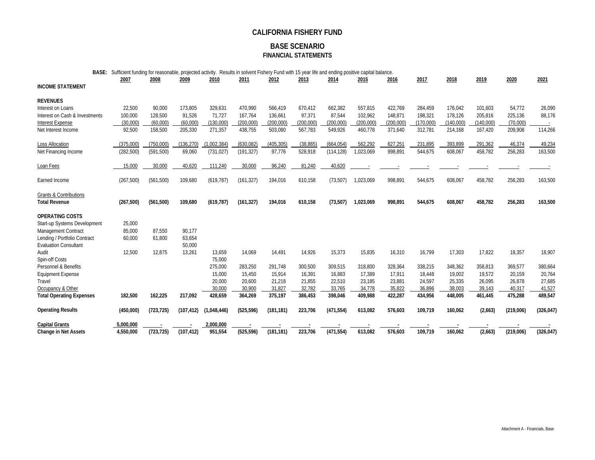#### **BASE SCENARIO FINANCIAL STATEMENTS**

| BASE: Sufficient funding for reasonable, projected activity. Results in solvent Fishery Fund with 15 year life and ending positive capital balance. |  |  |  |
|-----------------------------------------------------------------------------------------------------------------------------------------------------|--|--|--|
|                                                                                                                                                     |  |  |  |

|                                   | 2007       | 2008       | 2009       | 2010        | 2011       | 2012       | 2013       | 2014       | 2015      | 2016      | 2017      | 2018      | 2019      | 2020      | 2021       |
|-----------------------------------|------------|------------|------------|-------------|------------|------------|------------|------------|-----------|-----------|-----------|-----------|-----------|-----------|------------|
| <b>INCOME STATEMENT</b>           |            |            |            |             |            |            |            |            |           |           |           |           |           |           |            |
| <b>REVENUES</b>                   |            |            |            |             |            |            |            |            |           |           |           |           |           |           |            |
| Interest on Loans                 | 22,500     | 90,000     | 173,805    | 329,631     | 470,990    | 566,419    | 670,412    | 662,382    | 557,815   | 422,769   | 284,459   | 176,042   | 101,603   | 54,772    | 26,090     |
| Interest on Cash & Investments    | 100,000    | 128,500    | 91,526     | 71,727      | 167,764    | 136,661    | 97,371     | 87,544     | 102,962   | 148,871   | 198,321   | 178,126   | 205,816   | 225,136   | 88,176     |
| <b>Interest Expense</b>           | (30,000)   | (60,000)   | (60,000)   | (130,000)   | (200,000)  | (200, 000) | (200, 000) | (200,000)  | (200,000) | (200,000) | (170,000) | (140,000) | (140,000) | (70,000)  |            |
| Net Interest Income               | 92,500     | 158,500    | 205,330    | 271,357     | 438,755    | 503,080    | 567,783    | 549,926    | 460,778   | 371,640   | 312,781   | 214,168   | 167,420   | 209,908   | 114,266    |
| Loss Allocation                   | (375.000)  | (750,000)  | (136, 270) | 1.002.384)  | (630.082)  | (405.305)  | (38.865)   | (664.054)  | 562.292   | 627,251   | 231,895   | 393.899   | 291,362   | 46.374    | 49,234     |
| Net Financing Income              | (282, 500) | (591, 500) | 69,060     | (731, 027)  | (191, 327) | 97,776     | 528,918    | (114, 128) | 1,023,069 | 998,891   | 544,675   | 608,067   | 458,782   | 256,283   | 163,500    |
| Loan Fees                         | 15,000     | 30,000     | 40,620     | 111,240     | 30,000     | 96,240     | 81,240     | 40,620     |           |           |           |           |           |           |            |
| Earned Income                     | (267, 500) | (561, 500) | 109,680    | (619, 787)  | (161, 327) | 194,016    | 610,158    | (73, 507)  | 1,023,069 | 998,891   | 544,675   | 608,067   | 458,782   | 256,283   | 163,500    |
| <b>Grants &amp; Contributions</b> |            |            |            |             |            |            |            |            |           |           |           |           |           |           |            |
| <b>Total Revenue</b>              | (267, 500) | (561, 500) | 109,680    | (619, 787)  | (161, 327) | 194,016    | 610,158    | (73, 507)  | 1,023,069 | 998,891   | 544,675   | 608,067   | 458,782   | 256,283   | 163,500    |
| <b>OPERATING COSTS</b>            |            |            |            |             |            |            |            |            |           |           |           |           |           |           |            |
| Start-up Systems Development      | 25,000     |            |            |             |            |            |            |            |           |           |           |           |           |           |            |
| Management Contract               | 85,000     | 87,550     | 90.177     |             |            |            |            |            |           |           |           |           |           |           |            |
| Lending / Portfolio Contract      | 60,000     | 61.800     | 63,654     |             |            |            |            |            |           |           |           |           |           |           |            |
| <b>Evaluation Consultant</b>      |            |            | 50,000     |             |            |            |            |            |           |           |           |           |           |           |            |
| Audit                             | 12,500     | 12.875     | 13,261     | 13,659      | 14,069     | 14.491     | 14.926     | 15,373     | 15,835    | 16,310    | 16,799    | 17,303    | 17.822    | 18,357    | 18,907     |
| Spin-off Costs                    |            |            |            | 75,000      |            |            |            |            |           |           |           |           |           |           |            |
| Personnel & Benefits              |            |            |            | 275,000     | 283,250    | 291.748    | 300,500    | 309,515    | 318,800   | 328,364   | 338,215   | 348,362   | 358,813   | 369,577   | 380,664    |
| <b>Equipment Expense</b>          |            |            |            | 15,000      | 15,450     | 15.914     | 16,391     | 16,883     | 17,389    | 17.911    | 18,448    | 19,002    | 19,572    | 20,159    | 20,764     |
| Travel                            |            |            |            | 20,000      | 20,600     | 21,218     | 21,855     | 22,510     | 23,185    | 23,881    | 24,597    | 25,335    | 26,095    | 26,878    | 27,685     |
| Occupancy & Other                 |            |            |            | 30.000      | 30.900     | 31.827     | 32.782     | 33.765     | 34.778    | 35.822    | 36.896    | 38.003    | 39.143    | 40.317    | 41,527     |
| <b>Total Operating Expenses</b>   | 182,500    | 162,225    | 217,092    | 428,659     | 364,269    | 375,197    | 386,453    | 398,046    | 409,988   | 422,287   | 434,956   | 448,005   | 461,445   | 475,288   | 489,547    |
| <b>Operating Results</b>          | (450,000)  | (723, 725) | (107, 412) | (1,048,446) | (525, 596) | (181, 181) | 223,706    | (471, 554) | 613,082   | 576,603   | 109,719   | 160,062   | (2,663)   | (219,006) | (326, 047) |
| <b>Capital Grants</b>             | 5,000,000  |            |            | 2,000,000   |            |            |            |            |           |           |           |           |           |           |            |
| <b>Change in Net Assets</b>       | 4,550,000  | (723, 725) | (107, 412) | 951.554     | (525, 596) | (181.181)  | 223,706    | (471, 554) | 613.082   | 576.603   | 109.719   | 160.062   | (2,663)   | (219,006) | (326, 047) |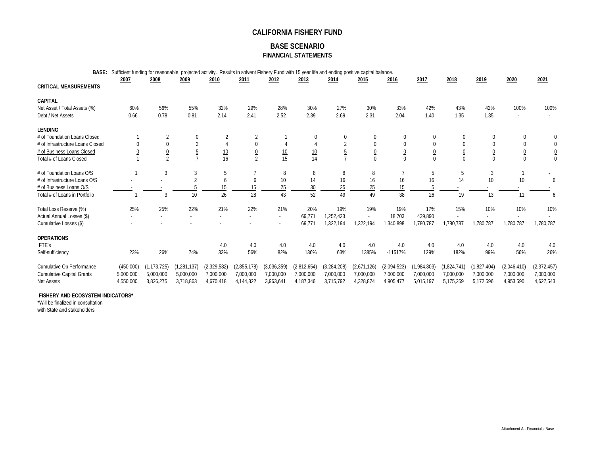#### **BASE SCENARIO FINANCIAL STATEMENTS**

**BASE:** Sufficient funding for reasonable, projected activity. Results in solvent Fishery Fund with 15 year life and ending positive capital balance.

|                                  | 2007      | 2008            | 2009          | 2010        | 2011                     | 2012            | 2013        | 2014           | 2015           | 2016           | 2017        | 2018        | 2019           | 2020            | 2021           |
|----------------------------------|-----------|-----------------|---------------|-------------|--------------------------|-----------------|-------------|----------------|----------------|----------------|-------------|-------------|----------------|-----------------|----------------|
| <b>CRITICAL MEASUREMENTS</b>     |           |                 |               |             |                          |                 |             |                |                |                |             |             |                |                 |                |
| <b>CAPITAL</b>                   |           |                 |               |             |                          |                 |             |                |                |                |             |             |                |                 |                |
| Net Asset / Total Assets (%)     | 60%       | 56%             | 55%           | 32%         | 29%                      | 28%             | 30%         | 27%            | 30%            | 33%            | 42%         | 43%         | 42%            | 100%            | 100%           |
| Debt / Net Assets                | 0.66      | 0.78            | 0.81          | 2.14        | 2.41                     | 2.52            | 2.39        | 2.69           | 2.31           | 2.04           | 1.40        | 1.35        | 1.35           | ٠               |                |
| <b>LENDING</b>                   |           |                 |               |             |                          |                 |             |                |                |                |             |             |                |                 |                |
| # of Foundation Loans Closed     |           | 2               | 0             |             |                          |                 | $\Omega$    | $\mathbf{0}$   | 0              | 0              | $\Omega$    |             |                | 0               | 0              |
| # of Infrastructure Loans Closed | 0         | 0               |               |             |                          |                 |             | $\overline{2}$ | $\mathbf 0$    | $\Omega$       | $\Omega$    |             | $\Omega$       | 0               | 0              |
| # of Business Loans Closed       |           | $\underline{0}$ | 5             | 10          | $\overline{0}$           | $\frac{10}{15}$ | 10          | 5              | $\overline{0}$ | $\overline{0}$ |             |             | $\overline{0}$ | $\underline{0}$ | $\overline{0}$ |
| Total # of Loans Closed          |           | $\overline{2}$  |               | 16          | $\overline{\mathcal{L}}$ |                 | 14          |                | $\Omega$       | $\Omega$       | $\Omega$    | $\Omega$    | $\overline{0}$ | $\mathbf 0$     | $\overline{0}$ |
| # of Foundation Loans O/S        |           | 3               | 3             | 5           |                          | 8               | 8           | 8              | 8              |                |             | 5           | 3              |                 |                |
| # of Infrastructure Loans O/S    |           |                 | $\Omega$      | 6           | <sub>6</sub>             | 10              | 14          | 16             | 16             | 16             | 16          | 14          | 10             | 10              |                |
| # of Business Loans O/S          |           |                 |               | 15          | 15                       | 25              | 30          | 25             | 25             | 15             |             |             |                |                 |                |
| Total # of Loans in Portfolio    |           | 3               | 10            | 26          | 28                       | 43              | 52          | 49             | 49             | 38             | 26          | 19          | 13             | 11              | 6              |
| Total Loss Reserve (%)           | 25%       | 25%             | 22%           | 21%         | 22%                      | 21%             | 20%         | 19%            | 19%            | 19%            | 17%         | 15%         | 10%            | 10%             | 10%            |
| Actual Annual Losses (\$)        |           |                 |               |             |                          |                 | 69,771      | 1,252,423      |                | 18,703         | 439,890     |             |                |                 |                |
| Cumulative Losses (\$)           |           |                 |               |             |                          |                 | 69.771      | 1,322,194      | 1,322,194      | 1,340,898      | 1,780,787   | 1,780,787   | 1,780,787      | 1.780.787       | 1,780,787      |
| <b>OPERATIONS</b>                |           |                 |               |             |                          |                 |             |                |                |                |             |             |                |                 |                |
| FTF's                            |           |                 |               | 4.0         | 4.0                      | 4.0             | 4.0         | 4.0            | 4.0            | 4.0            | 4.0         | 4.0         | 4.0            | 4.0             | 4.0            |
| Self-sufficiency                 | 23%       | 26%             | 74%           | 33%         | 56%                      | 82%             | 136%        | 63%            | 1385%          | $-11517%$      | 129%        | 182%        | 99%            | 56%             | 26%            |
| Cumulative Op Performance        | (450,000) | (1, 173, 725)   | (1, 281, 137) | (2,329,582) | (2,855,178)              | (3,036,359)     | (2,812,654) | (3, 284, 208)  | (2,671,126)    | (2,094,523)    | (1,984,803) | (1,824,741) | (1,827,404)    | (2,046,410)     | (2,372,457)    |
| <b>Cumulative Capital Grants</b> | 5.000.000 | 5.000,000       | 5.000.000     | 7,000,000   | 7,000,000                | 7,000,000       | 7,000,000   | 7,000,000      | 7.000.000      | 7.000.000      | 7.000.000   | 7,000,000   | 7,000,000      | 7.000.000       | 7,000,000      |
| <b>Net Assets</b>                | 4,550,000 | 3,826,275       | 3,718,863     | 4,670,418   | 4,144,822                | 3,963,641       | 4,187,346   | 3,715,792      | 4,328,874      | 4,905,477      | 5,015,197   | 5,175,259   | 5,172,596      | 4,953,590       | 4,627,543      |

#### **FISHERY AND ECOSYSTEM INDICATORS\***

\*Will be finalized in consultation

with State and stakeholders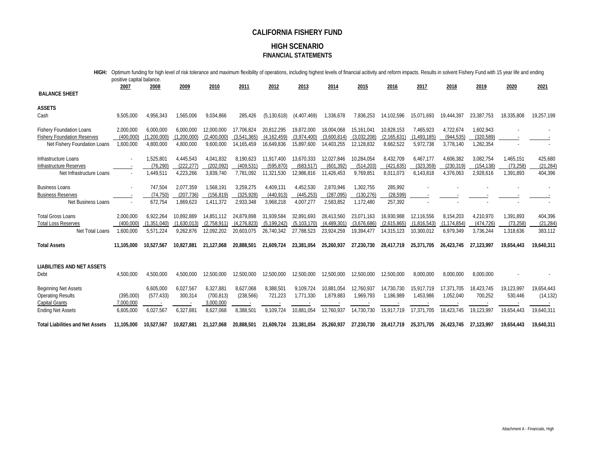#### **HIGH SCENARIO FINANCIAL STATEMENTS**

| HIGH:                                                                                                 | positive capital balance.           |                                         |                                        |                                         |                                           |                                           |                                         |                                         |                                         |                                         |                                         |                                         |                                      | Optimum funding for high level of risk tolerance and maximum flexibility of operations, including highest levels of financial acitivity and reform impacts. Results in solvent Fishery Fund with 15 year life and ending |                                 |
|-------------------------------------------------------------------------------------------------------|-------------------------------------|-----------------------------------------|----------------------------------------|-----------------------------------------|-------------------------------------------|-------------------------------------------|-----------------------------------------|-----------------------------------------|-----------------------------------------|-----------------------------------------|-----------------------------------------|-----------------------------------------|--------------------------------------|--------------------------------------------------------------------------------------------------------------------------------------------------------------------------------------------------------------------------|---------------------------------|
| <b>BALANCE SHEET</b>                                                                                  | 2007                                | 2008                                    | 2009                                   | 2010                                    | 2011                                      | 2012                                      | 2013                                    | 2014                                    | 2015                                    | 2016                                    | 2017                                    | 2018                                    | 2019                                 | 2020                                                                                                                                                                                                                     | 2021                            |
| <b>ASSETS</b><br>Cash                                                                                 | 9,505,000                           | 4,956,343                               | 1,565,006                              | 9,034,866                               | 285,426                                   | (5, 130, 618)                             | (4,407,469)                             | 1,336,678                               | 7,836,253                               | 14,102,596                              | 15,071,693                              | 19,444,397                              | 23,387,753                           | 18,335,808                                                                                                                                                                                                               | 19,257,199                      |
| <b>Fishery Foundation Loans</b><br><b>Fishery Foundation Reserves</b><br>Net Fishery Foundation Loans | 2,000,000<br>(400.000)<br>1,600,000 | 6.000.000<br>(1.200.000)<br>4,800,000   | 6.000.000<br>(1.200.000)<br>4,800,000  | 12.000.000<br>(2.400.000)<br>9,600,000  | 17.706.824<br>(3.541.365)<br>14, 165, 459 | 20,812,295<br>(4.162.459)<br>16,649,836   | 19.872.000<br>(3.974.400)<br>15,897,600 | 18.004.068<br>(3.600.814)<br>14,403,255 | 15.161.041<br>(3.032.208)<br>12,128,832 | 10,828,153<br>(2.165.631)<br>8,662,522  | 7.465.923<br>(1.493.185)<br>5,972,738   | 4,722,674<br>(944.535)<br>3,778,140     | 1,602,943<br>(320.589)<br>1,282,354  |                                                                                                                                                                                                                          |                                 |
| Infrastructure Loans<br>Infrastructure Reserves<br>Net Infrastructure Loans                           |                                     | 1.525.801<br>(76.290)<br>1.449.511      | 4.445.543<br>(222.277)<br>4,223,266    | 4.041.832<br>(202.092)<br>3,839,740     | 8,190,623<br>(409.531)<br>7,781,092       | 11.917.400<br>(595.870)<br>11,321,530     | 13.670.333<br>(683.517)<br>12,986,816   | 12.027.846<br>(601.392)<br>11,426,453   | 10.284.054<br>(514.203)<br>9,769,851    | 8.432.709<br>(421, 635)<br>8,011,073    | 6.467.177<br>(323, 359)<br>6,143,818    | 4.606.382<br>(230.319)<br>4,376,063     | 3.082.754<br>(154.138)<br>2,928,616  | 1.465.151<br>(73.258)<br>1,391,893                                                                                                                                                                                       | 425,680<br>(21, 284)<br>404,396 |
| <b>Business Loans</b><br><b>Business Reserves</b><br>Net Business Loans                               |                                     | 747,504<br>(74, 750)<br>672.754         | 2,077,359<br>(207, 736)<br>1.869.623   | 1,568,191<br>(156, 819)<br>1,411,372    | 3,259,275<br>(325, 928)<br>2,933,348      | 4,409,131<br>(440, 913)<br>3.968.218      | 4,452,530<br>(445, 253)<br>4.007.277    | 2,870,946<br>(287, 095)<br>2.583.852    | 1,302,755<br>(130, 276)<br>1,172,480    | 285,992<br>(28, 599)<br>257,392         |                                         |                                         |                                      |                                                                                                                                                                                                                          |                                 |
| <b>Total Gross Loans</b><br><b>Total Loss Reserves</b><br>Net Total Loans                             | 2.000.000<br>(400.000)<br>1,600,000 | 6.922.264<br>(1, 351, 040)<br>5,571,224 | 10.892.889<br>(1,630,013)<br>9,262,876 | 14.851.112<br>(2,758,911)<br>12,092,202 | 24.879.898<br>(4, 276, 823)<br>20,603,075 | 31.939.584<br>(5, 199, 242)<br>26,740,342 | 32.891.693<br>(5.103.170)<br>27,788,523 | 28.413.560<br>(4,489,301)<br>23,924,259 | 23.071.163<br>(3,676,686)<br>19.394.477 | 16.930.988<br>(2,615,865)<br>14,315,123 | 12,116,556<br>(1,816,543)<br>10,300,012 | 8,154,203<br>(1, 174, 854)<br>6,979,349 | 4.210.970<br>(474, 726)<br>3,736,244 | 1,391,893<br>(73, 258)<br>1,318,636                                                                                                                                                                                      | 404,396<br>(21, 284)<br>383,112 |
| <b>Total Assets</b>                                                                                   | 11.105.000                          | 10.527.567                              | 10.827.881                             | 21.127.068                              | 20.888.501                                | 21.609.724                                | 23.381.054                              | 25.260.937                              | 27.230.730                              | 28.417.719                              | 25.371.705                              | 26.423.745                              | 27.123.997                           | 19.654.443                                                                                                                                                                                                               | 19,640,311                      |
| <b>LIABILITIES AND NET ASSETS</b><br>Debt                                                             | 4,500,000                           | 4,500,000                               | 4,500,000                              | 12,500,000                              | 12,500,000                                | 12,500,000                                | 12,500,000                              | 12,500,000                              | 12,500,000                              | 12,500,000                              | 8,000,000                               | 8,000,000                               | 8,000,000                            |                                                                                                                                                                                                                          |                                 |
| <b>Beginning Net Assets</b><br><b>Operating Results</b><br><b>Capital Grants</b>                      | (395,000)<br>7.000.000              | 6,605,000<br>(577, 433)                 | 6.027.567<br>300,314                   | 6,327,881<br>(700, 813)<br>3,000,000    | 8.627.068<br>(238, 566)                   | 8.388.501<br>721,223                      | 9.109.724<br>1,771,330                  | 10.881.054<br>1,879,883                 | 12,760,937<br>1,969,793                 | 14,730,730<br>1,186,989                 | 15.917.719<br>1,453,986                 | 17.371.705<br>1,052,040                 | 18,423,745<br>700,252                | 19,123,997<br>530,446                                                                                                                                                                                                    | 19,654,443<br>(14, 132)         |
| <b>Ending Net Assets</b><br><b>Total Liabilities and Net Assets</b>                                   | 6,605,000<br>11.105.000             | 6.027.567<br>10.527.567                 | 6.327.881<br>10.827.881                | 8,627,068<br>21.127.068                 | 8,388,501<br>20.888.501                   | 9.109.724<br>21.609.724                   | 10.881.054<br>23.381.054                | 12.760.937<br>25.260.937                | 14.730.730<br>27,230,730                | 15.917.719<br>28.417.719                | 17.371.705<br>25.371.705                | 18.423.745<br>26.423.745                | 19.123.997<br>27.123.997             | 19.654.443<br>19.654.443                                                                                                                                                                                                 | 19.640.311<br>19,640,311        |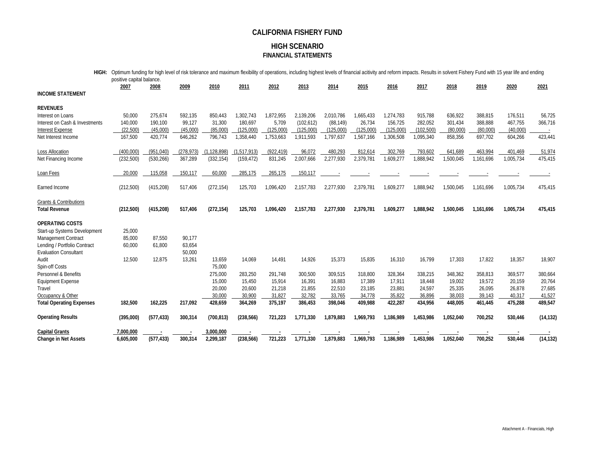#### **HIGH SCENARIO FINANCIAL STATEMENTS**

| HIGH:                                                        | Optimum funding for high level of risk tolerance and maximum flexibility of operations, including highest levels of financial acitivity and reform impacts. Results in solvent Fishery Fund with 15 year life and ending |            |                  |            |             |            |            |           |           |           |            |           |           |           |           |
|--------------------------------------------------------------|--------------------------------------------------------------------------------------------------------------------------------------------------------------------------------------------------------------------------|------------|------------------|------------|-------------|------------|------------|-----------|-----------|-----------|------------|-----------|-----------|-----------|-----------|
|                                                              | positive capital balance.                                                                                                                                                                                                |            |                  |            |             |            |            |           |           |           |            |           |           |           |           |
| <b>INCOME STATEMENT</b>                                      | 2007                                                                                                                                                                                                                     | 2008       | 2009             | 2010       | 2011        | 2012       | 2013       | 2014      | 2015      | 2016      | 2017       | 2018      | 2019      | 2020      | 2021      |
| <b>REVENUES</b>                                              |                                                                                                                                                                                                                          |            |                  |            |             |            |            |           |           |           |            |           |           |           |           |
| Interest on Loans                                            | 50,000                                                                                                                                                                                                                   | 275,674    | 592,135          | 850,443    | 1,302,743   | 1,872,955  | 2,139,206  | 2,010,786 | 1,665,433 | 1,274,783 | 915,788    | 636,922   | 388,815   | 176,511   | 56,725    |
| Interest on Cash & Investments                               | 140,000                                                                                                                                                                                                                  | 190.100    | 99.127           | 31,300     | 180,697     | 5,709      | (102, 612) | (88, 149) | 26,734    | 156,725   | 282,052    | 301,434   | 388,888   | 467,755   | 366,716   |
| <b>Interest Expense</b>                                      | (22.500)                                                                                                                                                                                                                 | (45.000)   | (45.000)         | (85,000)   | (125.000)   | (125.000)  | (125.000)  | (125.000) | (125.000) | (125,000) | (102, 500) | (80,000)  | (80,000)  | (40.000)  |           |
| Net Interest Income                                          | 167,500                                                                                                                                                                                                                  | 420,774    | 646,262          | 796,743    | 1,358,440   | 1,753,663  | 1,911,593  | 1,797,637 | 1,567,166 | 1,306,508 | 1,095,340  | 858,356   | 697,702   | 604,266   | 423,441   |
| <b>Loss Allocation</b>                                       | (400.000)                                                                                                                                                                                                                | (951,040)  | (278, 973)       | .128.898)  | (1,517,913) | (922, 419) | 96.072     | 480,293   | 812,614   | 302,769   | 793,602    | 641,689   | 463,994   | 401,469   | 51,974    |
| Net Financing Income                                         | (232, 500)                                                                                                                                                                                                               | (530, 266) | 367,289          | (332, 154) | (159, 472)  | 831,245    | 2,007,666  | 2,277,930 | 2,379,781 | 1.609.277 | 1,888,942  | 1,500,045 | 1,161,696 | 1,005,734 | 475,415   |
| Loan Fees                                                    | 20,000                                                                                                                                                                                                                   | 115,058    | 150,117          | 60,000     | 285,175     | 265,175    | 150,117    |           |           |           |            |           |           |           |           |
| Earned Income                                                | (212,500)                                                                                                                                                                                                                | (415, 208) | 517,406          | (272, 154) | 125,703     | 1,096,420  | 2,157,783  | 2,277,930 | 2,379,781 | 1,609,277 | 1,888,942  | 1,500,045 | 1,161,696 | 1,005,734 | 475,415   |
| <b>Grants &amp; Contributions</b>                            |                                                                                                                                                                                                                          |            |                  |            |             |            |            |           |           |           |            |           |           |           |           |
| <b>Total Revenue</b>                                         | (212,500)                                                                                                                                                                                                                | (415, 208) | 517,406          | (272, 154) | 125,703     | 1,096,420  | 2,157,783  | 2,277,930 | 2,379,781 | 1,609,277 | 1,888,942  | 1,500,045 | 1,161,696 | 1,005,734 | 475,415   |
| <b>OPERATING COSTS</b>                                       |                                                                                                                                                                                                                          |            |                  |            |             |            |            |           |           |           |            |           |           |           |           |
| Start-up Systems Development                                 | 25,000                                                                                                                                                                                                                   |            |                  |            |             |            |            |           |           |           |            |           |           |           |           |
| Management Contract                                          | 85,000                                                                                                                                                                                                                   | 87,550     | 90,177           |            |             |            |            |           |           |           |            |           |           |           |           |
| Lending / Portfolio Contract<br><b>Evaluation Consultant</b> | 60,000                                                                                                                                                                                                                   | 61,800     | 63,654<br>50,000 |            |             |            |            |           |           |           |            |           |           |           |           |
| Audit                                                        | 12,500                                                                                                                                                                                                                   | 12,875     | 13,261           | 13,659     | 14,069      | 14,491     | 14,926     | 15,373    | 15,835    | 16,310    | 16,799     | 17,303    | 17,822    | 18,357    | 18,907    |
| Spin-off Costs                                               |                                                                                                                                                                                                                          |            |                  | 75,000     |             |            |            |           |           |           |            |           |           |           |           |
| Personnel & Benefits                                         |                                                                                                                                                                                                                          |            |                  | 275,000    | 283,250     | 291,748    | 300,500    | 309,515   | 318,800   | 328,364   | 338,215    | 348,362   | 358,813   | 369,577   | 380,664   |
| <b>Equipment Expense</b>                                     |                                                                                                                                                                                                                          |            |                  | 15,000     | 15,450      | 15,914     | 16,391     | 16,883    | 17,389    | 17,911    | 18,448     | 19,002    | 19,572    | 20,159    | 20,764    |
| Travel                                                       |                                                                                                                                                                                                                          |            |                  | 20,000     | 20,600      | 21,218     | 21,855     | 22,510    | 23,185    | 23,881    | 24,597     | 25,335    | 26,095    | 26,878    | 27,685    |
| Occupancy & Other                                            |                                                                                                                                                                                                                          |            |                  | 30,000     | 30,900      | 31,827     | 32,782     | 33,765    | 34,778    | 35,822    | 36,896     | 38,003    | 39,143    | 40,317    | 41,527    |
| <b>Total Operating Expenses</b>                              | 182,500                                                                                                                                                                                                                  | 162,225    | 217,092          | 428,659    | 364,269     | 375,197    | 386,453    | 398,046   | 409,988   | 422,287   | 434,956    | 448,005   | 461,445   | 475,288   | 489,547   |
| <b>Operating Results</b>                                     | (395,000)                                                                                                                                                                                                                | (577, 433) | 300,314          | (700, 813) | (238, 566)  | 721,223    | 1,771,330  | 1,879,883 | 1,969,793 | 1,186,989 | 1,453,986  | 1,052,040 | 700,252   | 530,446   | (14, 132) |
| <b>Capital Grants</b>                                        | 7.000.000                                                                                                                                                                                                                |            |                  | 3,000,000  |             |            |            |           |           |           |            |           |           |           |           |
| <b>Change in Net Assets</b>                                  | 6,605,000                                                                                                                                                                                                                | (577, 433) | 300,314          | 2,299,187  | (238, 566)  | 721,223    | 1,771,330  | 1,879,883 | 1,969,793 | 1,186,989 | 1,453,986  | 1,052,040 | 700,252   | 530,446   | (14, 132) |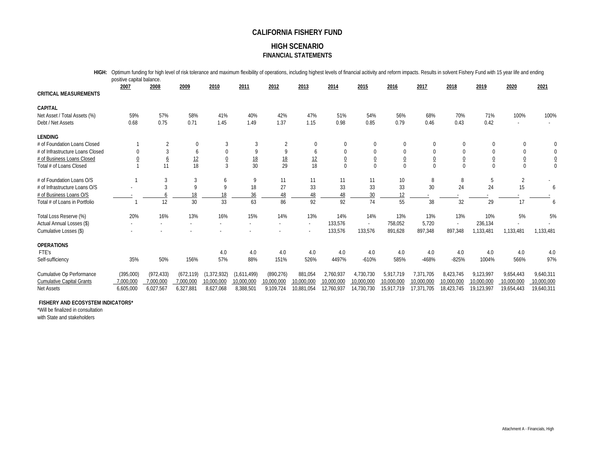#### **HIGH SCENARIO FINANCIAL STATEMENTS**

| HIGH:                            | Optimum funding for high level of risk tolerance and maximum flexibility of operations, including highest levels of financial acitivity and reform impacts. Results in solvent Fishery Fund with 15 year life and ending<br>positive capital balance. |                 |                 |                |                 |                 |            |                 |                |                |                |            |                |                |               |
|----------------------------------|-------------------------------------------------------------------------------------------------------------------------------------------------------------------------------------------------------------------------------------------------------|-----------------|-----------------|----------------|-----------------|-----------------|------------|-----------------|----------------|----------------|----------------|------------|----------------|----------------|---------------|
| <b>CRITICAL MEASUREMENTS</b>     | 2007                                                                                                                                                                                                                                                  | 2008            | 2009            | 2010           | 2011            | 2012            | 2013       | 2014            | 2015           | 2016           | 2017           | 2018       | 2019           | 2020           | 2021          |
| <b>CAPITAL</b>                   |                                                                                                                                                                                                                                                       |                 |                 |                |                 |                 |            |                 |                |                |                |            |                |                |               |
| Net Asset / Total Assets (%)     | 59%                                                                                                                                                                                                                                                   | 57%             | 58%             | 41%            | 40%             | 42%             | 47%        | 51%             | 54%            | 56%            | 68%            | 70%        | 71%            | 100%           | 100%          |
| Debt / Net Assets                | 0.68                                                                                                                                                                                                                                                  | 0.75            | 0.71            | 1.45           | 1.49            | 1.37            | 1.15       | 0.98            | 0.85           | 0.79           | 0.46           | 0.43       | 0.42           |                |               |
| <b>LENDING</b>                   |                                                                                                                                                                                                                                                       |                 |                 |                |                 |                 |            |                 |                |                |                |            |                |                |               |
| # of Foundation Loans Closed     |                                                                                                                                                                                                                                                       | $\overline{2}$  | $\Omega$        | 3              | 3               |                 | 0          | $\mathbf 0$     | 0              | $\Omega$       | $\Omega$       |            |                | 0              |               |
| # of Infrastructure Loans Closed | <sup>0</sup>                                                                                                                                                                                                                                          | 3               | 6               | $\Omega$       | 9               | 9               | 6          | 0               | $\mathbf 0$    | $\Omega$       | $\Omega$       | $\Omega$   |                | 0              |               |
| # of Business Loans Closed       |                                                                                                                                                                                                                                                       | $\underline{6}$ |                 | $\overline{0}$ |                 |                 | 12         | $\underline{0}$ | $\overline{0}$ | $\overline{0}$ | $\overline{0}$ |            | $\overline{0}$ | $\overline{0}$ |               |
| Total # of Loans Closed          |                                                                                                                                                                                                                                                       | 11              | $\frac{12}{18}$ | $\overline{3}$ | $\frac{18}{30}$ | $\frac{18}{29}$ | 18         | $\mathbf 0$     | $\theta$       | $\Omega$       | $\Omega$       |            | $\Omega$       | $\overline{0}$ | $\frac{0}{0}$ |
| # of Foundation Loans O/S        |                                                                                                                                                                                                                                                       | 3               | 3               | 6              | 9               | 11              | 11         | 11              | 11             | 10             | 8              | 8          | 5              | $\overline{2}$ |               |
| # of Infrastructure Loans O/S    |                                                                                                                                                                                                                                                       | 3               | 9               | q              | 18              | 27              | 33         | 33              | 33             | 33             | 30             | 24         | 24             | 15             | 6             |
| # of Business Loans O/S          |                                                                                                                                                                                                                                                       |                 | 18              | 18             | 36              | 48              | 48         | 48              | 30             | 12             |                |            |                |                |               |
| Total # of Loans in Portfolio    |                                                                                                                                                                                                                                                       | 12              | 30              | 33             | 63              | 86              | 92         | 92              | 74             | 55             | 38             | 32         | 29             | 17             |               |
| Total Loss Reserve (%)           | 20%                                                                                                                                                                                                                                                   | 16%             | 13%             | 16%            | 15%             | 14%             | 13%        | 14%             | 14%            | 13%            | 13%            | 13%        | 10%            | 5%             | 5%            |
| Actual Annual Losses (\$)        |                                                                                                                                                                                                                                                       |                 |                 |                |                 |                 |            | 133,576         |                | 758,052        | 5,720          |            | 236,134        |                |               |
| Cumulative Losses (\$)           |                                                                                                                                                                                                                                                       |                 |                 |                |                 |                 |            | 133,576         | 133,576        | 891,628        | 897,348        | 897,348    | 1,133,481      | 1,133,481      | 1,133,481     |
| <b>OPERATIONS</b>                |                                                                                                                                                                                                                                                       |                 |                 |                |                 |                 |            |                 |                |                |                |            |                |                |               |
| FTE's                            |                                                                                                                                                                                                                                                       |                 |                 | 4.0            | 4.0             | 4.0             | 4.0        | 4.0             | 4.0            | 4.0            | 4.0            | 4.0        | 4.0            | 4.0            | 4.0           |
| Self-sufficiency                 | 35%                                                                                                                                                                                                                                                   | 50%             | 156%            | 57%            | 88%             | 151%            | 526%       | 4497%           | $-610%$        | 585%           | $-468%$        | $-825%$    | 1004%          | 566%           | 97%           |
| Cumulative Op Performance        | (395,000)                                                                                                                                                                                                                                             | (972, 433)      | (672, 119)      | (1, 372, 932)  | (1,611,499)     | (890, 276)      | 881.054    | 2,760,937       | 4,730,730      | 5,917,719      | 7,371,705      | 8,423,745  | 9,123,997      | 9,654,443      | 9,640,311     |
| <b>Cumulative Capital Grants</b> | 7,000,000                                                                                                                                                                                                                                             | 7,000,000       | 7,000,000       | 10,000,000     | 10,000,000      | 10,000,000      | 10,000,000 | 10,000,000      | 10,000,000     | 10,000,000     | 10,000,000     | 10,000,000 | 10,000,000     | 10,000,000     | 10,000,000    |
| Net Assets                       | 6,605,000                                                                                                                                                                                                                                             | 6,027,567       | 6,327,881       | 8,627,068      | 8,388,501       | 9,109,724       | 10.881.054 | 12,760,937      | 14,730,730     | 15.917.719     | 17,371,705     | 18.423.745 | 19.123.997     | 19.654.443     | 19,640,311    |

#### **FISHERY AND ECOSYSTEM INDICATORS\***

\*Will be finalized in consultation with State and stakeholders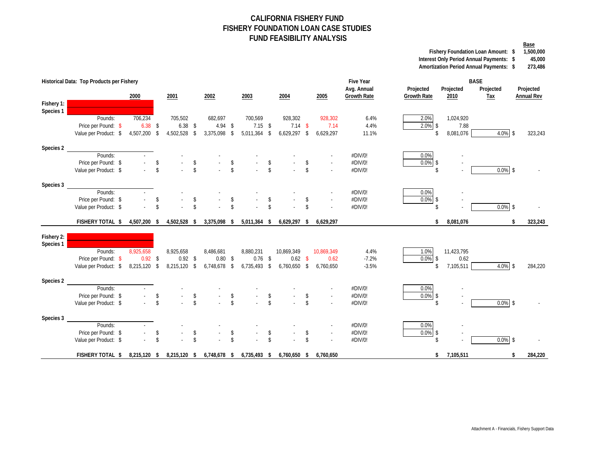#### **CALIFORNIA FISHERY FUND FISHERY FOUNDATION LOAN CASE STUDIES FUND FEASIBILITY ANALYSIS**

**Base Fishery Foundation Loan Amount: 1,500,000 \$** 

Interest Only Period Annual Payments:  $\frac{45,000}{273,486}$ 

**Amortization Period Annual Payments: 273,486 \$** 

|            | Historical Data: Top Products per Fishery |              |                         |              |                    |                           |                    |                |                    |                |                    |            | <b>Five Year</b><br>Avg. Annual | Projected          |                    | Projected  | <b>BASE</b>             | Projected         |
|------------|-------------------------------------------|--------------|-------------------------|--------------|--------------------|---------------------------|--------------------|----------------|--------------------|----------------|--------------------|------------|---------------------------------|--------------------|--------------------|------------|-------------------------|-------------------|
|            |                                           | 2000         |                         | 2001         |                    | 2002                      |                    | 2003           |                    | 2004           |                    | 2005       | <b>Growth Rate</b>              | <b>Growth Rate</b> |                    | 2010       | Projected<br><b>Tax</b> | <b>Annual Rev</b> |
| Fishery 1: |                                           |              |                         |              |                    |                           |                    |                |                    |                |                    |            |                                 |                    |                    |            |                         |                   |
| Species 1  |                                           |              |                         |              |                    |                           |                    |                |                    |                |                    |            |                                 |                    |                    |            |                         |                   |
|            | Pounds:                                   | 706,234      |                         | 705,502      |                    | 682,697                   |                    | 700,569        |                    | 928,302        |                    | 928,302    | 6.4%                            | 2.0%               |                    | 1,024,920  |                         |                   |
|            | Price per Pound: \$                       | $6.38$ \$    |                         | $6.38$ \$    |                    | $4.94$ \$                 |                    | $7.15$ \$      |                    | $7.14$ \$      |                    | 7.14       | 4.4%                            | $2.0\%$ \$         |                    | 7.88       |                         |                   |
|            | Value per Product: \$                     | 4,507,200 \$ |                         | 4,502,528 \$ |                    | 3,375,098 \$              |                    | $5,011,364$ \$ |                    | $6,629,297$ \$ |                    | 6,629,297  | 11.1%                           |                    | \$                 | 8,081,076  | $4.0\%$ \$              | 323,243           |
| Species 2  |                                           |              |                         |              |                    |                           |                    |                |                    |                |                    |            |                                 |                    |                    |            |                         |                   |
|            | Pounds:                                   |              |                         |              |                    |                           |                    |                |                    |                |                    |            | #DIV/0!                         | 0.0%               |                    |            |                         |                   |
|            | Price per Pound: \$                       |              | \$                      |              | $\mathbf{\hat{S}}$ |                           | $\mathcal{S}$      |                | \$                 |                | S                  |            | #DIV/0!                         | $0.0\%$ \$         |                    |            |                         |                   |
|            | Value per Product: \$                     |              | $\mathcal{S}$           |              | $\hat{\mathbf{S}}$ |                           | $\hat{\mathbf{S}}$ |                | $\hat{\mathbf{S}}$ |                | $\mathbb{S}$       |            | #DIV/0!                         |                    | $\mathbf{\hat{S}}$ |            | $0.0\%$ \$              |                   |
| Species 3  |                                           |              |                         |              |                    |                           |                    |                |                    |                |                    |            |                                 |                    |                    |            |                         |                   |
|            | Pounds:                                   |              |                         |              |                    |                           |                    |                |                    |                |                    |            | #DIV/0!                         | 0.0%               |                    |            |                         |                   |
|            | Price per Pound: \$                       |              | $\mathbf{\hat{S}}$      |              | $\mathbf{\hat{S}}$ |                           | $\mathcal{S}$      |                | \$                 |                | \$                 |            | #DIV/0!                         | $0.0\%$ \$         |                    |            |                         |                   |
|            | Value per Product: \$                     |              | $\mathbf{\hat{S}}$      |              | $\mathbf{\hat{S}}$ |                           | $\hat{\mathbf{S}}$ |                | $\hat{\mathbf{S}}$ |                | \$                 |            | #DIV/0!                         | $\mathbf{\hat{S}}$ |                    |            | $0.0\%$ \$              |                   |
|            | <b>FISHERY TOTAL \$</b>                   | 4,507,200 \$ |                         | 4,502,528 \$ |                    | 3,375,098 \$              |                    | $5,011,364$ \$ |                    | $6,629,297$ \$ |                    | 6,629,297  |                                 |                    | \$                 | 8,081,076  | \$                      | 323,243           |
| Fishery 2: |                                           |              |                         |              |                    |                           |                    |                |                    |                |                    |            |                                 |                    |                    |            |                         |                   |
| Species 1  |                                           |              |                         |              |                    |                           |                    |                |                    |                |                    |            |                                 |                    |                    |            |                         |                   |
|            | Pounds:                                   | 8,925,658    |                         | 8,925,658    |                    | 8,486,681                 |                    | 8,880,231      |                    | 10,869,349     |                    | 10,869,349 | 4.4%                            | 1.0%               |                    | 11,423,795 |                         |                   |
|            | Price per Pound: \$                       | $0.92$ \$    |                         | $0.92$ \$    |                    | $0.80$ \$                 |                    | $0.76$ \$      |                    | $0.62$ \$      |                    | 0.62       | $-7.2%$                         | $0.0\%$ \$         |                    | 0.62       |                         |                   |
|            | Value per Product: \$                     | 8,215,120 \$ |                         | 8,215,120 \$ |                    | 6,748,678 \$              |                    | $6,735,493$ \$ |                    | 6,760,650 \$   |                    | 6,760,650  | $-3.5%$                         |                    | \$                 | 7,105,511  | 4.0% \$                 | 284,220           |
| Species 2  |                                           |              |                         |              |                    |                           |                    |                |                    |                |                    |            |                                 |                    |                    |            |                         |                   |
|            | Pounds:                                   |              |                         |              |                    |                           |                    |                |                    |                |                    |            | #DIV/0!                         | $0.0\%$            |                    |            |                         |                   |
|            | Price per Pound: \$                       |              | $\sqrt[6]{\frac{1}{2}}$ |              | \$                 |                           | \$                 |                | \$                 |                |                    |            | #DIV/0!                         | $0.0\%$ \$         |                    |            |                         |                   |
|            | Value per Product: \$                     |              | $\mathfrak{S}$          |              | $\mathbf{\hat{S}}$ |                           | $\mathsf{\$}$      |                | $\mathbf{\hat{S}}$ |                | $\mathbf{\hat{S}}$ |            | #DIV/0!                         | $\mathbb{S}$       |                    |            | $0.0\%$ \$              |                   |
| Species 3  |                                           |              |                         |              |                    |                           |                    |                |                    |                |                    |            |                                 |                    |                    |            |                         |                   |
|            | Pounds:                                   |              |                         |              |                    |                           |                    |                |                    |                |                    |            | #DIV/0!                         | 0.0%               |                    |            |                         |                   |
|            | Price per Pound: \$                       |              | \$                      |              | \$                 |                           | $\mathcal{S}$      |                | \$                 |                | \$                 | $\sim$     | #DIV/0!                         | $0.0\%$ \$         |                    |            |                         |                   |
|            | Value per Product: \$                     |              | $\mathbf{\hat{S}}$      |              | $\mathsf{\$}$      |                           | $\mathbf{\hat{S}}$ |                | $\mathsf{\$}$      |                | \$                 |            | #DIV/0!                         | \$                 |                    |            | $0.0\%$ \$              |                   |
|            | FISHERY TOTAL \$                          | 8,215,120 \$ |                         |              |                    | 8,215,120 \$ 6,748,678 \$ |                    | 6,735,493 \$   |                    | 6,760,650 \$   |                    | 6,760,650  |                                 |                    | \$                 | 7,105,511  | \$                      | 284,220           |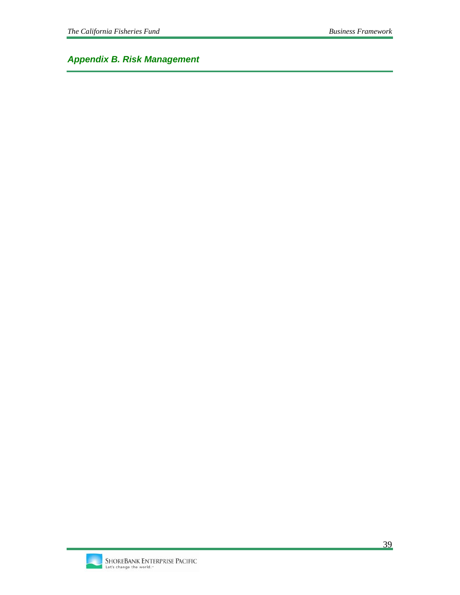*Appendix B. Risk Management* 

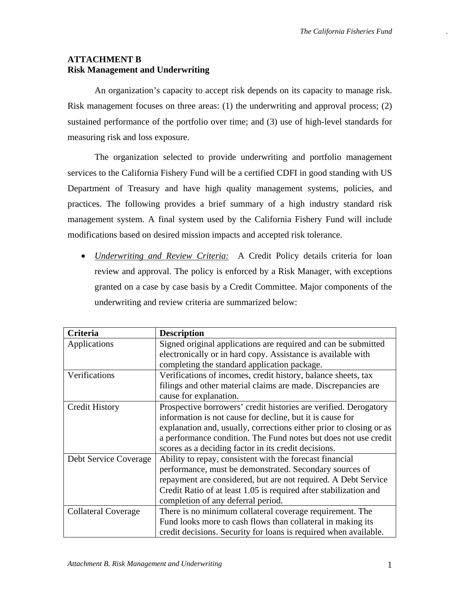## **ATTACHMENT B Risk Management and Underwriting**

An organization's capacity to accept risk depends on its capacity to manage risk. Risk management focuses on three areas: (1) the underwriting and approval process; (2) sustained performance of the portfolio over time; and (3) use of high-level standards for measuring risk and loss exposure.

The organization selected to provide underwriting and portfolio management services to the California Fishery Fund will be a certified CDFI in good standing with US Department of Treasury and have high quality management systems, policies, and practices. The following provides a brief summary of a high industry standard risk management system. A final system used by the California Fishery Fund will include modifications based on desired mission impacts and accepted risk tolerance.

• *Underwriting and Review Criteria:* A Credit Policy details criteria for loan review and approval. The policy is enforced by a Risk Manager, with exceptions granted on a case by case basis by a Credit Committee. Major components of the underwriting and review criteria are summarized below:

| Criteria                   | <b>Description</b>                                                  |
|----------------------------|---------------------------------------------------------------------|
| Applications               | Signed original applications are required and can be submitted      |
|                            | electronically or in hard copy. Assistance is available with        |
|                            | completing the standard application package.                        |
| Verifications              | Verifications of incomes, credit history, balance sheets, tax       |
|                            | filings and other material claims are made. Discrepancies are       |
|                            | cause for explanation.                                              |
| <b>Credit History</b>      | Prospective borrowers' credit histories are verified. Derogatory    |
|                            | information is not cause for decline, but it is cause for           |
|                            | explanation and, usually, corrections either prior to closing or as |
|                            | a performance condition. The Fund notes but does not use credit     |
|                            | scores as a deciding factor in its credit decisions.                |
| Debt Service Coverage      | Ability to repay, consistent with the forecast financial            |
|                            | performance, must be demonstrated. Secondary sources of             |
|                            | repayment are considered, but are not required. A Debt Service      |
|                            | Credit Ratio of at least 1.05 is required after stabilization and   |
|                            | completion of any deferral period.                                  |
| <b>Collateral Coverage</b> | There is no minimum collateral coverage requirement. The            |
|                            | Fund looks more to cash flows than collateral in making its         |
|                            | credit decisions. Security for loans is required when available.    |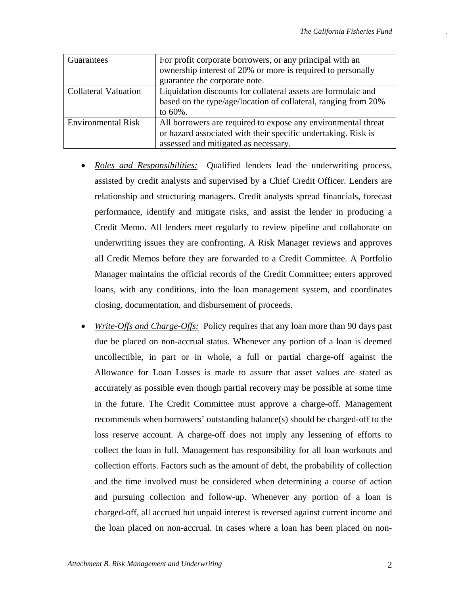| Guarantees                  | For profit corporate borrowers, or any principal with an<br>ownership interest of 20% or more is required to personally<br>guarantee the corporate note.               |
|-----------------------------|------------------------------------------------------------------------------------------------------------------------------------------------------------------------|
| <b>Collateral Valuation</b> | Liquidation discounts for collateral assets are formulaic and<br>based on the type/age/location of collateral, ranging from 20%<br>to $60\%$ .                         |
| <b>Environmental Risk</b>   | All borrowers are required to expose any environmental threat<br>or hazard associated with their specific undertaking. Risk is<br>assessed and mitigated as necessary. |

- *Roles and Responsibilities:* Qualified lenders lead the underwriting process, assisted by credit analysts and supervised by a Chief Credit Officer. Lenders are relationship and structuring managers. Credit analysts spread financials, forecast performance, identify and mitigate risks, and assist the lender in producing a Credit Memo. All lenders meet regularly to review pipeline and collaborate on underwriting issues they are confronting. A Risk Manager reviews and approves all Credit Memos before they are forwarded to a Credit Committee. A Portfolio Manager maintains the official records of the Credit Committee; enters approved loans, with any conditions, into the loan management system, and coordinates closing, documentation, and disbursement of proceeds.
- *Write-Offs and Charge-Offs:* Policy requires that any loan more than 90 days past due be placed on non-accrual status. Whenever any portion of a loan is deemed uncollectible, in part or in whole, a full or partial charge-off against the Allowance for Loan Losses is made to assure that asset values are stated as accurately as possible even though partial recovery may be possible at some time in the future. The Credit Committee must approve a charge-off. Management recommends when borrowers' outstanding balance(s) should be charged-off to the loss reserve account. A charge-off does not imply any lessening of efforts to collect the loan in full. Management has responsibility for all loan workouts and collection efforts. Factors such as the amount of debt, the probability of collection and the time involved must be considered when determining a course of action and pursuing collection and follow-up. Whenever any portion of a loan is charged-off, all accrued but unpaid interest is reversed against current income and the loan placed on non-accrual. In cases where a loan has been placed on non-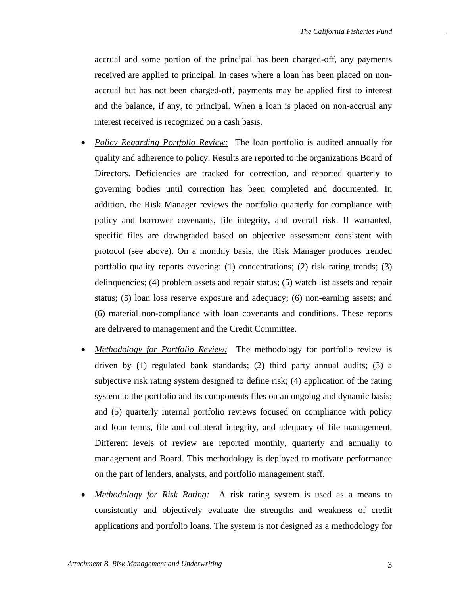accrual and some portion of the principal has been charged-off, any payments received are applied to principal. In cases where a loan has been placed on nonaccrual but has not been charged-off, payments may be applied first to interest and the balance, if any, to principal. When a loan is placed on non-accrual any interest received is recognized on a cash basis.

- *Policy Regarding Portfolio Review:* The loan portfolio is audited annually for quality and adherence to policy. Results are reported to the organizations Board of Directors. Deficiencies are tracked for correction, and reported quarterly to governing bodies until correction has been completed and documented. In addition, the Risk Manager reviews the portfolio quarterly for compliance with policy and borrower covenants, file integrity, and overall risk. If warranted, specific files are downgraded based on objective assessment consistent with protocol (see above). On a monthly basis, the Risk Manager produces trended portfolio quality reports covering: (1) concentrations; (2) risk rating trends; (3) delinquencies; (4) problem assets and repair status; (5) watch list assets and repair status; (5) loan loss reserve exposure and adequacy; (6) non-earning assets; and (6) material non-compliance with loan covenants and conditions. These reports are delivered to management and the Credit Committee.
- *Methodology for Portfolio Review:* The methodology for portfolio review is driven by (1) regulated bank standards; (2) third party annual audits; (3) a subjective risk rating system designed to define risk; (4) application of the rating system to the portfolio and its components files on an ongoing and dynamic basis; and (5) quarterly internal portfolio reviews focused on compliance with policy and loan terms, file and collateral integrity, and adequacy of file management. Different levels of review are reported monthly, quarterly and annually to management and Board. This methodology is deployed to motivate performance on the part of lenders, analysts, and portfolio management staff.
- *Methodology for Risk Rating:* A risk rating system is used as a means to consistently and objectively evaluate the strengths and weakness of credit applications and portfolio loans. The system is not designed as a methodology for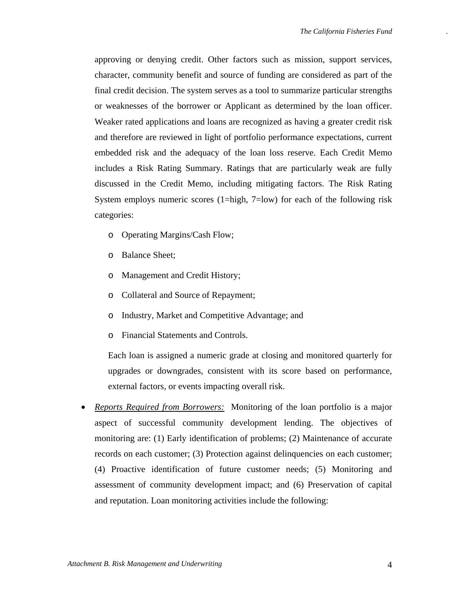approving or denying credit. Other factors such as mission, support services, character, community benefit and source of funding are considered as part of the final credit decision. The system serves as a tool to summarize particular strengths or weaknesses of the borrower or Applicant as determined by the loan officer. Weaker rated applications and loans are recognized as having a greater credit risk and therefore are reviewed in light of portfolio performance expectations, current embedded risk and the adequacy of the loan loss reserve. Each Credit Memo includes a Risk Rating Summary. Ratings that are particularly weak are fully discussed in the Credit Memo, including mitigating factors. The Risk Rating System employs numeric scores (1=high, 7=low) for each of the following risk categories:

- o Operating Margins/Cash Flow;
- o Balance Sheet;
- o Management and Credit History;
- o Collateral and Source of Repayment;
- o Industry, Market and Competitive Advantage; and
- o Financial Statements and Controls.

Each loan is assigned a numeric grade at closing and monitored quarterly for upgrades or downgrades, consistent with its score based on performance, external factors, or events impacting overall risk.

• *Reports Required from Borrowers:* Monitoring of the loan portfolio is a major aspect of successful community development lending. The objectives of monitoring are: (1) Early identification of problems; (2) Maintenance of accurate records on each customer; (3) Protection against delinquencies on each customer; (4) Proactive identification of future customer needs; (5) Monitoring and assessment of community development impact; and (6) Preservation of capital and reputation. Loan monitoring activities include the following: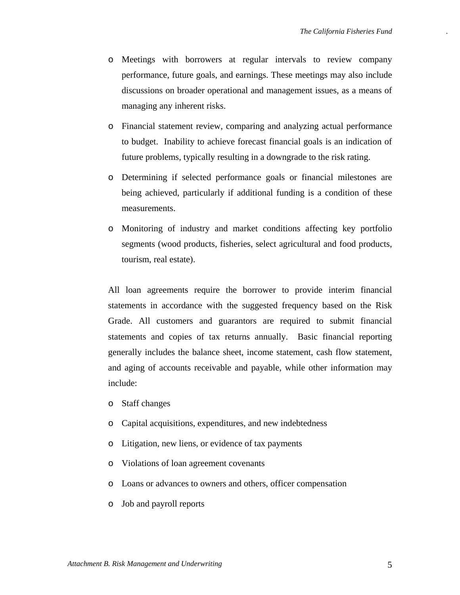- o Meetings with borrowers at regular intervals to review company performance, future goals, and earnings. These meetings may also include discussions on broader operational and management issues, as a means of managing any inherent risks.
- o Financial statement review, comparing and analyzing actual performance to budget. Inability to achieve forecast financial goals is an indication of future problems, typically resulting in a downgrade to the risk rating.
- o Determining if selected performance goals or financial milestones are being achieved, particularly if additional funding is a condition of these measurements.
- o Monitoring of industry and market conditions affecting key portfolio segments (wood products, fisheries, select agricultural and food products, tourism, real estate).

All loan agreements require the borrower to provide interim financial statements in accordance with the suggested frequency based on the Risk Grade. All customers and guarantors are required to submit financial statements and copies of tax returns annually. Basic financial reporting generally includes the balance sheet, income statement, cash flow statement, and aging of accounts receivable and payable, while other information may include:

- o Staff changes
- o Capital acquisitions, expenditures, and new indebtedness
- o Litigation, new liens, or evidence of tax payments
- o Violations of loan agreement covenants
- o Loans or advances to owners and others, officer compensation
- o Job and payroll reports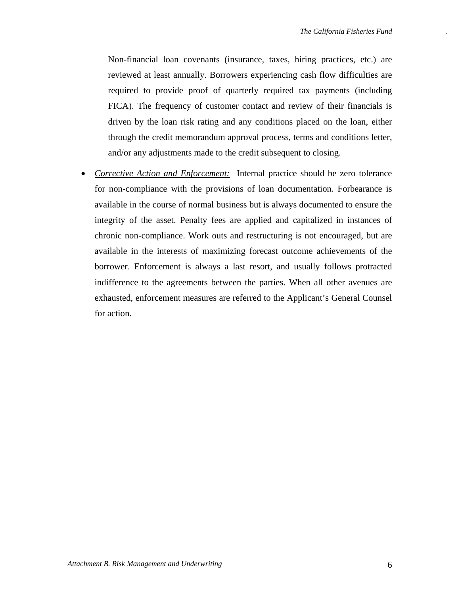Non-financial loan covenants (insurance, taxes, hiring practices, etc.) are reviewed at least annually. Borrowers experiencing cash flow difficulties are required to provide proof of quarterly required tax payments (including FICA). The frequency of customer contact and review of their financials is driven by the loan risk rating and any conditions placed on the loan, either through the credit memorandum approval process, terms and conditions letter, and/or any adjustments made to the credit subsequent to closing.

• *Corrective Action and Enforcement:* Internal practice should be zero tolerance for non-compliance with the provisions of loan documentation. Forbearance is available in the course of normal business but is always documented to ensure the integrity of the asset. Penalty fees are applied and capitalized in instances of chronic non-compliance. Work outs and restructuring is not encouraged, but are available in the interests of maximizing forecast outcome achievements of the borrower. Enforcement is always a last resort, and usually follows protracted indifference to the agreements between the parties. When all other avenues are exhausted, enforcement measures are referred to the Applicant's General Counsel for action.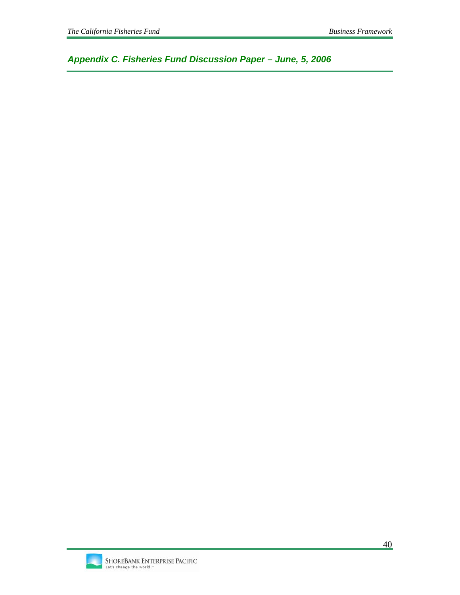*Appendix C. Fisheries Fund Discussion Paper – June, 5, 2006* 

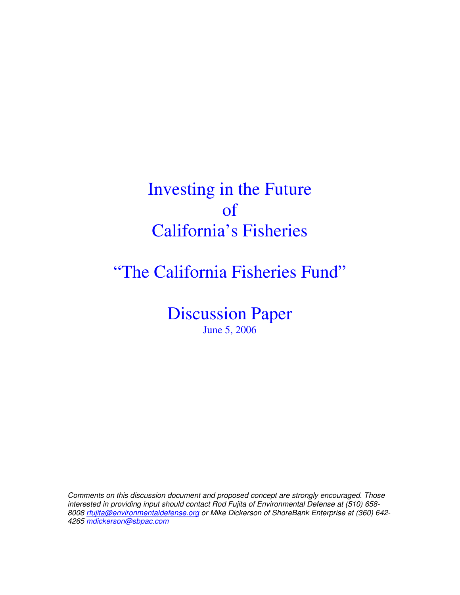# Investing in the Future of California's Fisheries

# "The California Fisheries Fund"

Discussion Paper June 5, 2006

Comments on this discussion document and proposed concept are strongly encouraged. Those interested in providing input should contact Rod Fujita of Environmental Defense at (510) 658- 8008 rfujita@environmentaldefense.org or Mike Dickerson of ShoreBank Enterprise at (360) 642- 4265 mdickerson@sbpac.com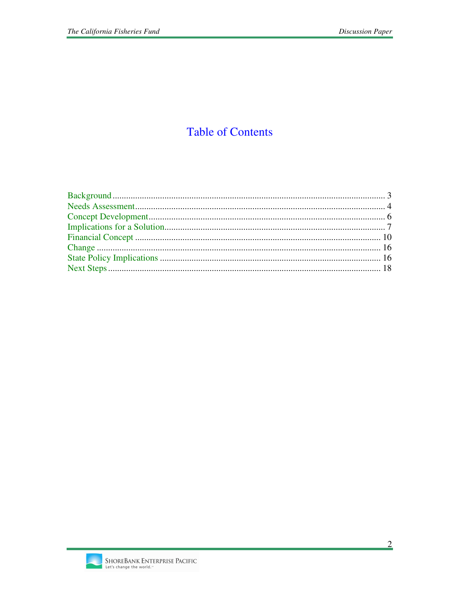# **Table of Contents**

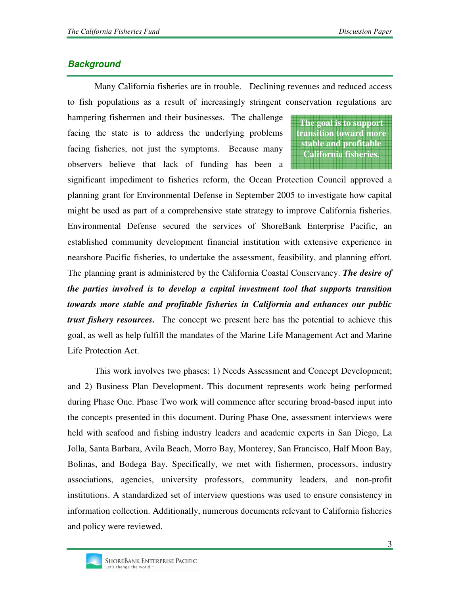# **Background**

Many California fisheries are in trouble. Declining revenues and reduced access to fish populations as a result of increasingly stringent conservation regulations are

hampering fishermen and their businesses. The challenge facing the state is to address the underlying problems facing fisheries, not just the symptoms. Because many observers believe that lack of funding has been a

**The goal is to support transition toward more stable and profitable California fisheries.**

significant impediment to fisheries reform, the Ocean Protection Council approved a planning grant for Environmental Defense in September 2005 to investigate how capital might be used as part of a comprehensive state strategy to improve California fisheries. Environmental Defense secured the services of ShoreBank Enterprise Pacific, an established community development financial institution with extensive experience in nearshore Pacific fisheries, to undertake the assessment, feasibility, and planning effort. The planning grant is administered by the California Coastal Conservancy. *The desire of the parties involved is to develop a capital investment tool that supports transition towards more stable and profitable fisheries in California and enhances our public trust fishery resources.* The concept we present here has the potential to achieve this goal, as well as help fulfill the mandates of the Marine Life Management Act and Marine Life Protection Act.

This work involves two phases: 1) Needs Assessment and Concept Development; and 2) Business Plan Development. This document represents work being performed during Phase One. Phase Two work will commence after securing broad-based input into the concepts presented in this document. During Phase One, assessment interviews were held with seafood and fishing industry leaders and academic experts in San Diego, La Jolla, Santa Barbara, Avila Beach, Morro Bay, Monterey, San Francisco, Half Moon Bay, Bolinas, and Bodega Bay. Specifically, we met with fishermen, processors, industry associations, agencies, university professors, community leaders, and non-profit institutions. A standardized set of interview questions was used to ensure consistency in information collection. Additionally, numerous documents relevant to California fisheries and policy were reviewed.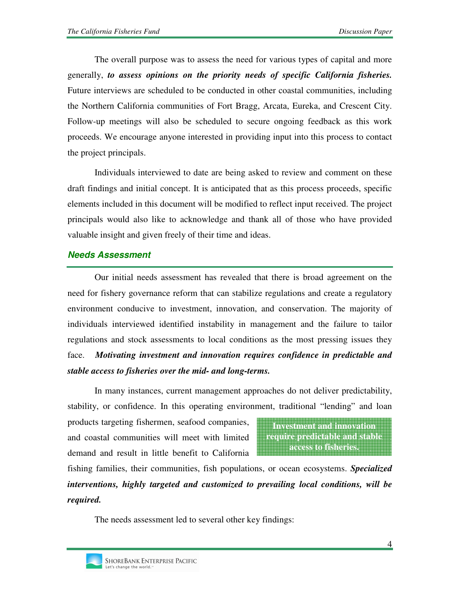The overall purpose was to assess the need for various types of capital and more generally, *to assess opinions on the priority needs of specific California fisheries.* Future interviews are scheduled to be conducted in other coastal communities, including the Northern California communities of Fort Bragg, Arcata, Eureka, and Crescent City. Follow-up meetings will also be scheduled to secure ongoing feedback as this work proceeds. We encourage anyone interested in providing input into this process to contact the project principals.

Individuals interviewed to date are being asked to review and comment on these draft findings and initial concept. It is anticipated that as this process proceeds, specific elements included in this document will be modified to reflect input received. The project principals would also like to acknowledge and thank all of those who have provided valuable insight and given freely of their time and ideas.

## **Needs Assessment**

Our initial needs assessment has revealed that there is broad agreement on the need for fishery governance reform that can stabilize regulations and create a regulatory environment conducive to investment, innovation, and conservation. The majority of individuals interviewed identified instability in management and the failure to tailor regulations and stock assessments to local conditions as the most pressing issues they face. *Motivating investment and innovation requires confidence in predictable and stable access to fisheries over the mid- and long-terms.* 

In many instances, current management approaches do not deliver predictability, stability, or confidence. In this operating environment, traditional "lending" and loan

products targeting fishermen, seafood companies, and coastal communities will meet with limited demand and result in little benefit to California

**Investment and innovation require predictable and stable access to fisheries.** 

fishing families, their communities, fish populations, or ocean ecosystems. *Specialized interventions, highly targeted and customized to prevailing local conditions, will be required.*

The needs assessment led to several other key findings: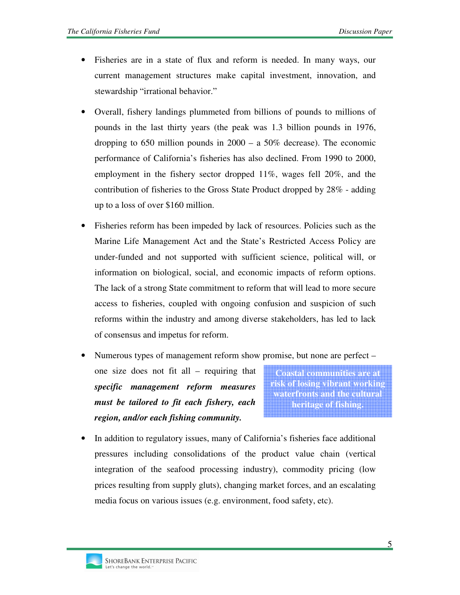- Fisheries are in a state of flux and reform is needed. In many ways, our current management structures make capital investment, innovation, and stewardship "irrational behavior."
- Overall, fishery landings plummeted from billions of pounds to millions of pounds in the last thirty years (the peak was 1.3 billion pounds in 1976, dropping to 650 million pounds in  $2000 - a$  50% decrease). The economic performance of California's fisheries has also declined. From 1990 to 2000, employment in the fishery sector dropped 11%, wages fell 20%, and the contribution of fisheries to the Gross State Product dropped by 28% - adding up to a loss of over \$160 million.
- Fisheries reform has been impeded by lack of resources. Policies such as the Marine Life Management Act and the State's Restricted Access Policy are under-funded and not supported with sufficient science, political will, or information on biological, social, and economic impacts of reform options. The lack of a strong State commitment to reform that will lead to more secure access to fisheries, coupled with ongoing confusion and suspicion of such reforms within the industry and among diverse stakeholders, has led to lack of consensus and impetus for reform.
- Numerous types of management reform show promise, but none are perfect –

one size does not fit all – requiring that *specific management reform measures must be tailored to fit each fishery, each region, and/or each fishing community.*

**Coastal communities are at risk of losing vibrant working waterfronts and the cultural heritage of fishing.**

• In addition to regulatory issues, many of California's fisheries face additional pressures including consolidations of the product value chain (vertical integration of the seafood processing industry), commodity pricing (low prices resulting from supply gluts), changing market forces, and an escalating media focus on various issues (e.g. environment, food safety, etc).

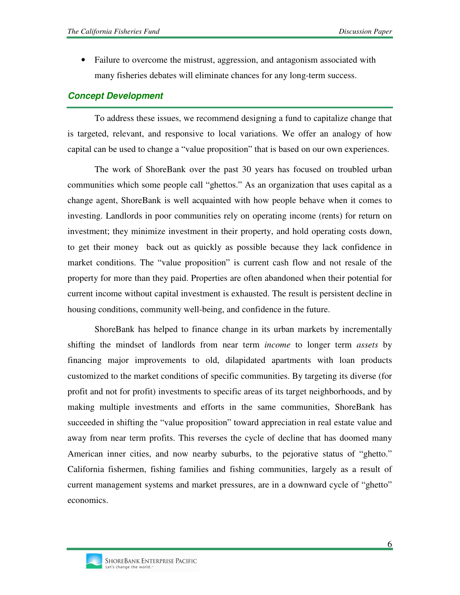• Failure to overcome the mistrust, aggression, and antagonism associated with many fisheries debates will eliminate chances for any long-term success.

## **Concept Development**

To address these issues, we recommend designing a fund to capitalize change that is targeted, relevant, and responsive to local variations. We offer an analogy of how capital can be used to change a "value proposition" that is based on our own experiences.

The work of ShoreBank over the past 30 years has focused on troubled urban communities which some people call "ghettos." As an organization that uses capital as a change agent, ShoreBank is well acquainted with how people behave when it comes to investing. Landlords in poor communities rely on operating income (rents) for return on investment; they minimize investment in their property, and hold operating costs down, to get their money back out as quickly as possible because they lack confidence in market conditions. The "value proposition" is current cash flow and not resale of the property for more than they paid. Properties are often abandoned when their potential for current income without capital investment is exhausted. The result is persistent decline in housing conditions, community well-being, and confidence in the future.

ShoreBank has helped to finance change in its urban markets by incrementally shifting the mindset of landlords from near term *income* to longer term *assets* by financing major improvements to old, dilapidated apartments with loan products customized to the market conditions of specific communities. By targeting its diverse (for profit and not for profit) investments to specific areas of its target neighborhoods, and by making multiple investments and efforts in the same communities, ShoreBank has succeeded in shifting the "value proposition" toward appreciation in real estate value and away from near term profits. This reverses the cycle of decline that has doomed many American inner cities, and now nearby suburbs, to the pejorative status of "ghetto." California fishermen, fishing families and fishing communities, largely as a result of current management systems and market pressures, are in a downward cycle of "ghetto" economics.

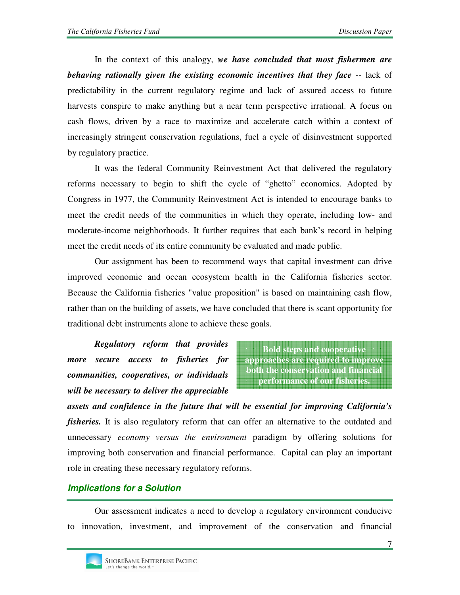In the context of this analogy, *we have concluded that most fishermen are behaving rationally given the existing economic incentives that they face* -- lack of predictability in the current regulatory regime and lack of assured access to future harvests conspire to make anything but a near term perspective irrational. A focus on cash flows, driven by a race to maximize and accelerate catch within a context of increasingly stringent conservation regulations, fuel a cycle of disinvestment supported by regulatory practice.

It was the federal Community Reinvestment Act that delivered the regulatory reforms necessary to begin to shift the cycle of "ghetto" economics. Adopted by Congress in 1977, the Community Reinvestment Act is intended to encourage banks to meet the credit needs of the communities in which they operate, including low- and moderate-income neighborhoods. It further requires that each bank's record in helping meet the credit needs of its entire community be evaluated and made public.

Our assignment has been to recommend ways that capital investment can drive improved economic and ocean ecosystem health in the California fisheries sector. Because the California fisheries "value proposition" is based on maintaining cash flow, rather than on the building of assets, we have concluded that there is scant opportunity for traditional debt instruments alone to achieve these goals.

*Regulatory reform that provides more secure access to fisheries for communities, cooperatives, or individuals will be necessary to deliver the appreciable* 

**Bold steps and cooperative approaches are required to improve both the conservation and financial performance of our fisheries.** 

*assets and confidence in the future that will be essential for improving California's fisheries*. It is also regulatory reform that can offer an alternative to the outdated and unnecessary *economy versus the environment* paradigm by offering solutions for improving both conservation and financial performance. Capital can play an important role in creating these necessary regulatory reforms.

## **Implications for a Solution**

Our assessment indicates a need to develop a regulatory environment conducive to innovation, investment, and improvement of the conservation and financial

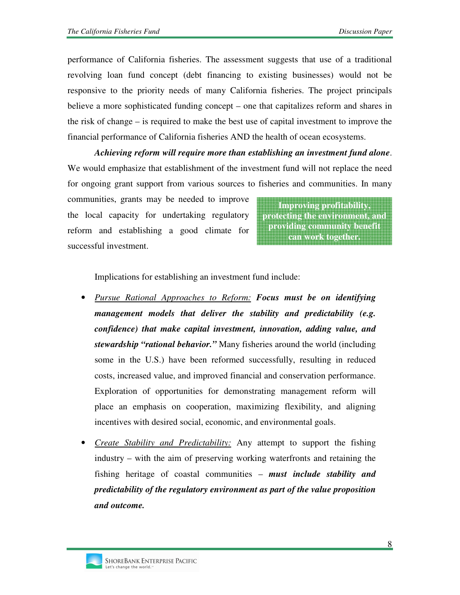performance of California fisheries. The assessment suggests that use of a traditional revolving loan fund concept (debt financing to existing businesses) would not be responsive to the priority needs of many California fisheries. The project principals believe a more sophisticated funding concept – one that capitalizes reform and shares in the risk of change – is required to make the best use of capital investment to improve the financial performance of California fisheries AND the health of ocean ecosystems.

*Achieving reform will require more than establishing an investment fund alone*. We would emphasize that establishment of the investment fund will not replace the need for ongoing grant support from various sources to fisheries and communities. In many

communities, grants may be needed to improve the local capacity for undertaking regulatory reform and establishing a good climate for successful investment.

**Improving profitability, protecting the environment, and providing community benefit can work together.** 

Implications for establishing an investment fund include:

- *Pursue Rational Approaches to Reform: Focus must be on identifying management models that deliver the stability and predictability (e.g. confidence) that make capital investment, innovation, adding value, and stewardship "rational behavior."* Many fisheries around the world (including some in the U.S.) have been reformed successfully, resulting in reduced costs, increased value, and improved financial and conservation performance. Exploration of opportunities for demonstrating management reform will place an emphasis on cooperation, maximizing flexibility, and aligning incentives with desired social, economic, and environmental goals.
- *Create Stability and Predictability:* Any attempt to support the fishing industry – with the aim of preserving working waterfronts and retaining the fishing heritage of coastal communities – *must include stability and predictability of the regulatory environment as part of the value proposition and outcome.*

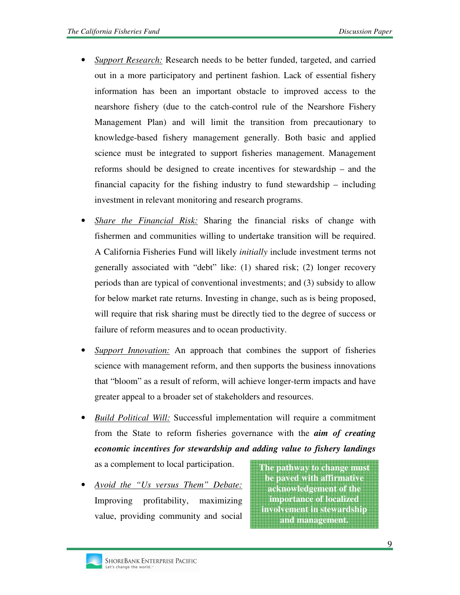- *Support Research:* Research needs to be better funded, targeted, and carried out in a more participatory and pertinent fashion. Lack of essential fishery information has been an important obstacle to improved access to the nearshore fishery (due to the catch-control rule of the Nearshore Fishery Management Plan) and will limit the transition from precautionary to knowledge-based fishery management generally. Both basic and applied science must be integrated to support fisheries management. Management reforms should be designed to create incentives for stewardship – and the financial capacity for the fishing industry to fund stewardship – including investment in relevant monitoring and research programs.
- *Share the Financial Risk:* Sharing the financial risks of change with fishermen and communities willing to undertake transition will be required. A California Fisheries Fund will likely *initially* include investment terms not generally associated with "debt" like: (1) shared risk; (2) longer recovery periods than are typical of conventional investments; and (3) subsidy to allow for below market rate returns. Investing in change, such as is being proposed, will require that risk sharing must be directly tied to the degree of success or failure of reform measures and to ocean productivity.
- *Support Innovation:* An approach that combines the support of fisheries science with management reform, and then supports the business innovations that "bloom" as a result of reform, will achieve longer-term impacts and have greater appeal to a broader set of stakeholders and resources.
- **The pathway to change must**  • *Build Political Will:* Successful implementation will require a commitment from the State to reform fisheries governance with the *aim of creating economic incentives for stewardship and adding value to fishery landings* as a complement to local participation.
- *Avoid the "Us versus Them" Debate:* Improving profitability, maximizing value, providing community and social

**be paved with affirmative acknowledgement of the importance of localized involvement in stewardship and management.**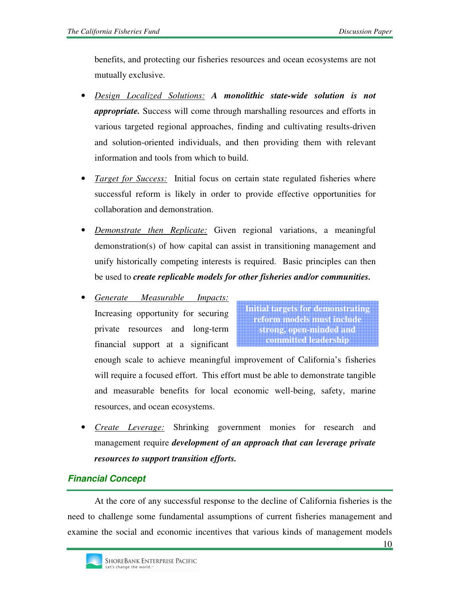benefits, and protecting our fisheries resources and ocean ecosystems are not mutually exclusive.

- *Design Localized Solutions: A monolithic state-wide solution is not appropriate.* Success will come through marshalling resources and efforts in various targeted regional approaches, finding and cultivating results-driven and solution-oriented individuals, and then providing them with relevant information and tools from which to build.
- *Target for Success:* Initial focus on certain state regulated fisheries where successful reform is likely in order to provide effective opportunities for collaboration and demonstration.
- *Demonstrate then Replicate:* Given regional variations, a meaningful demonstration(s) of how capital can assist in transitioning management and unify historically competing interests is required. Basic principles can then be used to *create replicable models for other fisheries and/or communities.*
- *Generate Measurable Impacts:* Increasing opportunity for securing private resources and long-term financial support at a significant

**Initial targets for demonstrating reform models must include strong, open-minded and committed leadership**

enough scale to achieve meaningful improvement of California's fisheries will require a focused effort. This effort must be able to demonstrate tangible and measurable benefits for local economic well-being, safety, marine resources, and ocean ecosystems.

• *Create Leverage:* Shrinking government monies for research and management require *development of an approach that can leverage private resources to support transition efforts.* 

# **Financial Concept**

At the core of any successful response to the decline of California fisheries is the need to challenge some fundamental assumptions of current fisheries management and examine the social and economic incentives that various kinds of management models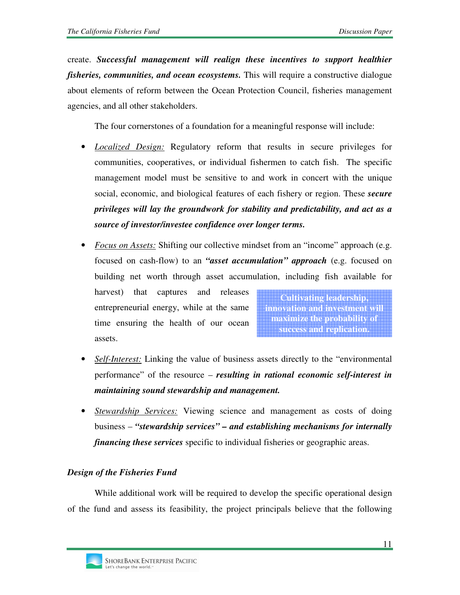create. *Successful management will realign these incentives to support healthier fisheries, communities, and ocean ecosystems.* This will require a constructive dialogue about elements of reform between the Ocean Protection Council, fisheries management agencies, and all other stakeholders.

The four cornerstones of a foundation for a meaningful response will include:

- *Localized Design:* Regulatory reform that results in secure privileges for communities, cooperatives, or individual fishermen to catch fish. The specific management model must be sensitive to and work in concert with the unique social, economic, and biological features of each fishery or region. These *secure privileges will lay the groundwork for stability and predictability, and act as a source of investor/investee confidence over longer terms.*
- *Focus on Assets:* Shifting our collective mindset from an "income" approach (e.g. focused on cash-flow) to an *"asset accumulation" approach* (e.g. focused on building net worth through asset accumulation, including fish available for

harvest) that captures and releases entrepreneurial energy, while at the same time ensuring the health of our ocean assets.

**Cultivating leadership, innovation and investment will maximize the probability of success and replication.**

- **Self-Interest:** Linking the value of business assets directly to the "environmental" performance" of the resource – *resulting in rational economic self-interest in maintaining sound stewardship and management.*
- *Stewardship Services:* Viewing science and management as costs of doing business – *"stewardship services" – and establishing mechanisms for internally financing these services* specific to individual fisheries or geographic areas.

## *Design of the Fisheries Fund*

While additional work will be required to develop the specific operational design of the fund and assess its feasibility, the project principals believe that the following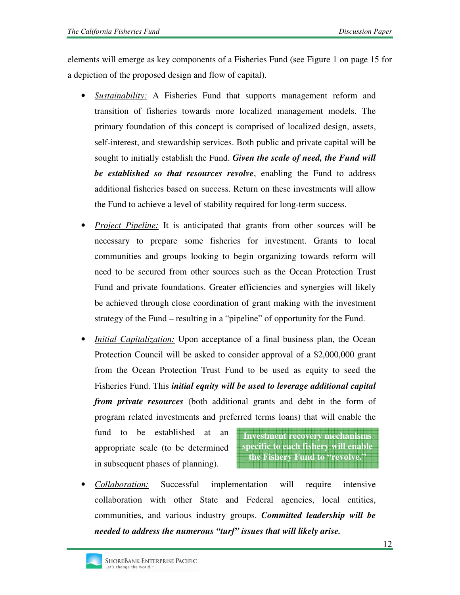elements will emerge as key components of a Fisheries Fund (see Figure 1 on page 15 for a depiction of the proposed design and flow of capital).

- *Sustainability:* A Fisheries Fund that supports management reform and transition of fisheries towards more localized management models. The primary foundation of this concept is comprised of localized design, assets, self-interest, and stewardship services. Both public and private capital will be sought to initially establish the Fund. *Given the scale of need, the Fund will be established so that resources revolve*, enabling the Fund to address additional fisheries based on success. Return on these investments will allow the Fund to achieve a level of stability required for long-term success.
- *Project Pipeline:* It is anticipated that grants from other sources will be necessary to prepare some fisheries for investment. Grants to local communities and groups looking to begin organizing towards reform will need to be secured from other sources such as the Ocean Protection Trust Fund and private foundations. Greater efficiencies and synergies will likely be achieved through close coordination of grant making with the investment strategy of the Fund – resulting in a "pipeline" of opportunity for the Fund.
- *Initial Capitalization:* Upon acceptance of a final business plan, the Ocean Protection Council will be asked to consider approval of a \$2,000,000 grant from the Ocean Protection Trust Fund to be used as equity to seed the Fisheries Fund. This *initial equity will be used to leverage additional capital from private resources* (both additional grants and debt in the form of program related investments and preferred terms loans) that will enable the

fund to be established at an appropriate scale (to be determined in subsequent phases of planning).

**Investment recovery mechanisms specific to each fishery will enable the Fishery Fund to "revolve."** 

• *Collaboration:* Successful implementation will require intensive collaboration with other State and Federal agencies, local entities, communities, and various industry groups. *Committed leadership will be needed to address the numerous "turf" issues that will likely arise.*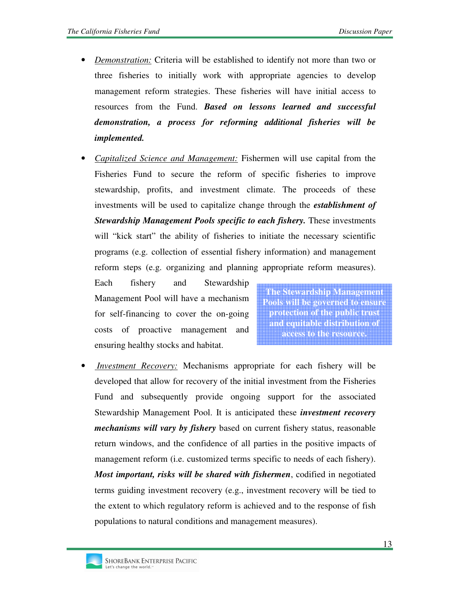- *Demonstration:* Criteria will be established to identify not more than two or three fisheries to initially work with appropriate agencies to develop management reform strategies. These fisheries will have initial access to resources from the Fund. *Based on lessons learned and successful demonstration, a process for reforming additional fisheries will be implemented.*
- *Capitalized Science and Management:* Fishermen will use capital from the Fisheries Fund to secure the reform of specific fisheries to improve stewardship, profits, and investment climate. The proceeds of these investments will be used to capitalize change through the *establishment of Stewardship Management Pools specific to each fishery.* These investments will "kick start" the ability of fisheries to initiate the necessary scientific programs (e.g. collection of essential fishery information) and management reform steps (e.g. organizing and planning appropriate reform measures).

Each fishery and Stewardship Management Pool will have a mechanism for self-financing to cover the on-going costs of proactive management and ensuring healthy stocks and habitat.

**The Stewardship Management Pools will be governed to ensure protection of the public trust and equitable distribution of access to the resource.** 

• *Investment Recovery:* Mechanisms appropriate for each fishery will be developed that allow for recovery of the initial investment from the Fisheries Fund and subsequently provide ongoing support for the associated Stewardship Management Pool. It is anticipated these *investment recovery mechanisms will vary by fishery* based on current fishery status, reasonable return windows, and the confidence of all parties in the positive impacts of management reform (i.e. customized terms specific to needs of each fishery). *Most important, risks will be shared with fishermen*, codified in negotiated terms guiding investment recovery (e.g., investment recovery will be tied to the extent to which regulatory reform is achieved and to the response of fish populations to natural conditions and management measures).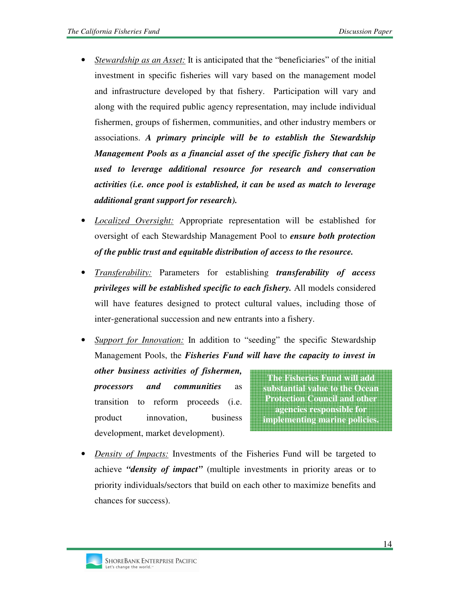- *Stewardship as an Asset:* It is anticipated that the "beneficiaries" of the initial investment in specific fisheries will vary based on the management model and infrastructure developed by that fishery. Participation will vary and along with the required public agency representation, may include individual fishermen, groups of fishermen, communities, and other industry members or associations. *A primary principle will be to establish the Stewardship Management Pools as a financial asset of the specific fishery that can be used to leverage additional resource for research and conservation activities (i.e. once pool is established, it can be used as match to leverage additional grant support for research).*
- *Localized Oversight:* Appropriate representation will be established for oversight of each Stewardship Management Pool to *ensure both protection of the public trust and equitable distribution of access to the resource.*
- *Transferability:* Parameters for establishing *transferability of access privileges will be established specific to each fishery.* All models considered will have features designed to protect cultural values, including those of inter-generational succession and new entrants into a fishery.
- *Support for Innovation:* In addition to "seeding" the specific Stewardship Management Pools, the *Fisheries Fund will have the capacity to invest in*

*other business activities of fishermen, processors and communities* as transition to reform proceeds (i.e. product innovation, business development, market development).

**The Fisheries Fund will add substantial value to the Ocean Protection Council and other agencies responsible for implementing marine policies.** 

• *Density of Impacts:* Investments of the Fisheries Fund will be targeted to achieve *"density of impact"* (multiple investments in priority areas or to priority individuals/sectors that build on each other to maximize benefits and chances for success).

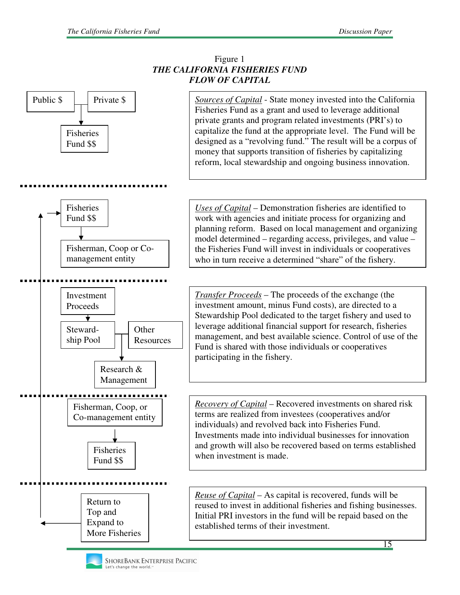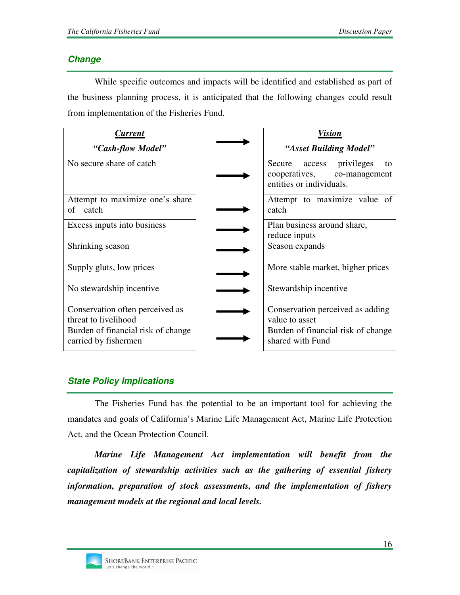## **Change**

While specific outcomes and impacts will be identified and established as part of the business planning process, it is anticipated that the following changes could result from implementation of the Fisheries Fund.

| Current                                                    | Vision                                                                                             |
|------------------------------------------------------------|----------------------------------------------------------------------------------------------------|
| "Cash-flow Model"                                          | "Asset Building Model"                                                                             |
| No secure share of catch                                   | privileges<br>Secure<br>access<br>to<br>cooperatives,<br>co-management<br>entities or individuals. |
| Attempt to maximize one's share<br>catch<br>of             | Attempt to maximize value of<br>catch                                                              |
| Excess inputs into business                                | Plan business around share,<br>reduce inputs                                                       |
| Shrinking season                                           | Season expands                                                                                     |
| Supply gluts, low prices                                   | More stable market, higher prices                                                                  |
| No stewardship incentive                                   | Stewardship incentive                                                                              |
| Conservation often perceived as                            | Conservation perceived as adding                                                                   |
| threat to livelihood                                       | value to asset                                                                                     |
| Burden of financial risk of change<br>carried by fishermen | Burden of financial risk of change<br>shared with Fund                                             |

# **State Policy Implications**

The Fisheries Fund has the potential to be an important tool for achieving the mandates and goals of California's Marine Life Management Act, Marine Life Protection Act, and the Ocean Protection Council.

*Marine Life Management Act implementation will benefit from the capitalization of stewardship activities such as the gathering of essential fishery information, preparation of stock assessments, and the implementation of fishery management models at the regional and local levels.*

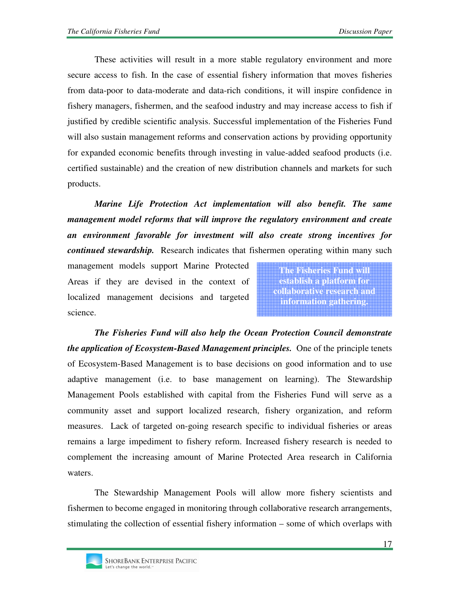These activities will result in a more stable regulatory environment and more secure access to fish. In the case of essential fishery information that moves fisheries from data-poor to data-moderate and data-rich conditions, it will inspire confidence in fishery managers, fishermen, and the seafood industry and may increase access to fish if justified by credible scientific analysis. Successful implementation of the Fisheries Fund will also sustain management reforms and conservation actions by providing opportunity for expanded economic benefits through investing in value-added seafood products (i.e. certified sustainable) and the creation of new distribution channels and markets for such products.

*Marine Life Protection Act implementation will also benefit. The same management model reforms that will improve the regulatory environment and create an environment favorable for investment will also create strong incentives for continued stewardship.* Research indicates that fishermen operating within many such

management models support Marine Protected Areas if they are devised in the context of localized management decisions and targeted science.

**The Fisheries Fund will establish a platform for collaborative research and information gathering.**

*The Fisheries Fund will also help the Ocean Protection Council demonstrate the application of Ecosystem-Based Management principles.* One of the principle tenets of Ecosystem-Based Management is to base decisions on good information and to use adaptive management (i.e. to base management on learning). The Stewardship Management Pools established with capital from the Fisheries Fund will serve as a community asset and support localized research, fishery organization, and reform measures. Lack of targeted on-going research specific to individual fisheries or areas remains a large impediment to fishery reform. Increased fishery research is needed to complement the increasing amount of Marine Protected Area research in California waters.

The Stewardship Management Pools will allow more fishery scientists and fishermen to become engaged in monitoring through collaborative research arrangements, stimulating the collection of essential fishery information – some of which overlaps with

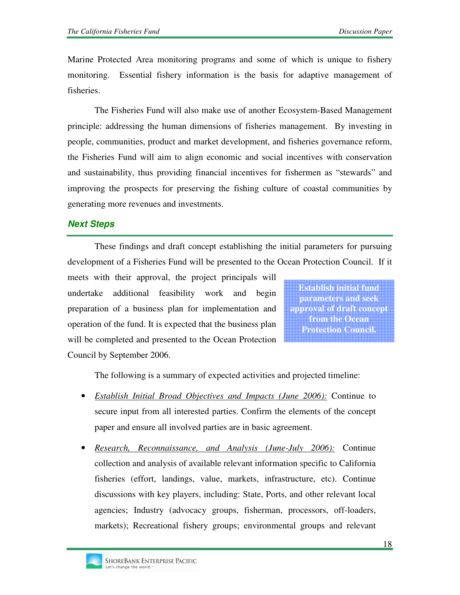Marine Protected Area monitoring programs and some of which is unique to fishery monitoring. Essential fishery information is the basis for adaptive management of fisheries.

The Fisheries Fund will also make use of another Ecosystem-Based Management principle: addressing the human dimensions of fisheries management. By investing in people, communities, product and market development, and fisheries governance reform, the Fisheries Fund will aim to align economic and social incentives with conservation and sustainability, thus providing financial incentives for fishermen as "stewards" and improving the prospects for preserving the fishing culture of coastal communities by generating more revenues and investments.

## **Next Steps**

These findings and draft concept establishing the initial parameters for pursuing development of a Fisheries Fund will be presented to the Ocean Protection Council. If it

meets with their approval, the project principals will undertake additional feasibility work and begin preparation of a business plan for implementation and operation of the fund. It is expected that the business plan will be completed and presented to the Ocean Protection Council by September 2006.

**Establish initial fund parameters and seek approval of draft concept from the Ocean Protection Council.**

The following is a summary of expected activities and projected timeline:

- *Establish Initial Broad Objectives and Impacts (June 2006):* Continue to secure input from all interested parties. Confirm the elements of the concept paper and ensure all involved parties are in basic agreement.
- *Research, Reconnaissance, and Analysis (June-July 2006):* Continue collection and analysis of available relevant information specific to California fisheries (effort, landings, value, markets, infrastructure, etc). Continue discussions with key players, including: State, Ports, and other relevant local agencies; Industry (advocacy groups, fisherman, processors, off-loaders, markets); Recreational fishery groups; environmental groups and relevant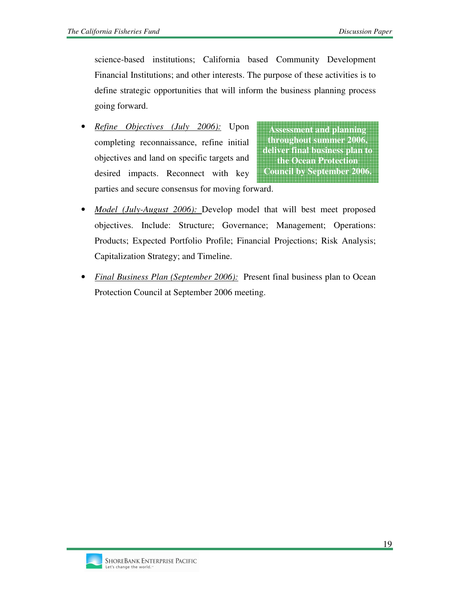science-based institutions; California based Community Development Financial Institutions; and other interests. The purpose of these activities is to define strategic opportunities that will inform the business planning process going forward.

• *Refine Objectives (July 2006):* Upon completing reconnaissance, refine initial objectives and land on specific targets and desired impacts. Reconnect with key parties and secure consensus for moving forward.

**Assessment and planning throughout summer 2006, deliver final business plan to the Ocean Protection Council by September 2006.**

- *Model (July-August 2006):* Develop model that will best meet proposed objectives. Include: Structure; Governance; Management; Operations: Products; Expected Portfolio Profile; Financial Projections; Risk Analysis; Capitalization Strategy; and Timeline.
- *Final Business Plan (September 2006):* Present final business plan to Ocean Protection Council at September 2006 meeting.

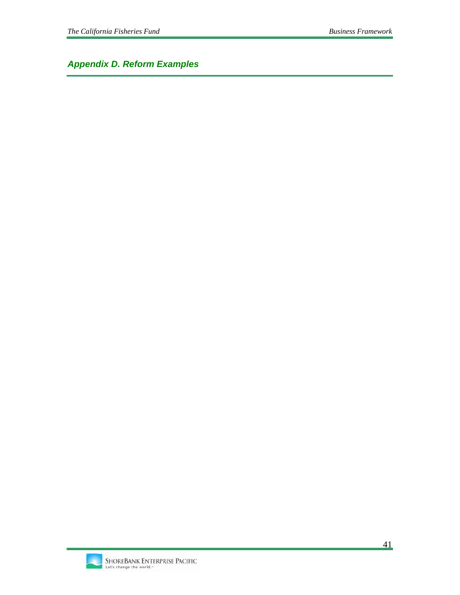*Appendix D. Reform Examples* 

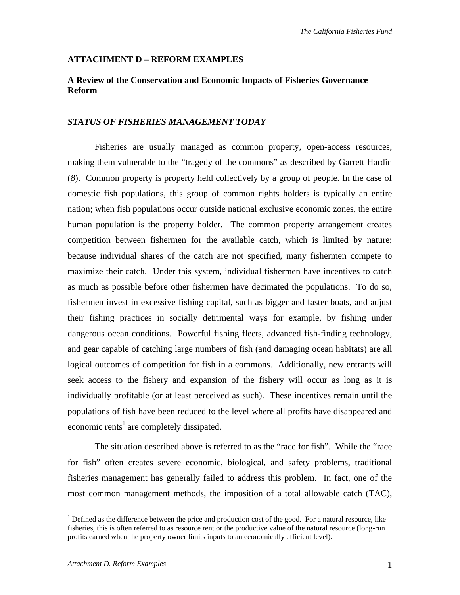#### **ATTACHMENT D – REFORM EXAMPLES**

### **A Review of the Conservation and Economic Impacts of Fisheries Governance Reform**

#### *STATUS OF FISHERIES MANAGEMENT TODAY*

Fisheries are usually managed as common property, open-access resources, making them vulnerable to the "tragedy of the commons" as described by Garrett Hardin (*8*). Common property is property held collectively by a group of people. In the case of domestic fish populations, this group of common rights holders is typically an entire nation; when fish populations occur outside national exclusive economic zones, the entire human population is the property holder. The common property arrangement creates competition between fishermen for the available catch, which is limited by nature; because individual shares of the catch are not specified, many fishermen compete to maximize their catch. Under this system, individual fishermen have incentives to catch as much as possible before other fishermen have decimated the populations. To do so, fishermen invest in excessive fishing capital, such as bigger and faster boats, and adjust their fishing practices in socially detrimental ways for example, by fishing under dangerous ocean conditions. Powerful fishing fleets, advanced fish-finding technology, and gear capable of catching large numbers of fish (and damaging ocean habitats) are all logical outcomes of competition for fish in a commons. Additionally, new entrants will seek access to the fishery and expansion of the fishery will occur as long as it is individually profitable (or at least perceived as such). These incentives remain until the populations of fish have been reduced to the level where all profits have disappeared and economic rents<sup>1</sup> are completely dissipated.

The situation described above is referred to as the "race for fish". While the "race for fish" often creates severe economic, biological, and safety problems, traditional fisheries management has generally failed to address this problem. In fact, one of the most common management methods, the imposition of a total allowable catch (TAC),

 $\overline{a}$ 

 $1$  Defined as the difference between the price and production cost of the good. For a natural resource, like fisheries, this is often referred to as resource rent or the productive value of the natural resource (long-run profits earned when the property owner limits inputs to an economically efficient level).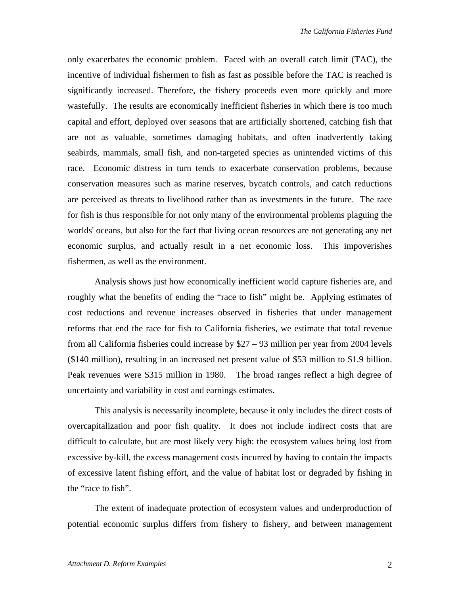only exacerbates the economic problem. Faced with an overall catch limit (TAC), the incentive of individual fishermen to fish as fast as possible before the TAC is reached is significantly increased. Therefore, the fishery proceeds even more quickly and more wastefully. The results are economically inefficient fisheries in which there is too much capital and effort, deployed over seasons that are artificially shortened, catching fish that are not as valuable, sometimes damaging habitats, and often inadvertently taking seabirds, mammals, small fish, and non-targeted species as unintended victims of this race. Economic distress in turn tends to exacerbate conservation problems, because conservation measures such as marine reserves, bycatch controls, and catch reductions are perceived as threats to livelihood rather than as investments in the future. The race for fish is thus responsible for not only many of the environmental problems plaguing the worlds' oceans, but also for the fact that living ocean resources are not generating any net economic surplus, and actually result in a net economic loss. This impoverishes fishermen, as well as the environment.

Analysis shows just how economically inefficient world capture fisheries are, and roughly what the benefits of ending the "race to fish" might be. Applying estimates of cost reductions and revenue increases observed in fisheries that under management reforms that end the race for fish to California fisheries, we estimate that total revenue from all California fisheries could increase by \$27 – 93 million per year from 2004 levels (\$140 million), resulting in an increased net present value of \$53 million to \$1.9 billion. Peak revenues were \$315 million in 1980. The broad ranges reflect a high degree of uncertainty and variability in cost and earnings estimates.

This analysis is necessarily incomplete, because it only includes the direct costs of overcapitalization and poor fish quality. It does not include indirect costs that are difficult to calculate, but are most likely very high: the ecosystem values being lost from excessive by-kill, the excess management costs incurred by having to contain the impacts of excessive latent fishing effort, and the value of habitat lost or degraded by fishing in the "race to fish".

The extent of inadequate protection of ecosystem values and underproduction of potential economic surplus differs from fishery to fishery, and between management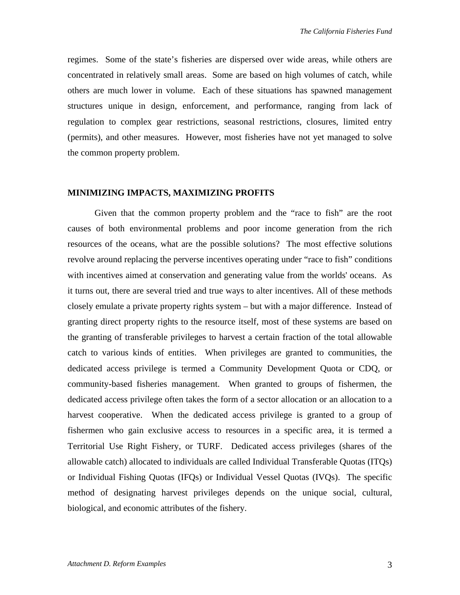regimes. Some of the state's fisheries are dispersed over wide areas, while others are concentrated in relatively small areas. Some are based on high volumes of catch, while others are much lower in volume. Each of these situations has spawned management structures unique in design, enforcement, and performance, ranging from lack of regulation to complex gear restrictions, seasonal restrictions, closures, limited entry (permits), and other measures. However, most fisheries have not yet managed to solve the common property problem.

#### **MINIMIZING IMPACTS, MAXIMIZING PROFITS**

Given that the common property problem and the "race to fish" are the root causes of both environmental problems and poor income generation from the rich resources of the oceans, what are the possible solutions? The most effective solutions revolve around replacing the perverse incentives operating under "race to fish" conditions with incentives aimed at conservation and generating value from the worlds' oceans. As it turns out, there are several tried and true ways to alter incentives. All of these methods closely emulate a private property rights system – but with a major difference. Instead of granting direct property rights to the resource itself, most of these systems are based on the granting of transferable privileges to harvest a certain fraction of the total allowable catch to various kinds of entities. When privileges are granted to communities, the dedicated access privilege is termed a Community Development Quota or CDQ, or community-based fisheries management. When granted to groups of fishermen, the dedicated access privilege often takes the form of a sector allocation or an allocation to a harvest cooperative. When the dedicated access privilege is granted to a group of fishermen who gain exclusive access to resources in a specific area, it is termed a Territorial Use Right Fishery, or TURF. Dedicated access privileges (shares of the allowable catch) allocated to individuals are called Individual Transferable Quotas (ITQs) or Individual Fishing Quotas (IFQs) or Individual Vessel Quotas (IVQs). The specific method of designating harvest privileges depends on the unique social, cultural, biological, and economic attributes of the fishery.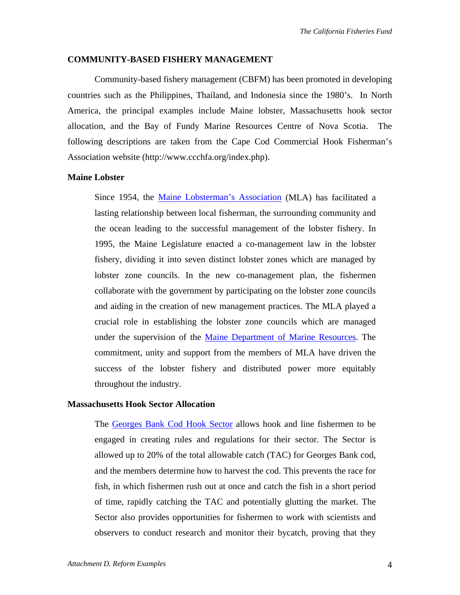#### **COMMUNITY-BASED FISHERY MANAGEMENT**

Community-based fishery management (CBFM) has been promoted in developing countries such as the Philippines, Thailand, and Indonesia since the 1980's. In North America, the principal examples include Maine lobster, Massachusetts hook sector allocation, and the Bay of Fundy Marine Resources Centre of Nova Scotia. The following descriptions are taken from the Cape Cod Commercial Hook Fisherman's Association website (http://www.ccchfa.org/index.php).

#### **Maine Lobster**

Since 1954, the Maine Lobsterman's Association (MLA) has facilitated a lasting relationship between local fisherman, the surrounding community and the ocean leading to the successful management of the lobster fishery. In 1995, the Maine Legislature enacted a co-management law in the lobster fishery, dividing it into seven distinct lobster zones which are managed by lobster zone councils. In the new co-management plan, the fishermen collaborate with the government by participating on the lobster zone councils and aiding in the creation of new management practices. The MLA played a crucial role in establishing the lobster zone councils which are managed under the supervision of the Maine Department of Marine Resources. The commitment, unity and support from the members of MLA have driven the success of the lobster fishery and distributed power more equitably throughout the industry.

#### **Massachusetts Hook Sector Allocation**

The Georges Bank Cod Hook Sector allows hook and line fishermen to be engaged in creating rules and regulations for their sector. The Sector is allowed up to 20% of the total allowable catch (TAC) for Georges Bank cod, and the members determine how to harvest the cod. This prevents the race for fish, in which fishermen rush out at once and catch the fish in a short period of time, rapidly catching the TAC and potentially glutting the market. The Sector also provides opportunities for fishermen to work with scientists and observers to conduct research and monitor their bycatch, proving that they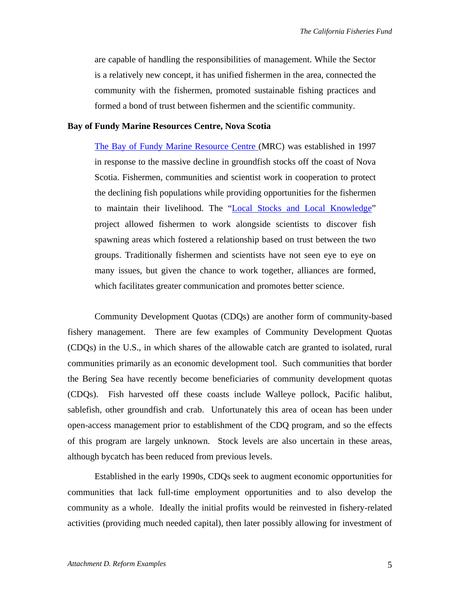are capable of handling the responsibilities of management. While the Sector is a relatively new concept, it has unified fishermen in the area, connected the community with the fishermen, promoted sustainable fishing practices and formed a bond of trust between fishermen and the scientific community.

#### **Bay of Fundy Marine Resources Centre, Nova Scotia**

The Bay of Fundy Marine Resource Centre (MRC) was established in 1997 in response to the massive decline in groundfish stocks off the coast of Nova Scotia. Fishermen, communities and scientist work in cooperation to protect the declining fish populations while providing opportunities for the fishermen to maintain their livelihood. The "Local Stocks and Local Knowledge" project allowed fishermen to work alongside scientists to discover fish spawning areas which fostered a relationship based on trust between the two groups. Traditionally fishermen and scientists have not seen eye to eye on many issues, but given the chance to work together, alliances are formed, which facilitates greater communication and promotes better science.

Community Development Quotas (CDQs) are another form of community-based fishery management. There are few examples of Community Development Quotas (CDQs) in the U.S., in which shares of the allowable catch are granted to isolated, rural communities primarily as an economic development tool. Such communities that border the Bering Sea have recently become beneficiaries of community development quotas (CDQs). Fish harvested off these coasts include Walleye pollock, Pacific halibut, sablefish, other groundfish and crab. Unfortunately this area of ocean has been under open-access management prior to establishment of the CDQ program, and so the effects of this program are largely unknown. Stock levels are also uncertain in these areas, although bycatch has been reduced from previous levels.

Established in the early 1990s, CDQs seek to augment economic opportunities for communities that lack full-time employment opportunities and to also develop the community as a whole. Ideally the initial profits would be reinvested in fishery-related activities (providing much needed capital), then later possibly allowing for investment of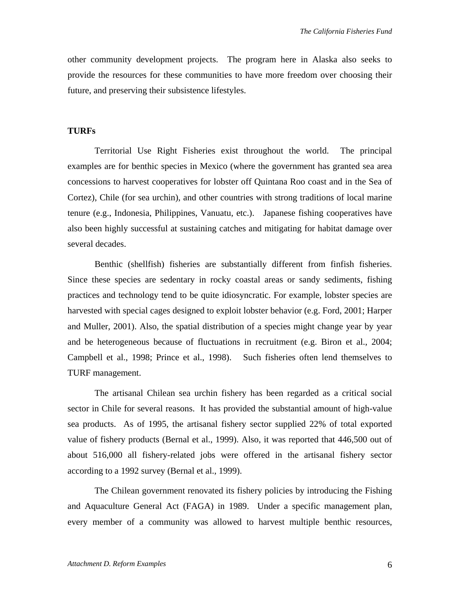other community development projects. The program here in Alaska also seeks to provide the resources for these communities to have more freedom over choosing their future, and preserving their subsistence lifestyles.

#### **TURFs**

Territorial Use Right Fisheries exist throughout the world. The principal examples are for benthic species in Mexico (where the government has granted sea area concessions to harvest cooperatives for lobster off Quintana Roo coast and in the Sea of Cortez), Chile (for sea urchin), and other countries with strong traditions of local marine tenure (e.g., Indonesia, Philippines, Vanuatu, etc.). Japanese fishing cooperatives have also been highly successful at sustaining catches and mitigating for habitat damage over several decades.

Benthic (shellfish) fisheries are substantially different from finfish fisheries. Since these species are sedentary in rocky coastal areas or sandy sediments, fishing practices and technology tend to be quite idiosyncratic. For example, lobster species are harvested with special cages designed to exploit lobster behavior (e.g. Ford, 2001; Harper and Muller, 2001). Also, the spatial distribution of a species might change year by year and be heterogeneous because of fluctuations in recruitment (e.g. Biron et al., 2004; Campbell et al., 1998; Prince et al., 1998). Such fisheries often lend themselves to TURF management.

The artisanal Chilean sea urchin fishery has been regarded as a critical social sector in Chile for several reasons. It has provided the substantial amount of high-value sea products. As of 1995, the artisanal fishery sector supplied 22% of total exported value of fishery products (Bernal et al., 1999). Also, it was reported that 446,500 out of about 516,000 all fishery-related jobs were offered in the artisanal fishery sector according to a 1992 survey (Bernal et al., 1999).

The Chilean government renovated its fishery policies by introducing the Fishing and Aquaculture General Act (FAGA) in 1989. Under a specific management plan, every member of a community was allowed to harvest multiple benthic resources,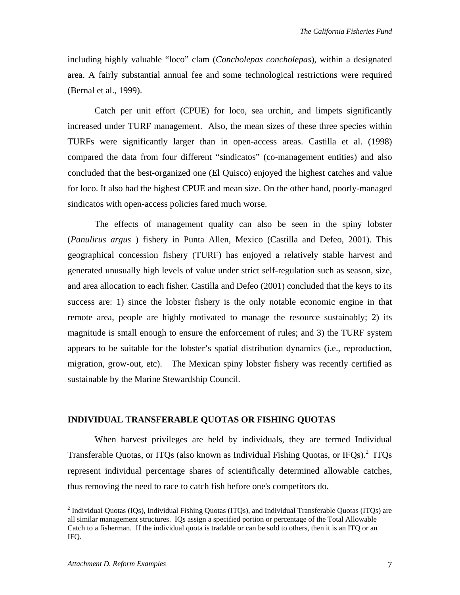including highly valuable "loco" clam (*Concholepas concholepas*), within a designated area. A fairly substantial annual fee and some technological restrictions were required (Bernal et al., 1999).

Catch per unit effort (CPUE) for loco, sea urchin, and limpets significantly increased under TURF management. Also, the mean sizes of these three species within TURFs were significantly larger than in open-access areas. Castilla et al. (1998) compared the data from four different "sindicatos" (co-management entities) and also concluded that the best-organized one (El Quisco) enjoyed the highest catches and value for loco. It also had the highest CPUE and mean size. On the other hand, poorly-managed sindicatos with open-access policies fared much worse.

The effects of management quality can also be seen in the spiny lobster (*Panulirus argus* ) fishery in Punta Allen, Mexico (Castilla and Defeo, 2001). This geographical concession fishery (TURF) has enjoyed a relatively stable harvest and generated unusually high levels of value under strict self-regulation such as season, size, and area allocation to each fisher. Castilla and Defeo (2001) concluded that the keys to its success are: 1) since the lobster fishery is the only notable economic engine in that remote area, people are highly motivated to manage the resource sustainably; 2) its magnitude is small enough to ensure the enforcement of rules; and 3) the TURF system appears to be suitable for the lobster's spatial distribution dynamics (i.e., reproduction, migration, grow-out, etc). The Mexican spiny lobster fishery was recently certified as sustainable by the Marine Stewardship Council.

#### **INDIVIDUAL TRANSFERABLE QUOTAS OR FISHING QUOTAS**

When harvest privileges are held by individuals, they are termed Individual Transferable Quotas, or ITQs (also known as Individual Fishing Quotas, or IFQs).<sup>2</sup> ITQs represent individual percentage shares of scientifically determined allowable catches, thus removing the need to race to catch fish before one's competitors do.

 $\overline{a}$ 

<sup>&</sup>lt;sup>2</sup> Individual Quotas (IQs), Individual Fishing Quotas (ITQs), and Individual Transferable Quotas (ITQs) are all similar management structures. IQs assign a specified portion or percentage of the Total Allowable Catch to a fisherman. If the individual quota is tradable or can be sold to others, then it is an ITQ or an IFQ.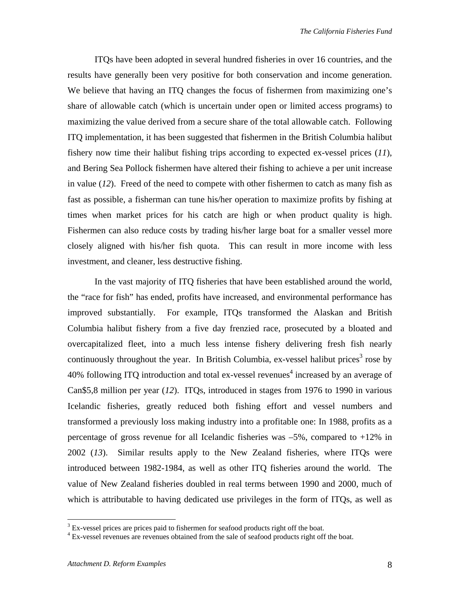ITQs have been adopted in several hundred fisheries in over 16 countries, and the results have generally been very positive for both conservation and income generation. We believe that having an ITQ changes the focus of fishermen from maximizing one's share of allowable catch (which is uncertain under open or limited access programs) to maximizing the value derived from a secure share of the total allowable catch. Following ITQ implementation, it has been suggested that fishermen in the British Columbia halibut fishery now time their halibut fishing trips according to expected ex-vessel prices (*11*), and Bering Sea Pollock fishermen have altered their fishing to achieve a per unit increase in value (*12*). Freed of the need to compete with other fishermen to catch as many fish as fast as possible, a fisherman can tune his/her operation to maximize profits by fishing at times when market prices for his catch are high or when product quality is high. Fishermen can also reduce costs by trading his/her large boat for a smaller vessel more closely aligned with his/her fish quota. This can result in more income with less investment, and cleaner, less destructive fishing.

In the vast majority of ITQ fisheries that have been established around the world, the "race for fish" has ended, profits have increased, and environmental performance has improved substantially. For example, ITQs transformed the Alaskan and British Columbia halibut fishery from a five day frenzied race, prosecuted by a bloated and overcapitalized fleet, into a much less intense fishery delivering fresh fish nearly continuously throughout the year. In British Columbia, ex-vessel halibut prices<sup>3</sup> rose by 40% following ITQ introduction and total ex-vessel revenues<sup>4</sup> increased by an average of Can\$5,8 million per year (*12*). ITQs, introduced in stages from 1976 to 1990 in various Icelandic fisheries, greatly reduced both fishing effort and vessel numbers and transformed a previously loss making industry into a profitable one: In 1988, profits as a percentage of gross revenue for all Icelandic fisheries was –5%, compared to +12% in 2002 (*13*). Similar results apply to the New Zealand fisheries, where ITQs were introduced between 1982-1984, as well as other ITQ fisheries around the world. The value of New Zealand fisheries doubled in real terms between 1990 and 2000, much of which is attributable to having dedicated use privileges in the form of ITQs, as well as

 $\frac{3}{3}$  Ex-vessel prices are prices paid to fishermen for seafood products right off the boat.

<sup>&</sup>lt;sup>4</sup> Ex-vessel revenues are revenues obtained from the sale of seafood products right off the boat.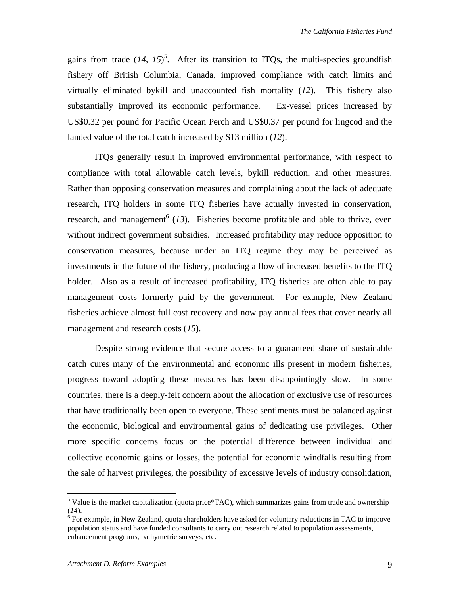gains from trade  $(14, 15)^5$ . After its transition to ITQs, the multi-species groundfish fishery off British Columbia, Canada, improved compliance with catch limits and virtually eliminated bykill and unaccounted fish mortality (*12*). This fishery also substantially improved its economic performance. Ex-vessel prices increased by US\$0.32 per pound for Pacific Ocean Perch and US\$0.37 per pound for lingcod and the landed value of the total catch increased by \$13 million (*12*).

ITQs generally result in improved environmental performance, with respect to compliance with total allowable catch levels, bykill reduction, and other measures. Rather than opposing conservation measures and complaining about the lack of adequate research, ITQ holders in some ITQ fisheries have actually invested in conservation, research, and management<sup>6</sup> (13). Fisheries become profitable and able to thrive, even without indirect government subsidies. Increased profitability may reduce opposition to conservation measures, because under an ITQ regime they may be perceived as investments in the future of the fishery, producing a flow of increased benefits to the ITQ holder. Also as a result of increased profitability, ITQ fisheries are often able to pay management costs formerly paid by the government. For example, New Zealand fisheries achieve almost full cost recovery and now pay annual fees that cover nearly all management and research costs (*15*).

Despite strong evidence that secure access to a guaranteed share of sustainable catch cures many of the environmental and economic ills present in modern fisheries, progress toward adopting these measures has been disappointingly slow. In some countries, there is a deeply-felt concern about the allocation of exclusive use of resources that have traditionally been open to everyone. These sentiments must be balanced against the economic, biological and environmental gains of dedicating use privileges. Other more specific concerns focus on the potential difference between individual and collective economic gains or losses, the potential for economic windfalls resulting from the sale of harvest privileges, the possibility of excessive levels of industry consolidation,

 $\overline{a}$ 

<sup>&</sup>lt;sup>5</sup> Value is the market capitalization (quota price\*TAC), which summarizes gains from trade and ownership  $(14)$ .

 $6$  For example, in New Zealand, quota shareholders have asked for voluntary reductions in TAC to improve population status and have funded consultants to carry out research related to population assessments, enhancement programs, bathymetric surveys, etc.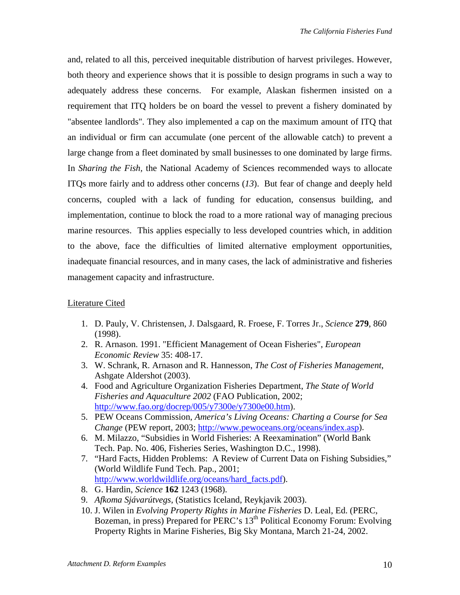and, related to all this, perceived inequitable distribution of harvest privileges. However, both theory and experience shows that it is possible to design programs in such a way to adequately address these concerns. For example, Alaskan fishermen insisted on a requirement that ITQ holders be on board the vessel to prevent a fishery dominated by "absentee landlords". They also implemented a cap on the maximum amount of ITQ that an individual or firm can accumulate (one percent of the allowable catch) to prevent a large change from a fleet dominated by small businesses to one dominated by large firms. In *Sharing the Fish,* the National Academy of Sciences recommended ways to allocate ITQs more fairly and to address other concerns (*13*). But fear of change and deeply held concerns, coupled with a lack of funding for education, consensus building, and implementation, continue to block the road to a more rational way of managing precious marine resources. This applies especially to less developed countries which, in addition to the above, face the difficulties of limited alternative employment opportunities, inadequate financial resources, and in many cases, the lack of administrative and fisheries management capacity and infrastructure.

### Literature Cited

- 1. D. Pauly, V. Christensen, J. Dalsgaard, R. Froese, F. Torres Jr., *Science* **279**, 860 (1998).
- 2. R. Arnason. 1991. "Efficient Management of Ocean Fisheries", *European Economic Review* 35: 408-17.
- 3. W. Schrank, R. Arnason and R. Hannesson, *The Cost of Fisheries Management*, Ashgate Aldershot (2003).
- 4. Food and Agriculture Organization Fisheries Department, *The State of World Fisheries and Aquaculture 2002* (FAO Publication, 2002; http://www.fao.org/docrep/005/y7300e/y7300e00.htm).
- 5. PEW Oceans Commission, *America's Living Oceans: Charting a Course for Sea Change* (PEW report, 2003; http://www.pewoceans.org/oceans/index.asp).
- 6. M. Milazzo, "Subsidies in World Fisheries: A Reexamination" (World Bank Tech. Pap. No. 406, Fisheries Series, Washington D.C., 1998).
- 7. "Hard Facts, Hidden Problems: A Review of Current Data on Fishing Subsidies," (World Wildlife Fund Tech. Pap., 2001; http://www.worldwildlife.org/oceans/hard\_facts.pdf).
- 8. G. Hardin, *Science* **162** 1243 (1968).
- 9. *Afkoma Sjávarútvegs*, (Statistics Iceland, Reykjavik 2003).
- 10. J. Wilen in *Evolving Property Rights in Marine Fisheries* D. Leal, Ed. (PERC, Bozeman, in press) Prepared for PERC's 13<sup>th</sup> Political Economy Forum: Evolving Property Rights in Marine Fisheries, Big Sky Montana, March 21-24, 2002.